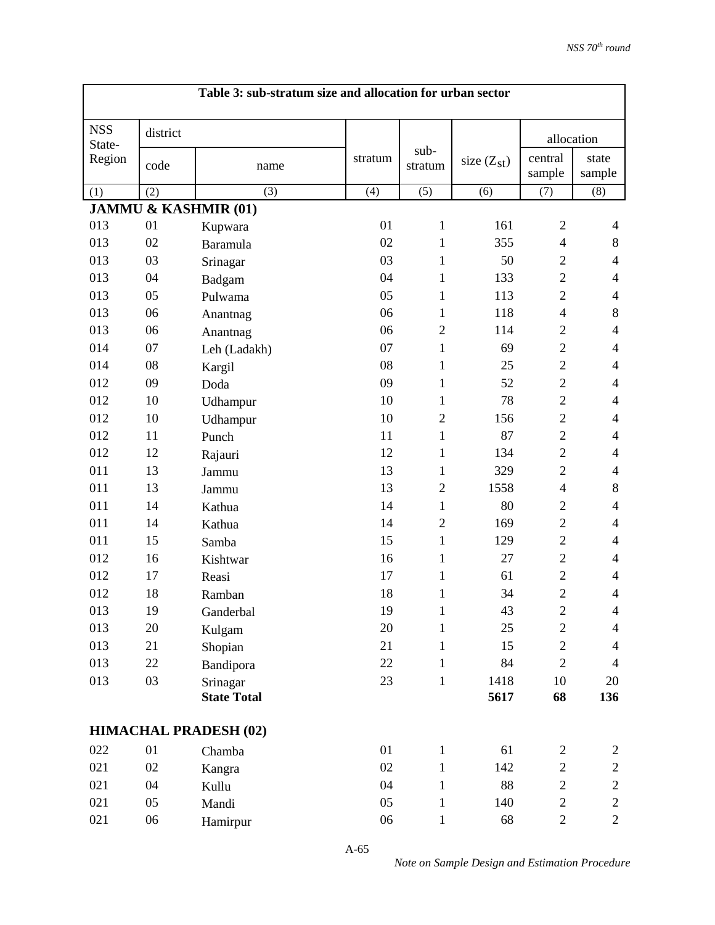|                      |          | Table 3: sub-stratum size and allocation for urban sector |         |                 |                 |                          |                          |
|----------------------|----------|-----------------------------------------------------------|---------|-----------------|-----------------|--------------------------|--------------------------|
| <b>NSS</b><br>State- | district |                                                           |         |                 |                 |                          | allocation               |
| Region               | code     | name                                                      | stratum | sub-<br>stratum | size $(Z_{st})$ | central<br>sample        | state<br>sample          |
| (1)                  | (2)      | (3)                                                       | (4)     | (5)             | (6)             | (7)                      | (8)                      |
|                      |          | <b>JAMMU &amp; KASHMIR (01)</b>                           |         |                 |                 |                          |                          |
| 013                  | 01       | Kupwara                                                   | 01      | $\mathbf{1}$    | 161             | $\mathfrak{2}$           | $\overline{4}$           |
| 013                  | 02       | Baramula                                                  | 02      | 1               | 355             | $\overline{\mathcal{A}}$ | 8                        |
| 013                  | 03       | Srinagar                                                  | 03      | 1               | 50              | $\overline{2}$           | 4                        |
| 013                  | 04       | Badgam                                                    | 04      | 1               | 133             | $\mathbf{2}$             | $\overline{4}$           |
| 013                  | 05       | Pulwama                                                   | 05      | $\mathbf{1}$    | 113             | $\overline{2}$           | $\overline{4}$           |
| 013                  | 06       | Anantnag                                                  | 06      | $\mathbf{1}$    | 118             | $\overline{4}$           | $8\,$                    |
| 013                  | 06       | Anantnag                                                  | 06      | $\overline{2}$  | 114             | $\mathbf{2}$             | $\overline{4}$           |
| 014                  | 07       | Leh (Ladakh)                                              | 07      | $\mathbf{1}$    | 69              | $\mathbf{2}$             | $\overline{4}$           |
| 014                  | 08       | Kargil                                                    | 08      | $\mathbf{1}$    | 25              | $\overline{2}$           | $\overline{4}$           |
| 012                  | 09       | Doda                                                      | 09      | 1               | 52              | $\overline{2}$           | $\overline{4}$           |
| 012                  | 10       | Udhampur                                                  | 10      | 1               | 78              | $\overline{2}$           | $\overline{4}$           |
| 012                  | 10       | Udhampur                                                  | 10      | $\overline{2}$  | 156             | $\overline{2}$           | $\overline{4}$           |
| 012                  | 11       | Punch                                                     | 11      | $\mathbf{1}$    | 87              | $\mathbf{2}$             | $\overline{4}$           |
| 012                  | 12       | Rajauri                                                   | 12      | $\mathbf{1}$    | 134             | $\overline{2}$           | $\overline{4}$           |
| 011                  | 13       | Jammu                                                     | 13      | 1               | 329             | $\mathbf{2}$             | $\overline{4}$           |
| 011                  | 13       | Jammu                                                     | 13      | $\overline{2}$  | 1558            | $\overline{\mathcal{A}}$ | 8                        |
| 011                  | 14       | Kathua                                                    | 14      | $\mathbf{1}$    | 80              | $\overline{2}$           | $\overline{4}$           |
| 011                  | 14       | Kathua                                                    | 14      | $\overline{2}$  | 169             | $\mathbf{2}$             | $\overline{4}$           |
| 011                  | 15       | Samba                                                     | 15      | $\mathbf{1}$    | 129             | $\overline{2}$           | $\overline{4}$           |
| 012                  | 16       | Kishtwar                                                  | 16      | 1               | 27              | $\mathbf{2}$             | $\overline{4}$           |
| 012                  | 17       | Reasi                                                     | 17      | 1               | 61              | $\mathbf{2}$             | $\overline{\mathcal{A}}$ |
| 012                  | 18       | Ramban                                                    | 18      | $\mathbf{1}$    | 34              | $\overline{2}$           | $\overline{4}$           |
| 013                  | 19       | Ganderbal                                                 | 19      | 1               | 43              | $\overline{c}$           | $\overline{\mathcal{A}}$ |
| 013                  | 20       | Kulgam                                                    | 20      | $\mathbf{1}$    | 25              | $\overline{c}$           | $\overline{4}$           |
| 013                  | 21       | Shopian                                                   | 21      | 1               | 15              | $\mathbf{2}$             | 4                        |
| 013                  | 22       | Bandipora                                                 | 22      | $\mathbf{1}$    | 84              | $\mathbf{2}$             | $\overline{4}$           |
| 013                  | 03       | Srinagar                                                  | 23      | $\mathbf{1}$    | 1418            | $10\,$                   | 20                       |
|                      |          | <b>State Total</b>                                        |         |                 | 5617            | 68                       | 136                      |
|                      |          | <b>HIMACHAL PRADESH (02)</b>                              |         |                 |                 |                          |                          |
| 022                  | 01       | Chamba                                                    | 01      | $\mathbf{1}$    | 61              | $\mathbf{2}$             | $\mathbf{2}$             |
| 021                  | 02       | Kangra                                                    | 02      | $\mathbf{1}$    | 142             | $\overline{c}$           | $\mathbf{2}$             |
| 021                  | 04       | Kullu                                                     | 04      | $\mathbf{1}$    | 88              | $\mathbf{2}$             | $\overline{c}$           |
| 021                  | 05       | Mandi                                                     | 05      | 1               | 140             | $\overline{c}$           | $\sqrt{2}$               |
| 021                  | 06       | Hamirpur                                                  | 06      | $\mathbf{1}$    | 68              | $\overline{c}$           | $\mathbf{2}$             |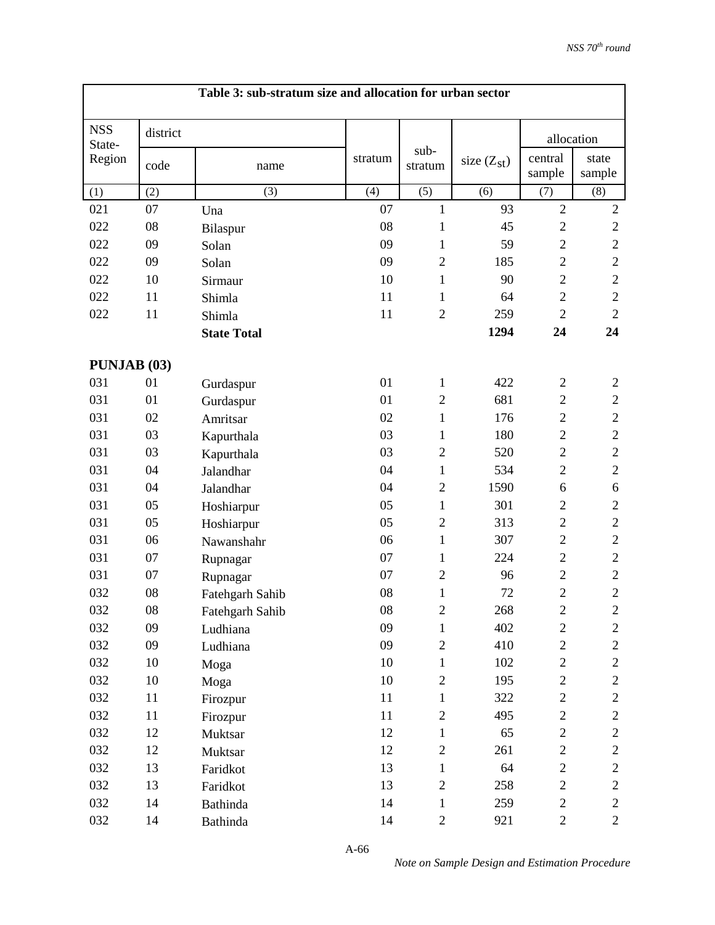|                      |          | Table 3: sub-stratum size and allocation for urban sector |            |                 |                 |                   |                 |
|----------------------|----------|-----------------------------------------------------------|------------|-----------------|-----------------|-------------------|-----------------|
| <b>NSS</b><br>State- | district |                                                           |            |                 |                 | allocation        |                 |
| Region               | code     | name                                                      | stratum    | sub-<br>stratum | size $(Z_{st})$ | central<br>sample | state<br>sample |
| (1)                  | (2)      | (3)                                                       | (4)        | (5)             | (6)             | (7)               | (8)             |
| 021                  | 07       | Una                                                       | 07         | $\mathbf{1}$    | 93              | $\overline{2}$    | $\sqrt{2}$      |
| 022                  | 08       | Bilaspur                                                  | 08         | 1               | 45              | $\mathbf{2}$      | $\sqrt{2}$      |
| 022                  | 09       | Solan                                                     | 09         | $\mathbf{1}$    | 59              | $\mathbf{2}$      | $\sqrt{2}$      |
| 022                  | 09       | Solan                                                     | 09         | $\overline{2}$  | 185             | $\mathbf{2}$      | $\sqrt{2}$      |
| 022                  | 10       | Sirmaur                                                   | 10         | $\mathbf{1}$    | 90              | $\overline{2}$    | $\sqrt{2}$      |
| 022                  | 11       | Shimla                                                    | 11         | 1               | 64              | $\mathbf{2}$      | $\sqrt{2}$      |
| 022                  | 11       | Shimla                                                    | 11         | $\overline{2}$  | 259             | $\overline{2}$    | $\sqrt{2}$      |
|                      |          | <b>State Total</b>                                        |            |                 | 1294            | 24                | 24              |
| PUNJAB (03)          |          |                                                           |            |                 |                 |                   |                 |
| 031                  | 01       | Gurdaspur                                                 | 01         | $\mathbf{1}$    | 422             | $\mathfrak{2}$    | $\mathfrak{2}$  |
| 031                  | 01       | Gurdaspur                                                 | 01         | $\overline{2}$  | 681             | $\overline{2}$    | $\overline{2}$  |
| 031                  | 02       | Amritsar                                                  | 02         | $\mathbf{1}$    | 176             | $\mathbf{2}$      | $\sqrt{2}$      |
| 031                  | 03       | Kapurthala                                                | 03         | 1               | 180             | $\overline{2}$    | $\overline{2}$  |
| 031                  | 03       | Kapurthala                                                | 03         | $\overline{2}$  | 520             | $\overline{2}$    | $\sqrt{2}$      |
| 031                  | 04       | Jalandhar                                                 | 04         | $\mathbf{1}$    | 534             | $\overline{2}$    | $\overline{2}$  |
| 031                  | 04       | Jalandhar                                                 | 04         | $\overline{2}$  | 1590            | 6                 | 6               |
| 031                  | 05       | Hoshiarpur                                                | 05         | $\mathbf{1}$    | 301             | $\overline{2}$    | $\overline{2}$  |
| 031                  | 05       | Hoshiarpur                                                | 05         | $\overline{2}$  | 313             | $\overline{2}$    | $\mathfrak{2}$  |
| 031                  | 06       | Nawanshahr                                                | 06         | $\mathbf{1}$    | 307             | $\mathbf{2}$      | $\sqrt{2}$      |
| 031                  | 07       | Rupnagar                                                  | 07         | $\mathbf{1}$    | 224             | $\mathbf{2}$      | $\mathfrak{2}$  |
| 031                  | 07       | Rupnagar                                                  | 07         | $\overline{2}$  | 96              | $\overline{2}$    | $\sqrt{2}$      |
| 032                  | 08       | Fatehgarh Sahib                                           | 08         | $\mathbf{1}$    | 72              | $\overline{c}$    | $\overline{2}$  |
| 032                  | 08       | Fatehgarh Sahib                                           | ${\bf 08}$ | 2               | 268             | $\overline{c}$    | $\overline{c}$  |
| 032                  | 09       | Ludhiana                                                  | 09         | $\mathbf{1}$    | 402             | $\boldsymbol{2}$  | $\mathbf{2}$    |
| 032                  | 09       | Ludhiana                                                  | 09         | $\overline{2}$  | 410             | $\overline{c}$    | $\overline{c}$  |
| 032                  | 10       | Moga                                                      | 10         | $\mathbf{1}$    | 102             | $\overline{c}$    | $\mathbf{2}$    |
| 032                  | 10       | Moga                                                      | 10         | $\overline{2}$  | 195             | $\overline{c}$    | $\mathbf{2}$    |
| 032                  | 11       | Firozpur                                                  | 11         | $\mathbf{1}$    | 322             | $\overline{c}$    | $\mathbf{2}$    |
| 032                  | 11       | Firozpur                                                  | 11         | $\overline{2}$  | 495             | $\mathbf{2}$      | $\overline{c}$  |
| 032                  | 12       | Muktsar                                                   | 12         | $\mathbf{1}$    | 65              | $\overline{2}$    | $\mathbf{2}$    |
| 032                  | 12       | Muktsar                                                   | 12         | $\sqrt{2}$      | 261             | $\sqrt{2}$        | $\mathbf{2}$    |
| 032                  | 13       | Faridkot                                                  | 13         | $\mathbf{1}$    | 64              | $\overline{2}$    | $\mathbf{2}$    |
| 032                  | 13       | Faridkot                                                  | 13         | $\overline{2}$  | 258             | $\mathbf{2}$      | $\overline{c}$  |
| 032                  | 14       | Bathinda                                                  | 14         | $\mathbf{1}$    | 259             | $\sqrt{2}$        | $\mathbf{2}$    |
| 032                  | 14       | <b>Bathinda</b>                                           | 14         | $\mathbf{2}$    | 921             | $\overline{c}$    | $\overline{c}$  |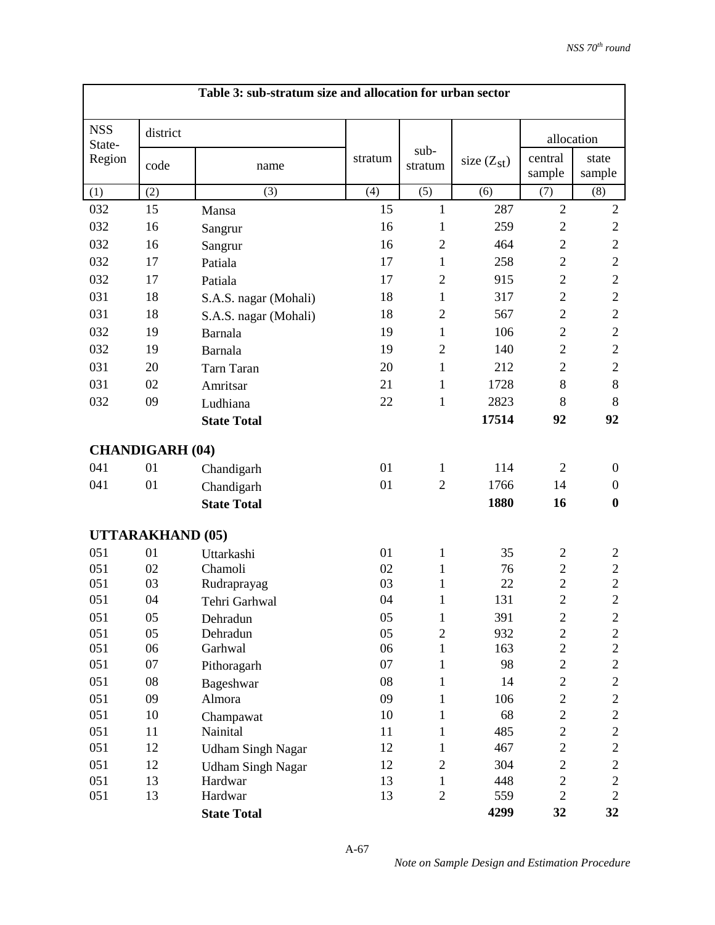|                      | Table 3: sub-stratum size and allocation for urban sector |                          |          |                                |                 |                                  |                                  |  |
|----------------------|-----------------------------------------------------------|--------------------------|----------|--------------------------------|-----------------|----------------------------------|----------------------------------|--|
| <b>NSS</b><br>State- | district                                                  |                          |          |                                |                 | allocation                       |                                  |  |
| Region               | code                                                      | name                     | stratum  | sub-<br>stratum                | size $(Z_{st})$ | central<br>sample                | state<br>sample                  |  |
| (1)                  | (2)                                                       | (3)                      | (4)      | (5)                            | (6)             | (7)                              | (8)                              |  |
| 032                  | 15                                                        | Mansa                    | 15       | $\mathbf{1}$                   | 287             | $\overline{2}$                   | $\sqrt{2}$                       |  |
| 032                  | 16                                                        | Sangrur                  | 16       | 1                              | 259             | $\overline{2}$                   | $\overline{c}$                   |  |
| 032                  | 16                                                        | Sangrur                  | 16       | $\overline{2}$                 | 464             | $\overline{2}$                   | $\overline{2}$                   |  |
| 032                  | 17                                                        | Patiala                  | 17       | 1                              | 258             | $\overline{2}$                   | $\overline{c}$                   |  |
| 032                  | 17                                                        | Patiala                  | 17       | $\mathfrak{2}$                 | 915             | $\overline{2}$                   | $\mathbf{2}$                     |  |
| 031                  | 18                                                        | S.A.S. nagar (Mohali)    | 18       | 1                              | 317             | $\overline{2}$                   | $\overline{c}$                   |  |
| 031                  | 18                                                        | S.A.S. nagar (Mohali)    | 18       | $\mathfrak{2}$                 | 567             | $\overline{2}$                   | $\mathbf{2}$                     |  |
| 032                  | 19                                                        | Barnala                  | 19       | 1                              | 106             | $\overline{2}$                   | $\mathbf{2}$                     |  |
| 032                  | 19                                                        | Barnala                  | 19       | $\overline{2}$                 | 140             | $\overline{2}$                   | $\overline{c}$                   |  |
| 031                  | 20                                                        | <b>Tarn Taran</b>        | 20       | $\mathbf{1}$                   | 212             | $\overline{2}$                   | $\mathbf{2}$                     |  |
| 031                  | 02                                                        | Amritsar                 | 21       | 1                              | 1728            | 8                                | 8                                |  |
| 032                  | 09                                                        | Ludhiana                 | 22       | $\mathbf{1}$                   | 2823            | 8                                | 8                                |  |
|                      |                                                           | <b>State Total</b>       |          |                                | 17514           | 92                               | 92                               |  |
|                      |                                                           |                          |          |                                |                 |                                  |                                  |  |
|                      | <b>CHANDIGARH (04)</b>                                    |                          |          |                                |                 |                                  |                                  |  |
| 041                  | 01                                                        | Chandigarh               | 01       | 1                              | 114             | $\overline{2}$                   | $\overline{0}$                   |  |
| 041                  | 01                                                        | Chandigarh               | 01       | $\overline{2}$                 | 1766            | 14                               | $\mathbf{0}$                     |  |
|                      |                                                           | <b>State Total</b>       |          |                                | 1880            | 16                               | $\boldsymbol{0}$                 |  |
|                      | <b>UTTARAKHAND (05)</b>                                   |                          |          |                                |                 |                                  |                                  |  |
| 051                  | 01                                                        | Uttarkashi               | 01       | 1                              | 35              | $\mathbf{2}$                     | $\overline{c}$                   |  |
| 051                  | 02                                                        | Chamoli                  | 02       | 1                              | 76              | $\overline{c}$                   | $\overline{c}$                   |  |
| 051                  | 03                                                        | Rudraprayag              | 03       | 1                              | 22              | $\overline{c}$                   | $\overline{c}$                   |  |
| 051                  | 04                                                        | Tehri Garhwal            | 04       | $\mathbf{1}$                   | 131             | $\overline{2}$                   | $\overline{2}$                   |  |
| 051                  | 05                                                        | Dehradun                 | 05       | $\mathbf{1}$                   | 391             | $\boldsymbol{2}$                 | $\mathbf{2}$                     |  |
| 051                  | 05                                                        | Dehradun                 | 05       | $\overline{2}$                 | 932             | $\overline{c}$                   | $\overline{c}$                   |  |
| 051                  | 06                                                        | Garhwal                  | 06       | $\mathbf{1}$                   | 163             | $\overline{c}$                   | $\overline{2}$                   |  |
| 051                  | 07                                                        | Pithoragarh              | 07       | $\mathbf{1}$                   | 98              | $\overline{c}$                   | $\overline{c}$                   |  |
| 051                  | 08                                                        | Bageshwar                | 08       | 1                              | 14              | $\overline{c}$                   | $\mathbf{2}$                     |  |
| 051                  | 09                                                        | Almora                   | 09       | $\mathbf{1}$                   | 106             | $\overline{c}$                   | $\overline{c}$                   |  |
| 051                  | 10                                                        | Champawat                | 10       | 1                              | 68              | $\overline{c}$                   | $\overline{c}$                   |  |
| 051                  | 11                                                        | Nainital                 | 11       | 1                              | 485             | $\overline{c}$                   | $\overline{c}$                   |  |
| 051                  | 12                                                        | <b>Udham Singh Nagar</b> | 12       | $\mathbf{1}$                   | 467             | $\overline{c}$                   | $\mathbf{2}$                     |  |
| 051                  | 12                                                        | <b>Udham Singh Nagar</b> | 12       | $\mathbf{2}$                   | 304             | $\boldsymbol{2}$                 | $\boldsymbol{2}$                 |  |
| 051<br>051           | 13<br>13                                                  | Hardwar<br>Hardwar       | 13<br>13 | $\mathbf{1}$<br>$\overline{2}$ | 448<br>559      | $\overline{c}$<br>$\overline{2}$ | $\overline{c}$<br>$\overline{2}$ |  |
|                      |                                                           | <b>State Total</b>       |          |                                | 4299            | 32                               | 32                               |  |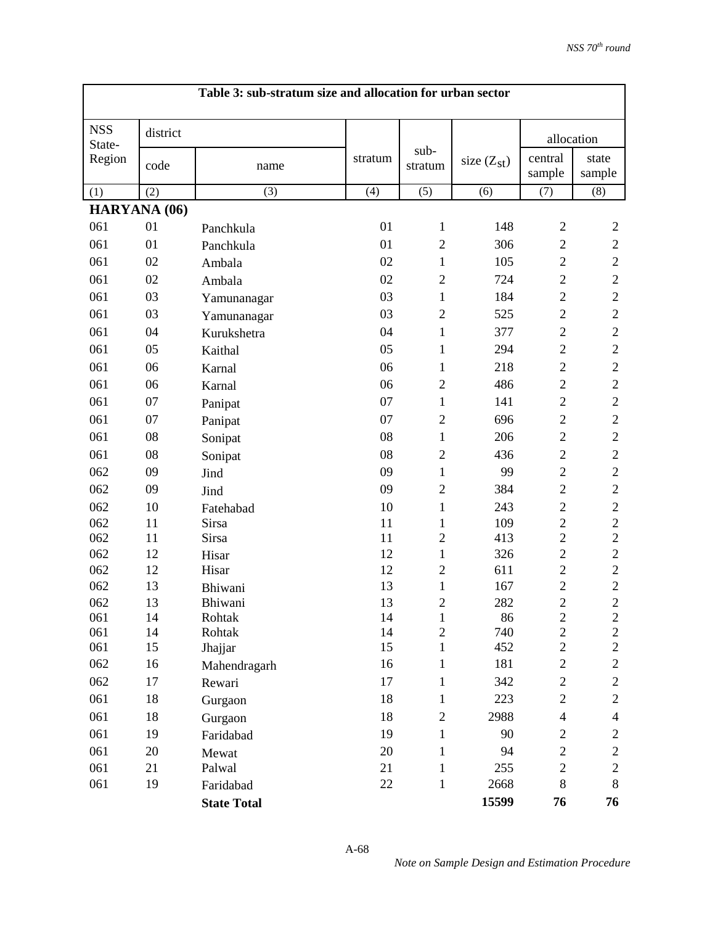|                      |              | Table 3: sub-stratum size and allocation for urban sector |          |                                |                 |                                    |                                    |
|----------------------|--------------|-----------------------------------------------------------|----------|--------------------------------|-----------------|------------------------------------|------------------------------------|
| <b>NSS</b><br>State- | district     |                                                           |          |                                |                 |                                    | allocation                         |
| Region               | code         | name                                                      | stratum  | sub-<br>stratum                | size $(Z_{st})$ | central<br>sample                  | state<br>sample                    |
| (1)                  | (2)          | (3)                                                       | (4)      | (5)                            | (6)             | (7)                                | (8)                                |
|                      | HARYANA (06) |                                                           |          |                                |                 |                                    |                                    |
| 061                  | 01           | Panchkula                                                 | 01       | $\mathbf{1}$                   | 148             | $\overline{2}$                     | $\overline{2}$                     |
| 061                  | 01           | Panchkula                                                 | 01       | $\overline{2}$                 | 306             | $\mathbf{2}$                       | $\mathfrak{2}$                     |
| 061                  | 02           | Ambala                                                    | 02       | 1                              | 105             | $\overline{2}$                     | $\overline{2}$                     |
| 061                  | 02           | Ambala                                                    | 02       | $\overline{2}$                 | 724             | $\overline{2}$                     | $\mathbf{2}$                       |
| 061                  | 03           | Yamunanagar                                               | 03       | $\mathbf{1}$                   | 184             | $\overline{2}$                     | $\mathbf{2}$                       |
| 061                  | 03           | Yamunanagar                                               | 03       | $\overline{2}$                 | 525             | $\overline{2}$                     | $\overline{2}$                     |
| 061                  | 04           | Kurukshetra                                               | 04       | 1                              | 377             | $\overline{2}$                     | $\overline{c}$                     |
| 061                  | 05           | Kaithal                                                   | 05       | $\mathbf{1}$                   | 294             | $\overline{2}$                     | $\sqrt{2}$                         |
| 061                  | 06           | Karnal                                                    | 06       | 1                              | 218             | $\overline{2}$                     | $\overline{2}$                     |
| 061                  | 06           | Karnal                                                    | 06       | $\overline{2}$                 | 486             | $\overline{2}$                     | $\sqrt{2}$                         |
| 061                  | 07           | Panipat                                                   | 07       | 1                              | 141             | $\overline{2}$                     | $\overline{2}$                     |
| 061                  | 07           | Panipat                                                   | 07       | $\overline{2}$                 | 696             | $\overline{2}$                     | $\mathbf{2}$                       |
| 061                  | 08           | Sonipat                                                   | 08       | 1                              | 206             | $\overline{2}$                     | $\mathbf{2}$                       |
| 061                  | 08           | Sonipat                                                   | 08       | $\overline{2}$                 | 436             | $\overline{2}$                     | $\overline{2}$                     |
| 062                  | 09           | Jind                                                      | 09       | 1                              | 99              | $\overline{2}$                     | $\overline{c}$                     |
| 062                  | 09           | Jind                                                      | 09       | $\overline{2}$                 | 384             | $\overline{2}$                     | $\sqrt{2}$                         |
| 062                  | 10           | Fatehabad                                                 | 10       | 1                              | 243             | $\overline{2}$                     | $\mathbf{2}$                       |
| 062                  | 11           | <b>Sirsa</b>                                              | 11       | $\mathbf{1}$                   | 109             | $\overline{c}$                     | $\sqrt{2}$                         |
| 062                  | 11           | <b>Sirsa</b>                                              | 11       | $\overline{2}$                 | 413             | $\overline{2}$                     | $\sqrt{2}$                         |
| 062                  | 12           | Hisar                                                     | 12       | 1                              | 326             | $\overline{2}$                     | $\overline{c}$                     |
| 062                  | 12           | Hisar                                                     | 12       | $\overline{2}$                 | 611             | $\mathbf{2}$                       | $\mathbf{2}$                       |
| 062                  | 13           | Bhiwani                                                   | 13       | $\mathbf{1}$                   | 167             | $\overline{c}$                     | $\overline{c}$                     |
| 062                  | 13           | Bhiwani                                                   | 13       | $\overline{c}$                 | 282             | $\overline{2}$                     | $\overline{2}$                     |
| 061<br>061           | 14<br>14     | Rohtak<br>Rohtak                                          | 14<br>14 | $\mathbf{1}$<br>$\overline{2}$ | 86<br>740       | $\boldsymbol{2}$<br>$\overline{c}$ | $\boldsymbol{2}$<br>$\overline{2}$ |
| 061                  | 15           | Jhajjar                                                   | 15       | 1                              | 452             | $\overline{c}$                     | $\overline{2}$                     |
| 062                  | 16           | Mahendragarh                                              | 16       | $\mathbf{1}$                   | 181             | $\overline{c}$                     | $\overline{c}$                     |
| 062                  | 17           | Rewari                                                    | 17       | 1                              | 342             | $\mathbf{2}$                       | $\overline{c}$                     |
| 061                  | 18           | Gurgaon                                                   | 18       | $\mathbf{1}$                   | 223             | $\overline{c}$                     | $\overline{c}$                     |
| 061                  | 18           | Gurgaon                                                   | 18       | $\overline{c}$                 | 2988            | $\overline{4}$                     | $\overline{4}$                     |
| 061                  | 19           | Faridabad                                                 | 19       | $\mathbf{1}$                   | 90              | $\overline{c}$                     | $\mathbf{2}$                       |
| 061                  | 20           |                                                           | 20       | 1                              | 94              | $\mathbf{2}$                       | $\mathfrak{2}$                     |
| 061                  | 21           | Mewat<br>Palwal                                           | 21       | $\mathbf{1}$                   | 255             | $\overline{c}$                     | $\sqrt{2}$                         |
| 061                  | 19           | Faridabad                                                 | 22       | $\mathbf{1}$                   | 2668            | $8\,$                              | 8                                  |
|                      |              | <b>State Total</b>                                        |          |                                | 15599           | 76                                 | 76                                 |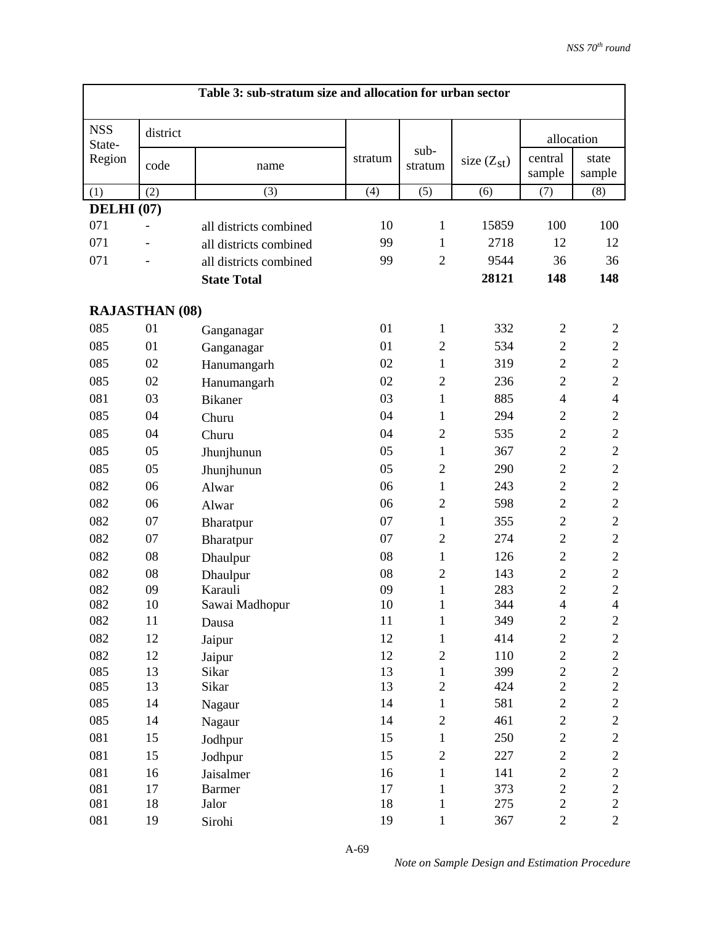| <b>NSS</b><br>district<br>allocation<br>State-<br>sub-<br>central<br>Region<br>state<br>stratum<br>size $(Z_{st})$<br>code<br>stratum<br>name<br>sample<br>sample<br>(5)<br>(7)<br>(2)<br>(3)<br>(4)<br>(8)<br>(1)<br>(6)<br><b>DELHI</b> (07)<br>071<br>10<br>15859<br>100<br>100<br>$\mathbf{1}$<br>all districts combined<br>071<br>99<br>$\mathbf{1}$<br>2718<br>12<br>12<br>all districts combined<br>071<br>99<br>$\mathfrak{2}$<br>9544<br>36<br>36<br>all districts combined<br>148<br>148<br>28121<br><b>State Total</b><br><b>RAJASTHAN (08)</b><br>085<br>01<br>01<br>332<br>1<br>$\overline{2}$<br>$\overline{c}$<br>Ganganagar<br>085<br>01<br>01<br>$\overline{2}$<br>534<br>$\mathbf{2}$<br>$\overline{c}$<br>Ganganagar<br>085<br>$\overline{2}$<br>$\sqrt{2}$<br>02<br>$\mathbf{1}$<br>319<br>02<br>Hanumangarh<br>$\sqrt{2}$<br>085<br>02<br>236<br>$\mathbf{2}$<br>02<br>$\overline{2}$<br>Hanumangarh<br>$\overline{4}$<br>081<br>03<br>03<br>1<br>885<br>$\overline{4}$<br><b>Bikaner</b><br>085<br>04<br>294<br>$\mathbf{2}$<br>$\mathbf{2}$<br>04<br>1<br>Churu<br>$\overline{c}$<br>085<br>04<br>$\overline{c}$<br>$\sqrt{2}$<br>04<br>535<br>Churu |
|-----------------------------------------------------------------------------------------------------------------------------------------------------------------------------------------------------------------------------------------------------------------------------------------------------------------------------------------------------------------------------------------------------------------------------------------------------------------------------------------------------------------------------------------------------------------------------------------------------------------------------------------------------------------------------------------------------------------------------------------------------------------------------------------------------------------------------------------------------------------------------------------------------------------------------------------------------------------------------------------------------------------------------------------------------------------------------------------------------------------------------------------------------------------------------|
|                                                                                                                                                                                                                                                                                                                                                                                                                                                                                                                                                                                                                                                                                                                                                                                                                                                                                                                                                                                                                                                                                                                                                                             |
|                                                                                                                                                                                                                                                                                                                                                                                                                                                                                                                                                                                                                                                                                                                                                                                                                                                                                                                                                                                                                                                                                                                                                                             |
|                                                                                                                                                                                                                                                                                                                                                                                                                                                                                                                                                                                                                                                                                                                                                                                                                                                                                                                                                                                                                                                                                                                                                                             |
|                                                                                                                                                                                                                                                                                                                                                                                                                                                                                                                                                                                                                                                                                                                                                                                                                                                                                                                                                                                                                                                                                                                                                                             |
|                                                                                                                                                                                                                                                                                                                                                                                                                                                                                                                                                                                                                                                                                                                                                                                                                                                                                                                                                                                                                                                                                                                                                                             |
|                                                                                                                                                                                                                                                                                                                                                                                                                                                                                                                                                                                                                                                                                                                                                                                                                                                                                                                                                                                                                                                                                                                                                                             |
|                                                                                                                                                                                                                                                                                                                                                                                                                                                                                                                                                                                                                                                                                                                                                                                                                                                                                                                                                                                                                                                                                                                                                                             |
|                                                                                                                                                                                                                                                                                                                                                                                                                                                                                                                                                                                                                                                                                                                                                                                                                                                                                                                                                                                                                                                                                                                                                                             |
|                                                                                                                                                                                                                                                                                                                                                                                                                                                                                                                                                                                                                                                                                                                                                                                                                                                                                                                                                                                                                                                                                                                                                                             |
|                                                                                                                                                                                                                                                                                                                                                                                                                                                                                                                                                                                                                                                                                                                                                                                                                                                                                                                                                                                                                                                                                                                                                                             |
|                                                                                                                                                                                                                                                                                                                                                                                                                                                                                                                                                                                                                                                                                                                                                                                                                                                                                                                                                                                                                                                                                                                                                                             |
|                                                                                                                                                                                                                                                                                                                                                                                                                                                                                                                                                                                                                                                                                                                                                                                                                                                                                                                                                                                                                                                                                                                                                                             |
|                                                                                                                                                                                                                                                                                                                                                                                                                                                                                                                                                                                                                                                                                                                                                                                                                                                                                                                                                                                                                                                                                                                                                                             |
|                                                                                                                                                                                                                                                                                                                                                                                                                                                                                                                                                                                                                                                                                                                                                                                                                                                                                                                                                                                                                                                                                                                                                                             |
|                                                                                                                                                                                                                                                                                                                                                                                                                                                                                                                                                                                                                                                                                                                                                                                                                                                                                                                                                                                                                                                                                                                                                                             |
|                                                                                                                                                                                                                                                                                                                                                                                                                                                                                                                                                                                                                                                                                                                                                                                                                                                                                                                                                                                                                                                                                                                                                                             |
| 085<br>$\mathbf{2}$<br>$\sqrt{2}$<br>05<br>05<br>$\mathbf{1}$<br>367<br>Jhunjhunun                                                                                                                                                                                                                                                                                                                                                                                                                                                                                                                                                                                                                                                                                                                                                                                                                                                                                                                                                                                                                                                                                          |
| $\overline{2}$<br>$\sqrt{2}$<br>085<br>05<br>05<br>$\overline{2}$<br>290<br>Jhunjhunun                                                                                                                                                                                                                                                                                                                                                                                                                                                                                                                                                                                                                                                                                                                                                                                                                                                                                                                                                                                                                                                                                      |
| $\mathbf{2}$<br>$\sqrt{2}$<br>082<br>06<br>243<br>06<br>1<br>Alwar                                                                                                                                                                                                                                                                                                                                                                                                                                                                                                                                                                                                                                                                                                                                                                                                                                                                                                                                                                                                                                                                                                          |
| $\overline{c}$<br>$\sqrt{2}$<br>082<br>$\overline{c}$<br>06<br>598<br>06<br>Alwar                                                                                                                                                                                                                                                                                                                                                                                                                                                                                                                                                                                                                                                                                                                                                                                                                                                                                                                                                                                                                                                                                           |
| 082<br>$\mathbf{2}$<br>$\sqrt{2}$<br>07<br>07<br>355<br>1<br>Bharatpur                                                                                                                                                                                                                                                                                                                                                                                                                                                                                                                                                                                                                                                                                                                                                                                                                                                                                                                                                                                                                                                                                                      |
| $\overline{2}$<br>$\overline{c}$<br>$\sqrt{2}$<br>082<br>07<br>07<br>274<br>Bharatpur                                                                                                                                                                                                                                                                                                                                                                                                                                                                                                                                                                                                                                                                                                                                                                                                                                                                                                                                                                                                                                                                                       |
| $\mathbf{2}$<br>$\sqrt{2}$<br>082<br>08<br>08<br>126<br>1<br>Dhaulpur                                                                                                                                                                                                                                                                                                                                                                                                                                                                                                                                                                                                                                                                                                                                                                                                                                                                                                                                                                                                                                                                                                       |
| $\overline{c}$<br>$\sqrt{2}$<br>082<br>$\overline{c}$<br>08<br>08<br>143<br>Dhaulpur                                                                                                                                                                                                                                                                                                                                                                                                                                                                                                                                                                                                                                                                                                                                                                                                                                                                                                                                                                                                                                                                                        |
| $\overline{c}$<br>$\overline{2}$<br>082<br>Karauli<br>09<br>283<br>09<br>$\mathbf{1}$                                                                                                                                                                                                                                                                                                                                                                                                                                                                                                                                                                                                                                                                                                                                                                                                                                                                                                                                                                                                                                                                                       |
| 082<br>10<br>$\overline{4}$<br>$\overline{4}$<br>10<br>Sawai Madhopur<br>1<br>344                                                                                                                                                                                                                                                                                                                                                                                                                                                                                                                                                                                                                                                                                                                                                                                                                                                                                                                                                                                                                                                                                           |
| $\sqrt{2}$<br>082<br>11<br>$\mathbf{1}$<br>349<br>$\mathbf{2}$<br>11<br>Dausa                                                                                                                                                                                                                                                                                                                                                                                                                                                                                                                                                                                                                                                                                                                                                                                                                                                                                                                                                                                                                                                                                               |
| 12<br>414<br>$\overline{c}$<br>$\overline{c}$<br>082<br>12<br>1<br>Jaipur                                                                                                                                                                                                                                                                                                                                                                                                                                                                                                                                                                                                                                                                                                                                                                                                                                                                                                                                                                                                                                                                                                   |
| 12<br>$\overline{c}$<br>082<br>12<br>$\overline{2}$<br>110<br>$\overline{c}$<br>Jaipur                                                                                                                                                                                                                                                                                                                                                                                                                                                                                                                                                                                                                                                                                                                                                                                                                                                                                                                                                                                                                                                                                      |
| $\overline{c}$<br>$\sqrt{2}$<br>13<br>085<br>13<br>399<br>Sikar<br>$\mathbf{1}$                                                                                                                                                                                                                                                                                                                                                                                                                                                                                                                                                                                                                                                                                                                                                                                                                                                                                                                                                                                                                                                                                             |
| $\overline{c}$<br>$\overline{c}$<br>13<br>085<br>13<br>Sikar<br>$\overline{2}$<br>424                                                                                                                                                                                                                                                                                                                                                                                                                                                                                                                                                                                                                                                                                                                                                                                                                                                                                                                                                                                                                                                                                       |
| $\overline{c}$<br>$\overline{c}$<br>14<br>581<br>085<br>14<br>1<br>Nagaur                                                                                                                                                                                                                                                                                                                                                                                                                                                                                                                                                                                                                                                                                                                                                                                                                                                                                                                                                                                                                                                                                                   |
| 14<br>$\overline{c}$<br>085<br>$\overline{c}$<br>461<br>$\mathbf{2}$<br>14<br>Nagaur                                                                                                                                                                                                                                                                                                                                                                                                                                                                                                                                                                                                                                                                                                                                                                                                                                                                                                                                                                                                                                                                                        |
| 081<br>15<br>250<br>$\overline{c}$<br>15<br>$\overline{c}$<br>1<br>Jodhpur                                                                                                                                                                                                                                                                                                                                                                                                                                                                                                                                                                                                                                                                                                                                                                                                                                                                                                                                                                                                                                                                                                  |
| $\overline{c}$<br>$\overline{c}$<br>081<br>15<br>15<br>227<br>$\mathbf{2}$<br>Jodhpur                                                                                                                                                                                                                                                                                                                                                                                                                                                                                                                                                                                                                                                                                                                                                                                                                                                                                                                                                                                                                                                                                       |
| 16<br>$\overline{c}$<br>081<br>16<br>141<br>$\overline{c}$<br>Jaisalmer<br>1                                                                                                                                                                                                                                                                                                                                                                                                                                                                                                                                                                                                                                                                                                                                                                                                                                                                                                                                                                                                                                                                                                |
| 17<br>$\overline{c}$<br>081<br>17<br>373<br>$\overline{c}$<br>$\mathbf{1}$<br><b>Barmer</b><br>$\overline{c}$<br>275<br>$\overline{c}$                                                                                                                                                                                                                                                                                                                                                                                                                                                                                                                                                                                                                                                                                                                                                                                                                                                                                                                                                                                                                                      |
| 081<br>18<br>18<br>Jalor<br>1<br>19<br>$\overline{c}$<br>$\overline{2}$<br>081<br>19<br>$\mathbf{1}$<br>367<br>Sirohi                                                                                                                                                                                                                                                                                                                                                                                                                                                                                                                                                                                                                                                                                                                                                                                                                                                                                                                                                                                                                                                       |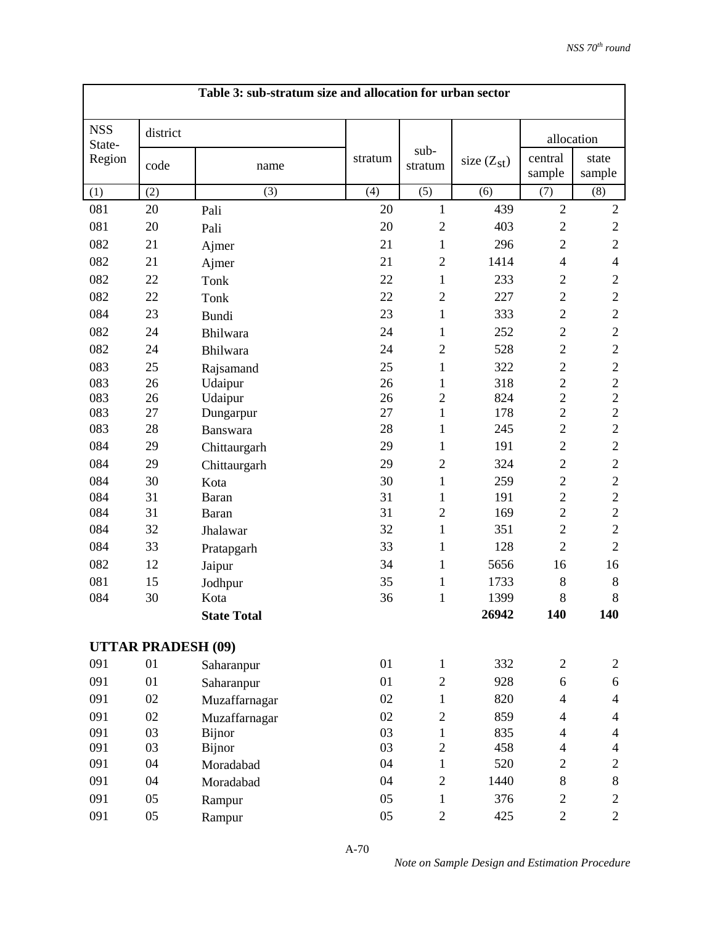| Table 3: sub-stratum size and allocation for urban sector |                           |                    |         |                 |                 |                          |                 |  |  |  |
|-----------------------------------------------------------|---------------------------|--------------------|---------|-----------------|-----------------|--------------------------|-----------------|--|--|--|
| <b>NSS</b><br>State-                                      | district                  |                    |         |                 |                 |                          | allocation      |  |  |  |
| Region                                                    | code                      | name               | stratum | sub-<br>stratum | size $(Z_{st})$ | central<br>sample        | state<br>sample |  |  |  |
| (1)                                                       | (2)                       | (3)                | (4)     | (5)             | (6)             | (7)                      | (8)             |  |  |  |
| 081                                                       | 20                        | Pali               | 20      | 1               | 439             | $\overline{2}$           | $\overline{2}$  |  |  |  |
| 081                                                       | 20                        | Pali               | 20      | $\overline{2}$  | 403             | $\mathbf{2}$             | $\sqrt{2}$      |  |  |  |
| 082                                                       | 21                        | Ajmer              | 21      | $\mathbf{1}$    | 296             | $\mathbf{2}$             | $\mathbf{2}$    |  |  |  |
| 082                                                       | 21                        | Ajmer              | 21      | $\overline{2}$  | 1414            | $\overline{4}$           | $\overline{4}$  |  |  |  |
| 082                                                       | 22                        | Tonk               | 22      | $\mathbf{1}$    | 233             | $\mathbf{2}$             | $\mathfrak{2}$  |  |  |  |
| 082                                                       | 22                        | Tonk               | 22      | $\overline{2}$  | 227             | $\overline{2}$           | $\overline{2}$  |  |  |  |
| 084                                                       | 23                        | Bundi              | 23      | 1               | 333             | $\overline{2}$           | $\overline{2}$  |  |  |  |
| 082                                                       | 24                        | Bhilwara           | 24      | $\mathbf{1}$    | 252             | $\mathbf{2}$             | $\sqrt{2}$      |  |  |  |
| 082                                                       | 24                        | Bhilwara           | 24      | $\mathfrak{2}$  | 528             | $\overline{2}$           | $\overline{2}$  |  |  |  |
| 083                                                       | 25                        | Rajsamand          | 25      | $\mathbf{1}$    | 322             | $\overline{c}$           | $\sqrt{2}$      |  |  |  |
| 083                                                       | 26                        | Udaipur            | 26      | $\mathbf{1}$    | 318             | $\overline{c}$           | $\sqrt{2}$      |  |  |  |
| 083                                                       | 26                        | Udaipur            | 26      | $\overline{c}$  | 824             | $\overline{c}$           | $\overline{2}$  |  |  |  |
| 083                                                       | 27                        | Dungarpur          | 27      | $\mathbf{1}$    | 178             | $\overline{c}$           | $\overline{2}$  |  |  |  |
| 083                                                       | 28                        | Banswara           | 28      | $\mathbf{1}$    | 245             | $\overline{2}$           | $\sqrt{2}$      |  |  |  |
| 084                                                       | 29                        | Chittaurgarh       | 29      | $\mathbf{1}$    | 191             | $\overline{2}$           | $\sqrt{2}$      |  |  |  |
| 084                                                       | 29                        | Chittaurgarh       | 29      | $\overline{c}$  | 324             | $\overline{2}$           | $\sqrt{2}$      |  |  |  |
| 084                                                       | 30                        | Kota               | 30      | $\mathbf{1}$    | 259             | $\overline{2}$           | $\sqrt{2}$      |  |  |  |
| 084                                                       | 31                        | <b>Baran</b>       | 31      | $\mathbf{1}$    | 191             | $\overline{2}$           | $\sqrt{2}$      |  |  |  |
| 084                                                       | 31                        | Baran              | 31      | $\overline{2}$  | 169             | $\overline{2}$           | $\overline{2}$  |  |  |  |
| 084                                                       | 32                        | Jhalawar           | 32      | $\mathbf{1}$    | 351             | $\overline{2}$           | $\sqrt{2}$      |  |  |  |
| 084                                                       | 33                        | Pratapgarh         | 33      | 1               | 128             | $\overline{2}$           | $\overline{2}$  |  |  |  |
| 082                                                       | 12                        | Jaipur             | 34      | $\mathbf{1}$    | 5656            | 16                       | 16              |  |  |  |
| 081                                                       | 15                        | Jodhpur            | 35      | $\mathbf{1}$    | 1733            | $\,8\,$                  | $8\,$           |  |  |  |
| 084                                                       | 30                        | Kota               | 36      | $\mathbf{1}$    | 1399            | 8                        | $\,8\,$         |  |  |  |
|                                                           |                           | <b>State Total</b> |         |                 | 26942           | 140                      | 140             |  |  |  |
|                                                           | <b>UTTAR PRADESH (09)</b> |                    |         |                 |                 |                          |                 |  |  |  |
| 091                                                       | 01                        | Saharanpur         | 01      | $\mathbf{1}$    | 332             | $\overline{c}$           | $\overline{c}$  |  |  |  |
| 091                                                       | 01                        | Saharanpur         | 01      | $\overline{2}$  | 928             | 6                        | 6               |  |  |  |
| 091                                                       | 02                        | Muzaffarnagar      | 02      | $\mathbf{1}$    | 820             | $\overline{4}$           | $\overline{4}$  |  |  |  |
| 091                                                       | 02                        | Muzaffarnagar      | 02      | $\overline{2}$  | 859             | $\overline{\mathcal{L}}$ | $\overline{4}$  |  |  |  |
| 091                                                       | 03                        | Bijnor             | 03      | $\mathbf{1}$    | 835             | $\overline{4}$           | $\overline{4}$  |  |  |  |
| 091                                                       | 03                        | <b>Bijnor</b>      | 03      | $\overline{2}$  | 458             | $\overline{4}$           | $\overline{4}$  |  |  |  |
| 091                                                       | 04                        | Moradabad          | 04      | $\mathbf{1}$    | 520             | $\overline{c}$           | $\mathbf{2}$    |  |  |  |
| 091                                                       | 04                        | Moradabad          | 04      | $\overline{2}$  | 1440            | $8\,$                    | $8\,$           |  |  |  |
| 091                                                       | 05                        | Rampur             | 05      | $\mathbf{1}$    | 376             | $\overline{c}$           | $\overline{c}$  |  |  |  |
| 091                                                       | 05                        | Rampur             | 05      | $\overline{2}$  | 425             | $\overline{c}$           | $\overline{2}$  |  |  |  |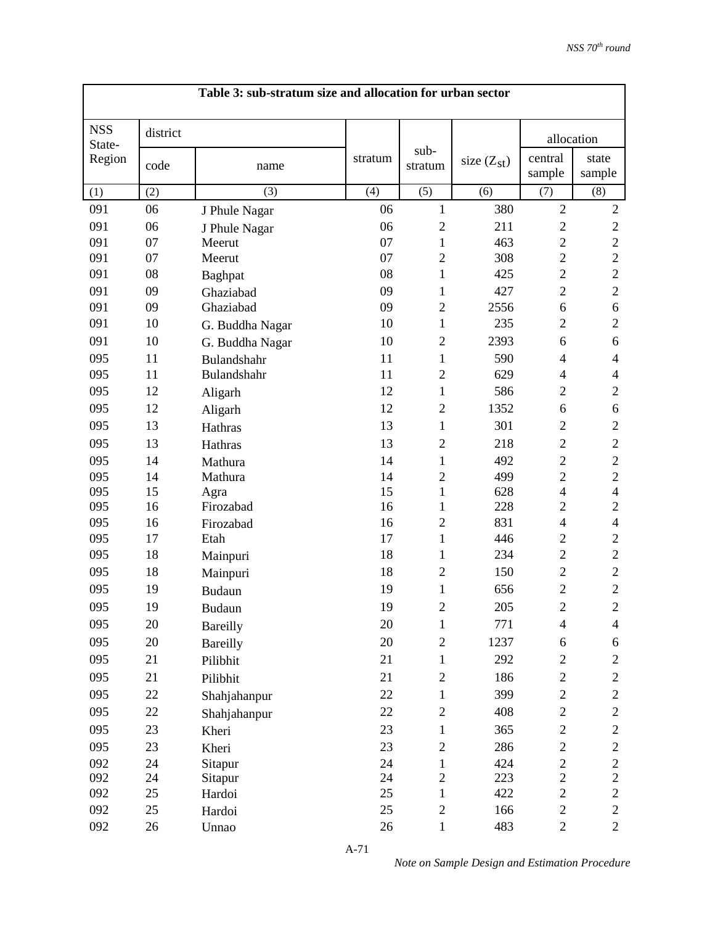|                      | Table 3: sub-stratum size and allocation for urban sector |                 |         |                 |                 |                          |                          |  |  |
|----------------------|-----------------------------------------------------------|-----------------|---------|-----------------|-----------------|--------------------------|--------------------------|--|--|
| <b>NSS</b><br>State- | district                                                  |                 |         |                 |                 | allocation               |                          |  |  |
| Region               | code                                                      | name            | stratum | sub-<br>stratum | size $(Z_{st})$ | central<br>sample        | state<br>sample          |  |  |
| (1)                  | (2)                                                       | (3)             | (4)     | (5)             | (6)             | (7)                      | (8)                      |  |  |
| 091                  | 06                                                        | J Phule Nagar   | 06      | $\mathbf{1}$    | 380             | $\overline{2}$           | $\mathfrak{2}$           |  |  |
| 091                  | 06                                                        | J Phule Nagar   | 06      | $\overline{c}$  | 211             | $\mathbf{2}$             | $\sqrt{2}$               |  |  |
| 091                  | 07                                                        | Meerut          | 07      | $\mathbf{1}$    | 463             | $\overline{2}$           | $\overline{c}$           |  |  |
| 091                  | 07                                                        | Meerut          | 07      | $\overline{2}$  | 308             | $\overline{2}$           | $\overline{2}$           |  |  |
| 091                  | 08                                                        | Baghpat         | 08      | 1               | 425             | $\overline{2}$           | $\overline{2}$           |  |  |
| 091                  | 09                                                        | Ghaziabad       | 09      | $\mathbf{1}$    | 427             | $\overline{2}$           | $\mathbf{2}$             |  |  |
| 091                  | 09                                                        | Ghaziabad       | 09      | $\overline{2}$  | 2556            | 6                        | 6                        |  |  |
| 091                  | 10                                                        | G. Buddha Nagar | 10      | $\mathbf{1}$    | 235             | $\overline{2}$           | $\overline{2}$           |  |  |
| 091                  | 10                                                        | G. Buddha Nagar | 10      | $\overline{2}$  | 2393            | 6                        | 6                        |  |  |
| 095                  | 11                                                        | Bulandshahr     | 11      | 1               | 590             | $\overline{\mathcal{L}}$ | $\overline{\mathcal{A}}$ |  |  |
| 095                  | 11                                                        | Bulandshahr     | 11      | $\overline{2}$  | 629             | $\overline{4}$           | $\overline{4}$           |  |  |
| 095                  | 12                                                        | Aligarh         | 12      | $\mathbf{1}$    | 586             | $\overline{2}$           | $\mathbf{2}$             |  |  |
| 095                  | 12                                                        | Aligarh         | 12      | $\overline{2}$  | 1352            | 6                        | 6                        |  |  |
| 095                  | 13                                                        | Hathras         | 13      | $\mathbf{1}$    | 301             | $\overline{2}$           | $\overline{2}$           |  |  |
| 095                  | 13                                                        | Hathras         | 13      | $\overline{2}$  | 218             | $\overline{2}$           | $\mathbf{2}$             |  |  |
| 095                  | 14                                                        | Mathura         | 14      | $\mathbf{1}$    | 492             | $\overline{2}$           | $\mathfrak{2}$           |  |  |
| 095                  | 14                                                        | Mathura         | 14      | $\overline{2}$  | 499             | $\mathbf{2}$             | $\overline{c}$           |  |  |
| 095                  | 15                                                        | Agra            | 15      | $\mathbf{1}$    | 628             | $\overline{4}$           | $\overline{4}$           |  |  |
| 095                  | 16                                                        | Firozabad       | 16      | 1               | 228             | $\overline{2}$           | $\overline{2}$           |  |  |
| 095                  | 16                                                        | Firozabad       | 16      | $\overline{2}$  | 831             | $\overline{\mathcal{A}}$ | $\overline{\mathcal{A}}$ |  |  |
| 095                  | 17                                                        | Etah            | 17      | $\mathbf{1}$    | 446             | $\overline{2}$           | $\overline{2}$           |  |  |
| 095                  | 18                                                        | Mainpuri        | 18      | 1               | 234             | $\mathbf{2}$             | $\overline{2}$           |  |  |
| 095                  | 18                                                        | Mainpuri        | 18      | $\overline{2}$  | 150             | $\mathbf{2}$             | $\mathbf{2}$             |  |  |
| 095                  | 19                                                        | <b>Budaun</b>   | 19      | 1               | 656             | $\overline{c}$           | $\overline{2}$           |  |  |
| 095                  | 19                                                        | Budaun          | 19      | $\overline{c}$  | 205             | $\overline{c}$           | $\overline{2}$           |  |  |
| 095                  | 20                                                        | Bareilly        | 20      | $\mathbf{1}$    | 771             | $\overline{4}$           | $\overline{4}$           |  |  |
| 095                  | 20                                                        | <b>Bareilly</b> | 20      | $\mathbf{2}$    | 1237            | 6                        | 6                        |  |  |
| 095                  | 21                                                        | Pilibhit        | 21      | $\mathbf{1}$    | 292             | $\mathbf{2}$             | 2                        |  |  |
| 095                  | 21                                                        | Pilibhit        | 21      | $\mathbf{2}$    | 186             | $\overline{c}$           | $\mathbf{2}$             |  |  |
| 095                  | 22                                                        | Shahjahanpur    | 22      | $\mathbf{1}$    | 399             | $\overline{c}$           | $\overline{c}$           |  |  |
| 095                  | 22                                                        | Shahjahanpur    | 22      | $\mathbf{2}$    | 408             | $\overline{c}$           | $\mathbf{2}$             |  |  |
| 095                  | 23                                                        | Kheri           | 23      | $\mathbf{1}$    | 365             | $\overline{c}$           | $\mathbf{2}$             |  |  |
| 095                  | 23                                                        | Kheri           | 23      | $\mathbf{2}$    | 286             | $\boldsymbol{2}$         | $\boldsymbol{2}$         |  |  |
| 092                  | 24                                                        | Sitapur         | 24      | $\mathbf{1}$    | 424             | $\overline{c}$           | $\sqrt{2}$               |  |  |
| 092                  | 24                                                        | Sitapur         | 24      | $\overline{2}$  | 223             | $\overline{c}$           | $\overline{2}$           |  |  |
| 092                  | 25                                                        | Hardoi          | 25      | $\mathbf{1}$    | 422             | $\overline{c}$           | $\overline{2}$           |  |  |
| 092                  | 25                                                        | Hardoi          | 25      | $\mathbf{2}$    | 166             | $\boldsymbol{2}$         | $\mathbf{2}$             |  |  |
| 092                  | 26                                                        | Unnao           | 26      | $\mathbf{1}$    | 483             | $\overline{c}$           | $\overline{c}$           |  |  |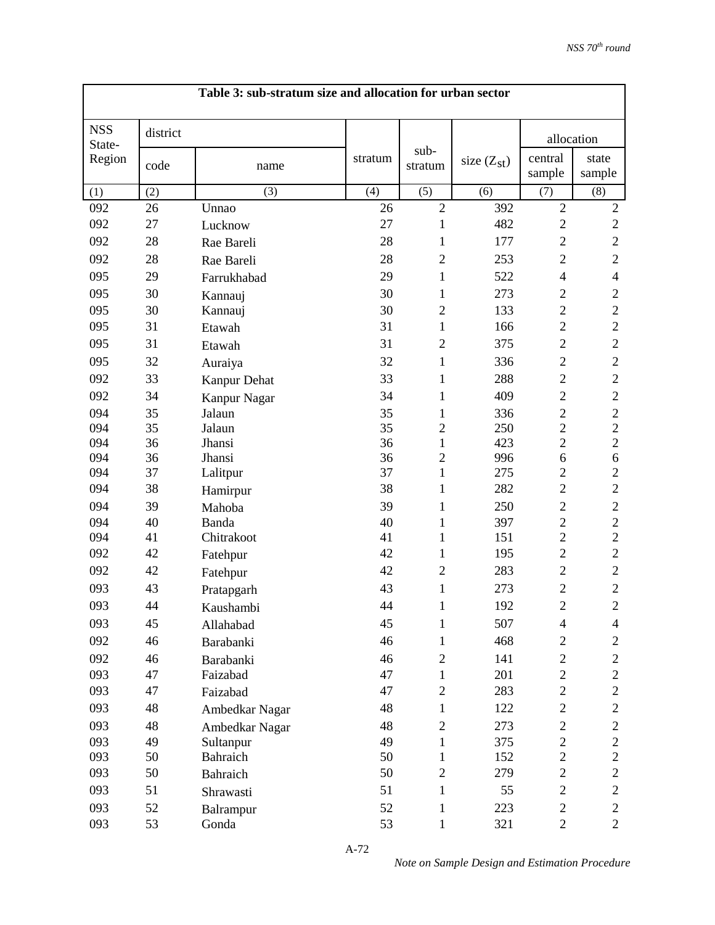|                      | Table 3: sub-stratum size and allocation for urban sector |                |         |                 |                 |                   |                  |  |  |
|----------------------|-----------------------------------------------------------|----------------|---------|-----------------|-----------------|-------------------|------------------|--|--|
| <b>NSS</b><br>State- | district                                                  |                |         |                 |                 | allocation        |                  |  |  |
| Region               | code                                                      | name           | stratum | sub-<br>stratum | size $(Z_{st})$ | central<br>sample | state<br>sample  |  |  |
| (1)                  | (2)                                                       | (3)            | (4)     | (5)             | (6)             | (7)               | (8)              |  |  |
| 092                  | 26                                                        | Unnao          | 26      | $\overline{2}$  | 392             | $\overline{2}$    | $\mathbf{2}$     |  |  |
| 092                  | 27                                                        | Lucknow        | 27      | $\mathbf{1}$    | 482             | $\mathbf{2}$      | $\sqrt{2}$       |  |  |
| 092                  | 28                                                        | Rae Bareli     | 28      | 1               | 177             | $\overline{2}$    | $\sqrt{2}$       |  |  |
| 092                  | 28                                                        | Rae Bareli     | 28      | $\overline{2}$  | 253             | $\mathbf{2}$      | $\mathbf{2}$     |  |  |
| 095                  | 29                                                        | Farrukhabad    | 29      | 1               | 522             | $\overline{4}$    | $\overline{4}$   |  |  |
| 095                  | 30                                                        | Kannauj        | 30      | $\mathbf{1}$    | 273             | $\overline{2}$    | $\mathbf{2}$     |  |  |
| 095                  | 30                                                        | Kannauj        | 30      | $\overline{2}$  | 133             | $\overline{2}$    | $\overline{2}$   |  |  |
| 095                  | 31                                                        | Etawah         | 31      | $\mathbf{1}$    | 166             | $\overline{2}$    | $\mathbf{2}$     |  |  |
| 095                  | 31                                                        | Etawah         | 31      | $\overline{2}$  | 375             | $\overline{2}$    | $\mathbf{2}$     |  |  |
| 095                  | 32                                                        | Auraiya        | 32      | $\mathbf{1}$    | 336             | $\overline{2}$    | $\overline{2}$   |  |  |
| 092                  | 33                                                        | Kanpur Dehat   | 33      | 1               | 288             | $\overline{2}$    | $\sqrt{2}$       |  |  |
| 092                  | 34                                                        | Kanpur Nagar   | 34      | $\mathbf{1}$    | 409             | $\overline{2}$    | $\sqrt{2}$       |  |  |
| 094                  | 35                                                        | Jalaun         | 35      | $\mathbf{1}$    | 336             | $\overline{2}$    | $\overline{c}$   |  |  |
| 094                  | 35                                                        | Jalaun         | 35      | $\overline{2}$  | 250             | $\overline{2}$    | $\overline{2}$   |  |  |
| 094                  | 36                                                        | Jhansi         | 36      | $\mathbf{1}$    | 423             | $\overline{2}$    | $\overline{2}$   |  |  |
| 094                  | 36                                                        | Jhansi         | 36      | $\overline{2}$  | 996             | 6                 | $\boldsymbol{6}$ |  |  |
| 094                  | 37                                                        | Lalitpur       | 37      | 1               | 275             | $\overline{2}$    | $\overline{2}$   |  |  |
| 094                  | 38                                                        | Hamirpur       | 38      | $\mathbf{1}$    | 282             | $\overline{c}$    | $\overline{c}$   |  |  |
| 094                  | 39                                                        | Mahoba         | 39      | 1               | 250             | $\overline{2}$    | $\mathbf{2}$     |  |  |
| 094                  | 40                                                        | Banda          | 40      | 1               | 397             | $\overline{c}$    | $\overline{c}$   |  |  |
| 094                  | 41                                                        | Chitrakoot     | 41      | $\mathbf{1}$    | 151             | $\overline{2}$    | $\overline{2}$   |  |  |
| 092                  | 42                                                        | Fatehpur       | 42      | 1               | 195             | $\overline{2}$    | $\overline{2}$   |  |  |
| 092                  | 42                                                        | Fatehpur       | 42      | $\overline{2}$  | 283             | $\overline{2}$    | $\overline{c}$   |  |  |
| 093                  | 43                                                        | Pratapgarh     | 43      | $\mathbf{1}$    | 273             | $\overline{c}$    | $\mathbf{2}$     |  |  |
| 093                  | 44                                                        | Kaushambi      | 44      | $\mathbf{1}$    | 192             | $\overline{c}$    | $\sqrt{2}$       |  |  |
| 093                  | 45                                                        | Allahabad      | 45      | $\mathbf{1}$    | 507             | $\overline{4}$    | 4                |  |  |
| 092                  | 46                                                        | Barabanki      | 46      | $\mathbf{1}$    | 468             | $\mathbf{2}$      | $\overline{c}$   |  |  |
| 092                  | 46                                                        | Barabanki      | 46      | $\overline{c}$  | 141             | $\mathbf{2}$      | $\mathbf{2}$     |  |  |
| 093                  | 47                                                        | Faizabad       | 47      | 1               | 201             | $\overline{c}$    | $\overline{c}$   |  |  |
| 093                  | 47                                                        | Faizabad       | 47      | $\mathfrak{2}$  | 283             | $\mathbf{2}$      | $\mathbf{2}$     |  |  |
| 093                  | 48                                                        | Ambedkar Nagar | 48      | 1               | 122             | $\mathbf{2}$      | $\mathbf{2}$     |  |  |
| 093                  | 48                                                        | Ambedkar Nagar | 48      | $\overline{2}$  | 273             | $\mathbf{2}$      | $\overline{c}$   |  |  |
| 093                  | 49                                                        | Sultanpur      | 49      | 1               | 375             | $\overline{c}$    | $\overline{c}$   |  |  |
| 093                  | 50                                                        | Bahraich       | 50      | 1               | 152             | $\overline{2}$    | $\overline{c}$   |  |  |
| 093                  | 50                                                        | Bahraich       | 50      | $\overline{2}$  | 279             | $\overline{2}$    | $\mathbf{2}$     |  |  |
| 093                  | 51                                                        | Shrawasti      | 51      | $\mathbf{1}$    | 55              | $\mathbf{2}$      | $\mathbf{2}$     |  |  |
| 093                  | 52                                                        | Balrampur      | 52      | 1               | 223             | $\mathbf{2}$      | $\sqrt{2}$       |  |  |
| 093                  | 53                                                        | Gonda          | 53      | $\mathbf{1}$    | 321             | $\overline{c}$    | $\overline{2}$   |  |  |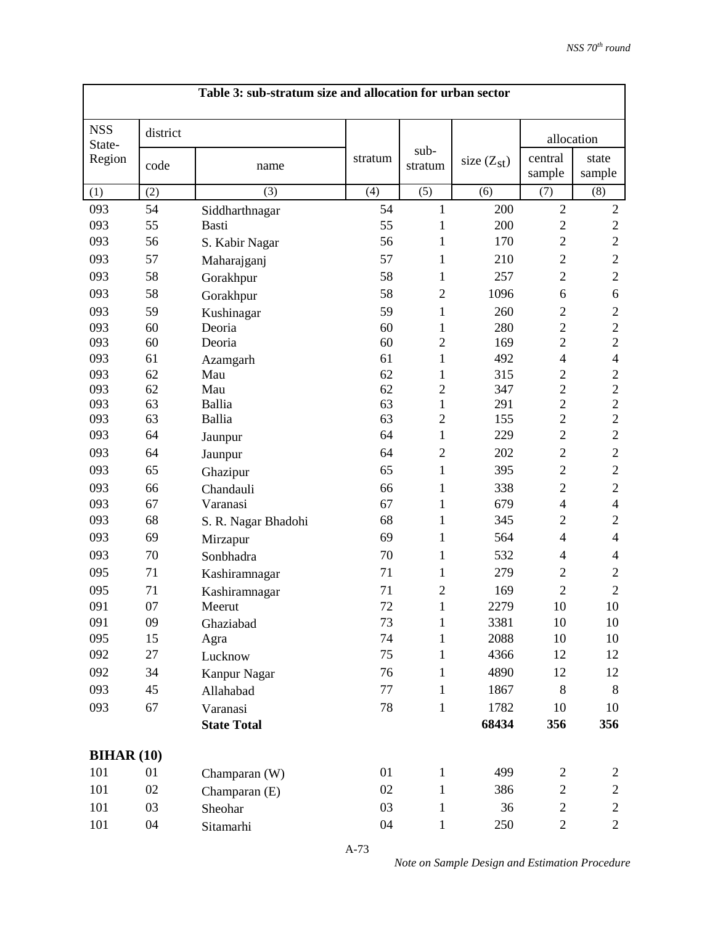|                      | Table 3: sub-stratum size and allocation for urban sector |                     |         |                 |                 |                   |                 |  |
|----------------------|-----------------------------------------------------------|---------------------|---------|-----------------|-----------------|-------------------|-----------------|--|
| <b>NSS</b><br>State- | district                                                  |                     |         |                 |                 | allocation        |                 |  |
| Region               | code                                                      | name                | stratum | sub-<br>stratum | size $(Z_{st})$ | central<br>sample | state<br>sample |  |
| (1)                  | (2)                                                       | (3)                 | (4)     | (5)             | (6)             | (7)               | (8)             |  |
| 093                  | 54                                                        | Siddharthnagar      | 54      | $\mathbf{1}$    | 200             | $\overline{2}$    | $\sqrt{2}$      |  |
| 093                  | 55                                                        | Basti               | 55      | 1               | 200             | $\mathbf{2}$      | $\overline{2}$  |  |
| 093                  | 56                                                        | S. Kabir Nagar      | 56      | 1               | 170             | $\overline{2}$    | $\overline{c}$  |  |
| 093                  | 57                                                        | Maharajganj         | 57      | 1               | 210             | $\overline{2}$    | $\mathbf{2}$    |  |
| 093                  | 58                                                        | Gorakhpur           | 58      | 1               | 257             | $\overline{2}$    | $\mathbf{2}$    |  |
| 093                  | 58                                                        | Gorakhpur           | 58      | $\mathfrak{2}$  | 1096            | 6                 | 6               |  |
| 093                  | 59                                                        | Kushinagar          | 59      | $\mathbf{1}$    | 260             | $\overline{2}$    | $\overline{c}$  |  |
| 093                  | 60                                                        | Deoria              | 60      | 1               | 280             | $\overline{c}$    | $\mathbf{2}$    |  |
| 093                  | 60                                                        | Deoria              | 60      | $\overline{2}$  | 169             | $\overline{2}$    | $\overline{2}$  |  |
| 093                  | 61                                                        | Azamgarh            | 61      | $\mathbf{1}$    | 492             | $\overline{4}$    | $\overline{4}$  |  |
| 093                  | 62                                                        | Mau                 | 62      | $\mathbf{1}$    | 315             | $\overline{c}$    | $\overline{c}$  |  |
| 093                  | 62                                                        | Mau                 | 62      | $\overline{c}$  | 347             | $\overline{c}$    | $\overline{c}$  |  |
| 093                  | 63                                                        | Ballia              | 63      | $\mathbf{1}$    | 291             | $\overline{c}$    | $\sqrt{2}$      |  |
| 093                  | 63                                                        | Ballia              | 63      | $\overline{2}$  | 155             | $\overline{c}$    | $\overline{c}$  |  |
| 093                  | 64                                                        | Jaunpur             | 64      | $\mathbf{1}$    | 229             | $\overline{2}$    | $\overline{2}$  |  |
| 093                  | 64                                                        | Jaunpur             | 64      | $\overline{2}$  | 202             | $\overline{2}$    | $\overline{2}$  |  |
| 093                  | 65                                                        | Ghazipur            | 65      | 1               | 395             | $\overline{2}$    | $\overline{2}$  |  |
| 093                  | 66                                                        | Chandauli           | 66      | $\mathbf{1}$    | 338             | $\mathbf{2}$      | $\mathbf{2}$    |  |
| 093                  | 67                                                        | Varanasi            | 67      | 1               | 679             | $\overline{4}$    | $\overline{4}$  |  |
| 093                  | 68                                                        | S. R. Nagar Bhadohi | 68      | 1               | 345             | $\overline{2}$    | $\overline{2}$  |  |
| 093                  | 69                                                        | Mirzapur            | 69      | $\mathbf{1}$    | 564             | $\overline{4}$    | $\overline{4}$  |  |
| 093                  | 70                                                        | Sonbhadra           | 70      | 1               | 532             | $\overline{4}$    | 4               |  |
| 095                  | 71                                                        | Kashiramnagar       | 71      | $\mathbf{1}$    | 279             | $\overline{2}$    | $\overline{2}$  |  |
| 095                  | 71                                                        | Kashiramnagar       | 71      | $\overline{2}$  | 169             | $\overline{2}$    | $\overline{2}$  |  |
| 091                  | 07                                                        | Meerut              | 72      | $\mathbf{1}$    | 2279            | 10                | 10              |  |
| 091                  | 09                                                        | Ghaziabad           | 73      | $\mathbf{1}$    | 3381            | 10                | 10              |  |
| 095                  | 15                                                        | Agra                | 74      | 1               | 2088            | 10                | 10              |  |
| 092                  | 27                                                        | Lucknow             | 75      | 1               | 4366            | 12                | 12              |  |
| 092                  | 34                                                        | Kanpur Nagar        | 76      | $\mathbf{1}$    | 4890            | 12                | 12              |  |
| 093                  | 45                                                        | Allahabad           | 77      | 1               | 1867            | 8                 | 8               |  |
| 093                  | 67                                                        | Varanasi            | 78      | $\mathbf{1}$    | 1782            | 10                | 10              |  |
|                      |                                                           | <b>State Total</b>  |         |                 | 68434           | 356               | 356             |  |
|                      |                                                           |                     |         |                 |                 |                   |                 |  |
| <b>BIHAR (10)</b>    |                                                           |                     |         |                 |                 |                   |                 |  |
| 101                  | 01                                                        | Champaran (W)       | 01      | 1               | 499             | $\overline{c}$    | $\overline{c}$  |  |
| 101                  | 02                                                        | Champaran (E)       | 02      | $\mathbf{1}$    | 386             | $\mathbf{2}$      | $\overline{c}$  |  |
| 101                  | 03                                                        | Sheohar             | 03      | 1               | 36              | $\mathbf{2}$      | $\overline{c}$  |  |
| 101                  | 04                                                        | Sitamarhi           | 04      | $\mathbf{1}$    | 250             | $\overline{c}$    | $\mathbf{2}$    |  |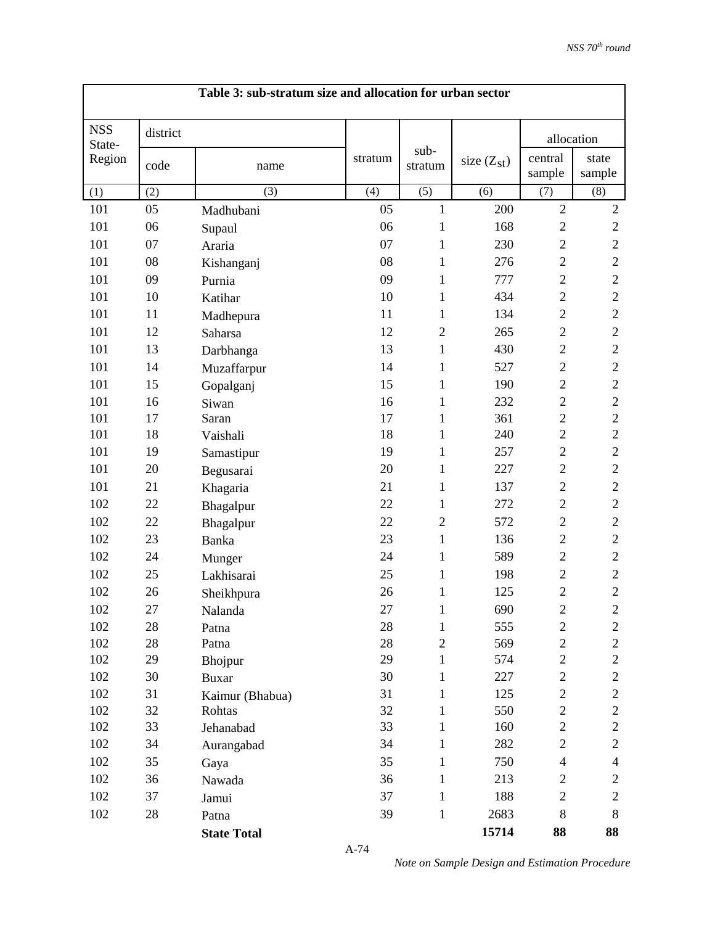|                      | Table 3: sub-stratum size and allocation for urban sector |                    |         |                 |                 |                   |                  |  |  |  |
|----------------------|-----------------------------------------------------------|--------------------|---------|-----------------|-----------------|-------------------|------------------|--|--|--|
| <b>NSS</b><br>State- | district                                                  |                    |         |                 |                 | allocation        |                  |  |  |  |
| Region               | code                                                      | name               | stratum | sub-<br>stratum | size $(Z_{st})$ | central<br>sample | state<br>sample  |  |  |  |
| (1)                  | (2)                                                       | (3)                | (4)     | (5)             | (6)             | (7)               | (8)              |  |  |  |
| 101                  | 05                                                        | Madhubani          | 05      | $\mathbf{1}$    | 200             | $\overline{2}$    | $\sqrt{2}$       |  |  |  |
| 101                  | 06                                                        | Supaul             | 06      | 1               | 168             | $\mathbf{2}$      | $\overline{c}$   |  |  |  |
| 101                  | 07                                                        | Araria             | 07      | 1               | 230             | $\overline{2}$    | $\overline{c}$   |  |  |  |
| 101                  | 08                                                        | Kishanganj         | 08      | 1               | 276             | $\mathbf{2}$      | $\mathbf{2}$     |  |  |  |
| 101                  | 09                                                        | Purnia             | 09      | 1               | 777             | $\overline{2}$    | $\mathbf{2}$     |  |  |  |
| 101                  | 10                                                        | Katihar            | 10      | 1               | 434             | $\overline{2}$    | $\overline{c}$   |  |  |  |
| 101                  | 11                                                        | Madhepura          | 11      | 1               | 134             | $\overline{c}$    | $\overline{2}$   |  |  |  |
| 101                  | 12                                                        | Saharsa            | 12      | $\overline{2}$  | 265             | $\mathbf{2}$      | $\mathbf{2}$     |  |  |  |
| 101                  | 13                                                        | Darbhanga          | 13      | $\mathbf{1}$    | 430             | $\overline{c}$    | $\overline{c}$   |  |  |  |
| 101                  | 14                                                        | Muzaffarpur        | 14      | 1               | 527             | $\mathbf{2}$      | $\mathbf{2}$     |  |  |  |
| 101                  | 15                                                        | Gopalganj          | 15      | $\mathbf{1}$    | 190             | $\overline{c}$    | $\overline{c}$   |  |  |  |
| 101                  | 16                                                        | Siwan              | 16      | 1               | 232             | $\overline{c}$    | $\overline{c}$   |  |  |  |
| 101                  | 17                                                        | Saran              | 17      | 1               | 361             | $\overline{c}$    | $\overline{c}$   |  |  |  |
| 101                  | 18                                                        | Vaishali           | 18      | 1               | 240             | $\overline{c}$    | $\overline{2}$   |  |  |  |
| 101                  | 19                                                        | Samastipur         | 19      | 1               | 257             | $\overline{2}$    | $\mathbf{2}$     |  |  |  |
| 101                  | 20                                                        | Begusarai          | 20      | 1               | 227             | $\overline{c}$    | $\overline{c}$   |  |  |  |
| 101                  | 21                                                        | Khagaria           | 21      | 1               | 137             | $\overline{2}$    | $\mathbf{2}$     |  |  |  |
| 102                  | 22                                                        | Bhagalpur          | 22      | 1               | 272             | $\overline{2}$    | $\overline{2}$   |  |  |  |
| 102                  | 22                                                        | Bhagalpur          | 22      | $\overline{2}$  | 572             | $\overline{c}$    | $\overline{c}$   |  |  |  |
| 102                  | 23                                                        | <b>Banka</b>       | 23      | 1               | 136             | $\overline{2}$    | $\overline{2}$   |  |  |  |
| 102                  | 24                                                        | Munger             | 24      | 1               | 589             | $\overline{2}$    | $\mathbf{2}$     |  |  |  |
| 102                  | 25                                                        | Lakhisarai         | 25      | 1               | 198             | $\overline{c}$    | $\overline{2}$   |  |  |  |
| 102                  | 26                                                        | Sheikhpura         | 26      | 1               | 125             | $\overline{c}$    | $\overline{2}$   |  |  |  |
| 102                  | 27                                                        | Nalanda            | 27      | $\mathbf{1}$    | 690             | $\sqrt{2}$        | $\sqrt{2}$       |  |  |  |
| 102                  | 28                                                        | Patna              | 28      | 1               | 555             | $\sqrt{2}$        | $\sqrt{2}$       |  |  |  |
| 102                  | 28                                                        | Patna              | 28      | $\overline{c}$  | 569             | $\overline{c}$    | $\overline{c}$   |  |  |  |
| 102                  | 29                                                        | Bhojpur            | 29      | 1               | 574             | $\overline{2}$    | $\mathbf{2}$     |  |  |  |
| 102                  | 30                                                        | <b>Buxar</b>       | 30      | 1               | 227             | $\mathbf{2}$      | $\mathbf{2}$     |  |  |  |
| 102                  | 31                                                        | Kaimur (Bhabua)    | 31      | 1               | 125             | $\sqrt{2}$        | $\overline{c}$   |  |  |  |
| 102                  | 32                                                        | Rohtas             | 32      | 1               | 550             | $\overline{2}$    | $\boldsymbol{2}$ |  |  |  |
| 102                  | 33                                                        | Jehanabad          | 33      | $\mathbf{1}$    | 160             | $\overline{2}$    | $\overline{c}$   |  |  |  |
| 102                  | 34                                                        | Aurangabad         | 34      | 1               | 282             | $\mathbf{2}$      | $\overline{2}$   |  |  |  |
| 102                  | 35                                                        | Gaya               | 35      | $\mathbf{1}$    | 750             | $\overline{4}$    | $\overline{4}$   |  |  |  |
| 102                  | 36                                                        | Nawada             | 36      | 1               | 213             | $\overline{c}$    | $\mathbf{2}$     |  |  |  |
| 102                  | 37                                                        | Jamui              | 37      | $\mathbf{1}$    | 188             | $\overline{c}$    | $\overline{2}$   |  |  |  |
| 102                  | 28                                                        | Patna              | 39      | $\mathbf{1}$    | 2683            | $8\,$             | 8                |  |  |  |
|                      |                                                           | <b>State Total</b> |         |                 | 15714           | 88                | 88               |  |  |  |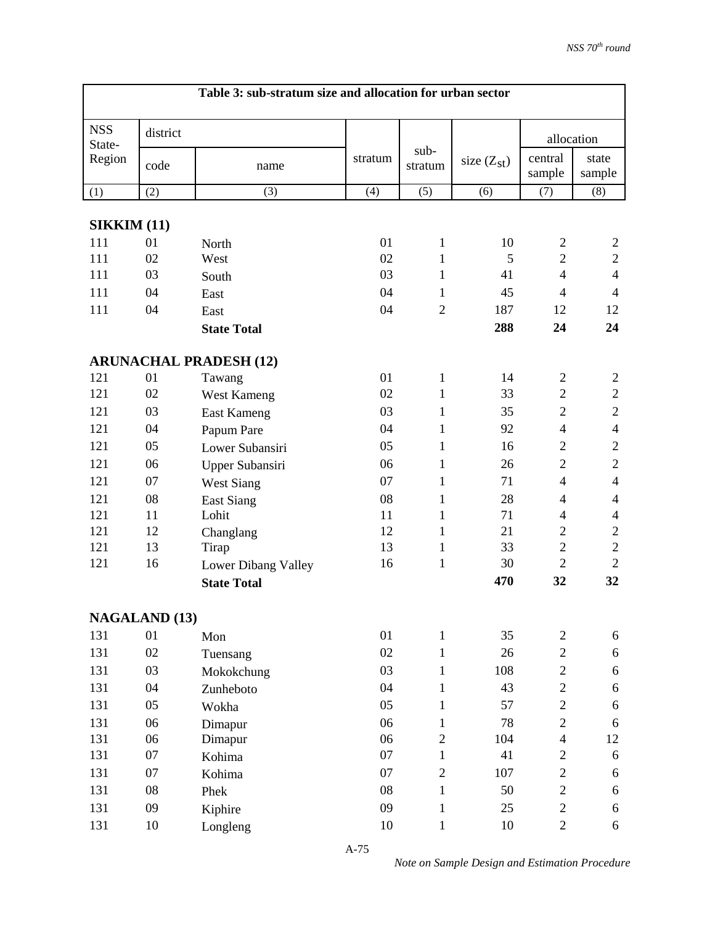|                      | Table 3: sub-stratum size and allocation for urban sector |                               |         |                 |                 |                          |                          |  |
|----------------------|-----------------------------------------------------------|-------------------------------|---------|-----------------|-----------------|--------------------------|--------------------------|--|
| <b>NSS</b><br>State- | district                                                  |                               |         |                 |                 |                          | allocation               |  |
| Region               | code                                                      | name                          | stratum | sub-<br>stratum | size $(Z_{st})$ | central<br>sample        | state<br>sample          |  |
| (1)                  | (2)                                                       | (3)                           | (4)     | (5)             | (6)             | (7)                      | (8)                      |  |
| <b>SIKKIM (11)</b>   |                                                           |                               |         |                 |                 |                          |                          |  |
| 111                  | 01                                                        | North                         | 01      | $\mathbf{1}$    | 10              | $\overline{2}$           | $\overline{c}$           |  |
| 111                  | 02                                                        | West                          | 02      | 1               | 5               | $\mathbf{2}$             | $\mathbf{2}$             |  |
| 111                  | 03                                                        | South                         | 03      | 1               | 41              | $\overline{4}$           | $\overline{4}$           |  |
| 111                  | 04                                                        | East                          | 04      | 1               | 45              | $\overline{4}$           | $\overline{4}$           |  |
| 111                  | 04                                                        | East                          | 04      | $\overline{2}$  | 187             | 12                       | 12                       |  |
|                      |                                                           | <b>State Total</b>            |         |                 | 288             | 24                       | 24                       |  |
|                      |                                                           | <b>ARUNACHAL PRADESH (12)</b> |         |                 |                 |                          |                          |  |
| 121                  | 01                                                        | Tawang                        | 01      | $\mathbf{1}$    | 14              | $\overline{2}$           | $\overline{2}$           |  |
| 121                  | 02                                                        | West Kameng                   | 02      | $\mathbf{1}$    | 33              | $\overline{2}$           | $\overline{2}$           |  |
| 121                  | 03                                                        | <b>East Kameng</b>            | 03      | $\mathbf{1}$    | 35              | $\mathbf{2}$             | $\sqrt{2}$               |  |
| 121                  | 04                                                        | Papum Pare                    | 04      | 1               | 92              | $\overline{4}$           | $\overline{4}$           |  |
| 121                  | 05                                                        | Lower Subansiri               | 05      | $\mathbf{1}$    | 16              | $\mathbf{2}$             | $\mathfrak{2}$           |  |
| 121                  | 06                                                        | Upper Subansiri               | 06      | $\mathbf{1}$    | 26              | $\overline{2}$           | $\overline{2}$           |  |
| 121                  | 07                                                        | <b>West Siang</b>             | 07      | 1               | 71              | $\overline{4}$           | $\overline{4}$           |  |
| 121                  | 08                                                        | <b>East Siang</b>             | 08      | 1               | 28              | $\overline{4}$           | $\overline{\mathcal{A}}$ |  |
| 121                  | 11                                                        | Lohit                         | 11      | 1               | 71              | $\overline{\mathcal{A}}$ | $\overline{4}$           |  |
| 121                  | 12                                                        | Changlang                     | 12      | $\mathbf{1}$    | 21              | $\mathbf{2}$             | $\sqrt{2}$               |  |
| 121                  | 13                                                        | Tirap                         | 13      | 1               | 33              | $\overline{2}$           | $\overline{2}$           |  |
| 121                  | 16                                                        | Lower Dibang Valley           | 16      | $\mathbf{1}$    | 30              | $\overline{2}$           | $\overline{2}$           |  |
|                      |                                                           | <b>State Total</b>            |         |                 | 470             | 32                       | 32                       |  |
|                      | <b>NAGALAND (13)</b>                                      |                               |         |                 |                 |                          |                          |  |
| 131                  | 01                                                        | Mon                           | 01      | $\mathbf{1}$    | 35              | $\overline{c}$           | 6                        |  |
| 131                  | 02                                                        | Tuensang                      | 02      | $\mathbf{1}$    | 26              | $\overline{c}$           | 6                        |  |
| 131                  | 03                                                        | Mokokchung                    | 03      | $\mathbf{1}$    | 108             | $\overline{c}$           | 6                        |  |
| 131                  | 04                                                        | Zunheboto                     | 04      | $\mathbf{1}$    | 43              | $\overline{c}$           | 6                        |  |
| 131                  | 05                                                        | Wokha                         | 05      | $\mathbf{1}$    | 57              | $\overline{2}$           | 6                        |  |
| 131                  | 06                                                        | Dimapur                       | 06      | $\mathbf{1}$    | 78              | $\overline{c}$           | 6                        |  |
| 131                  | 06                                                        | Dimapur                       | 06      | $\sqrt{2}$      | 104             | $\overline{4}$           | 12                       |  |
| 131                  | 07                                                        | Kohima                        | 07      | $\mathbf{1}$    | 41              | $\overline{c}$           | 6                        |  |
| 131                  | 07                                                        | Kohima                        | 07      | $\overline{2}$  | 107             | $\overline{c}$           | 6                        |  |
| 131                  | ${\bf 08}$                                                | Phek                          | 08      | $\mathbf{1}$    | 50              | $\overline{c}$           | 6                        |  |
| 131                  | 09                                                        | Kiphire                       | 09      | $\mathbf{1}$    | 25              | $\mathbf{2}$             | 6                        |  |
| 131                  | $10\,$                                                    | Longleng                      | 10      | $\mathbf{1}$    | 10              | $\overline{2}$           | 6                        |  |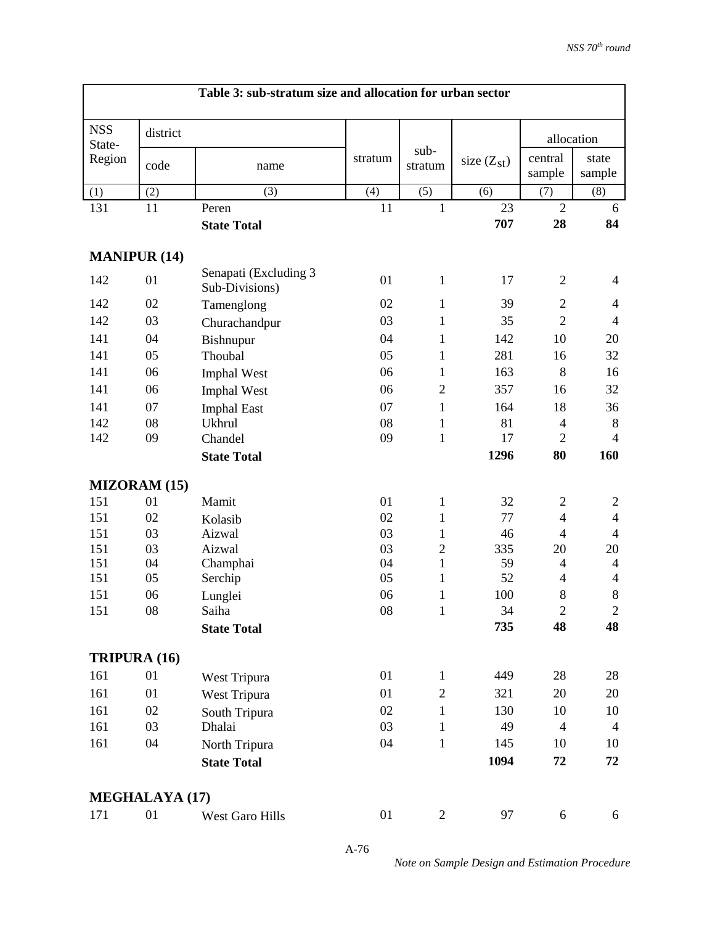|                      | Table 3: sub-stratum size and allocation for urban sector |                                         |            |                              |                 |                           |                     |  |  |  |
|----------------------|-----------------------------------------------------------|-----------------------------------------|------------|------------------------------|-----------------|---------------------------|---------------------|--|--|--|
| <b>NSS</b><br>State- | district                                                  |                                         |            |                              |                 | allocation                |                     |  |  |  |
| Region               | code                                                      | name                                    | stratum    | sub-<br>stratum              | size $(Z_{st})$ | central<br>sample         | state<br>sample     |  |  |  |
| (1)                  | (2)                                                       | (3)                                     | (4)        | (5)                          | (6)             | (7)                       | (8)                 |  |  |  |
| 131                  | 11                                                        | Peren                                   | 11         | $\mathbf{1}$                 | 23              | $\overline{2}$            | 6                   |  |  |  |
|                      |                                                           | <b>State Total</b>                      |            |                              | 707             | 28                        | 84                  |  |  |  |
| <b>MANIPUR (14)</b>  |                                                           |                                         |            |                              |                 |                           |                     |  |  |  |
| 142                  | 01                                                        | Senapati (Excluding 3<br>Sub-Divisions) | 01         | $\mathbf{1}$                 | 17              | $\overline{2}$            | $\overline{4}$      |  |  |  |
| 142                  | 02                                                        | Tamenglong                              | 02         | $\mathbf{1}$                 | 39              | $\overline{2}$            | $\overline{4}$      |  |  |  |
| 142                  | 03                                                        | Churachandpur                           | 03         | $\mathbf{1}$                 | 35              | $\overline{2}$            | $\overline{4}$      |  |  |  |
| 141                  | 04                                                        | Bishnupur                               | 04         | 1                            | 142             | 10                        | 20                  |  |  |  |
| 141                  | 05                                                        | Thoubal                                 | 05         | 1                            | 281             | 16                        | 32                  |  |  |  |
| 141                  | 06                                                        | <b>Imphal West</b>                      | 06         | 1                            | 163             | 8                         | 16                  |  |  |  |
| 141                  | 06                                                        | <b>Imphal West</b>                      | 06         | $\overline{2}$               | 357             | 16                        | 32                  |  |  |  |
| 141                  | 07                                                        | <b>Imphal East</b>                      | 07         | $\mathbf{1}$                 | 164             | 18                        | 36                  |  |  |  |
| 142                  | 08                                                        | <b>Ukhrul</b>                           | 08         | $\mathbf{1}$                 | 81              | $\overline{4}$            | $\,8\,$             |  |  |  |
| 142                  | 09                                                        | Chandel                                 | 09         | $\mathbf{1}$                 | 17              | $\overline{2}$            | $\overline{4}$      |  |  |  |
|                      |                                                           | <b>State Total</b>                      |            |                              | 1296            | 80                        | 160                 |  |  |  |
|                      | <b>MIZORAM (15)</b>                                       |                                         |            |                              |                 |                           |                     |  |  |  |
| 151                  | 01                                                        | Mamit                                   | 01         | $\mathbf{1}$                 | 32              | $\overline{c}$            | $\overline{c}$      |  |  |  |
| 151                  | 02                                                        | Kolasib                                 | 02         | $\mathbf{1}$                 | 77              | $\overline{4}$            | $\overline{4}$      |  |  |  |
| 151                  | 03                                                        | Aizwal                                  | 03         | 1                            | 46              | $\overline{4}$            | $\overline{4}$      |  |  |  |
| 151                  | 03                                                        | Aizwal                                  | 03         | $\overline{2}$               | 335             | 20                        | 20                  |  |  |  |
| 151                  | 04                                                        | Champhai                                | 04         | $\mathbf{1}$                 | 59              | $\overline{4}$            | $\overline{4}$      |  |  |  |
| 151<br>151           | 05<br>06                                                  | Serchip                                 | 05<br>06   | $\mathbf{1}$<br>$\mathbf{1}$ | 52<br>100       | $\overline{4}$<br>$\bf 8$ | $\overline{4}$<br>8 |  |  |  |
| 151                  | 08                                                        | Lunglei<br>Saiha                        | ${\bf 08}$ | $\mathbf{1}$                 | 34              | $\mathfrak{2}$            | $\mathbf{2}$        |  |  |  |
|                      |                                                           |                                         |            |                              | 735             | 48                        | 48                  |  |  |  |
|                      |                                                           | <b>State Total</b>                      |            |                              |                 |                           |                     |  |  |  |
| <b>TRIPURA (16)</b>  |                                                           |                                         |            |                              |                 |                           |                     |  |  |  |
| 161                  | 01                                                        | West Tripura                            | 01         | $\mathbf{1}$                 | 449             | 28                        | 28                  |  |  |  |
| 161                  | 01                                                        | West Tripura                            | 01         | $\overline{2}$               | 321             | 20                        | 20                  |  |  |  |
| 161                  | 02                                                        | South Tripura                           | 02         | $\mathbf{1}$                 | 130             | 10                        | 10                  |  |  |  |
| 161                  | 03                                                        | Dhalai                                  | 03         | $\mathbf{1}$                 | 49              | $\overline{4}$            | $\overline{4}$      |  |  |  |
| 161                  | 04                                                        | North Tripura                           | 04         | $\mathbf{1}$                 | 145             | 10                        | 10                  |  |  |  |
|                      |                                                           | <b>State Total</b>                      |            |                              | 1094            | 72                        | 72                  |  |  |  |
|                      | <b>MEGHALAYA (17)</b>                                     |                                         |            |                              |                 |                           |                     |  |  |  |
| 171                  | 01                                                        | West Garo Hills                         | 01         | $\overline{2}$               | 97              | 6                         | 6                   |  |  |  |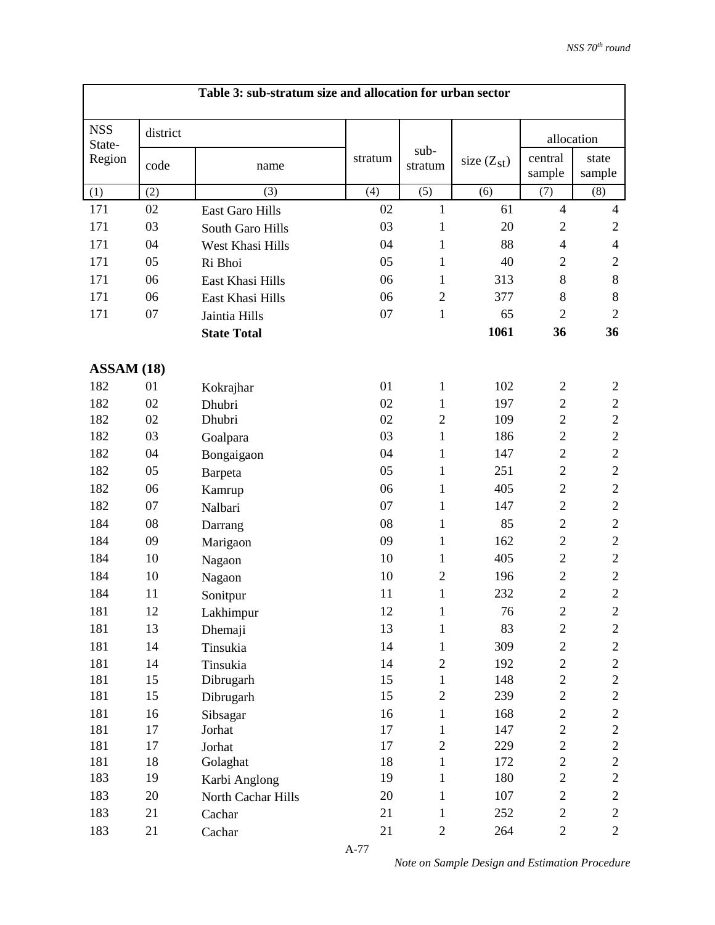|                      |          | Table 3: sub-stratum size and allocation for urban sector |         |                 |                 |                   |                  |
|----------------------|----------|-----------------------------------------------------------|---------|-----------------|-----------------|-------------------|------------------|
| <b>NSS</b><br>State- | district |                                                           |         |                 |                 | allocation        |                  |
| Region               | code     | name                                                      | stratum | sub-<br>stratum | size $(Z_{st})$ | central<br>sample | state<br>sample  |
| (1)                  | (2)      | (3)                                                       | (4)     | (5)             | (6)             | (7)               | (8)              |
| 171                  | 02       | <b>East Garo Hills</b>                                    | 02      | 1               | 61              | $\overline{4}$    | $\overline{4}$   |
| 171                  | 03       | South Garo Hills                                          | 03      | 1               | 20              | $\overline{2}$    | $\overline{2}$   |
| 171                  | 04       | West Khasi Hills                                          | 04      | $\mathbf{1}$    | 88              | $\overline{4}$    | $\overline{4}$   |
| 171                  | 05       | Ri Bhoi                                                   | 05      | 1               | 40              | $\overline{2}$    | $\overline{2}$   |
| 171                  | 06       | East Khasi Hills                                          | 06      | 1               | 313             | $\,8\,$           | 8                |
| 171                  | 06       | East Khasi Hills                                          | 06      | $\overline{2}$  | 377             | 8                 | $8\,$            |
| 171                  | 07       | Jaintia Hills                                             | 07      | 1               | 65              | $\overline{2}$    | $\overline{2}$   |
|                      |          | <b>State Total</b>                                        |         |                 | 1061            | 36                | 36               |
| ASSAM (18)           |          |                                                           |         |                 |                 |                   |                  |
| 182                  | 01       | Kokrajhar                                                 | 01      | 1               | 102             | $\overline{2}$    | $\overline{2}$   |
| 182                  | 02       | Dhubri                                                    | 02      | 1               | 197             | $\overline{c}$    | $\boldsymbol{2}$ |
| 182                  | 02       | Dhubri                                                    | 02      | $\overline{2}$  | 109             | $\overline{c}$    | $\sqrt{2}$       |
| 182                  | 03       | Goalpara                                                  | 03      | $\mathbf{1}$    | 186             | $\overline{2}$    | $\overline{2}$   |
| 182                  | 04       | Bongaigaon                                                | 04      | 1               | 147             | $\mathbf{2}$      | $\sqrt{2}$       |
| 182                  | 05       | Barpeta                                                   | 05      | 1               | 251             | $\mathbf{2}$      | $\sqrt{2}$       |
| 182                  | 06       | Kamrup                                                    | 06      | 1               | 405             | $\mathbf{2}$      | $\sqrt{2}$       |
| 182                  | 07       | Nalbari                                                   | 07      | $\mathbf{1}$    | 147             | $\mathbf{2}$      | $\sqrt{2}$       |
| 184                  | 08       | Darrang                                                   | 08      | 1               | 85              | $\mathbf{2}$      | $\mathfrak{2}$   |
| 184                  | 09       | Marigaon                                                  | 09      | 1               | 162             | $\mathbf{2}$      | $\sqrt{2}$       |
| 184                  | 10       | Nagaon                                                    | 10      | $\mathbf{1}$    | 405             | $\mathbf{2}$      | $\sqrt{2}$       |
| 184                  | 10       | Nagaon                                                    | 10      | $\overline{2}$  | 196             | $\overline{c}$    | $\sqrt{2}$       |
| 184                  | 11       | Sonitpur                                                  | 11      | 1               | 232             | $\overline{2}$    | $\overline{2}$   |
| 181                  | 12       | Lakhimpur                                                 | 12      | 1               | 76              | 2                 | 2                |
| 181                  | 13       | Dhemaji                                                   | 13      | $\mathbf{1}$    | 83              | $\boldsymbol{2}$  | $\overline{c}$   |
| 181                  | 14       | Tinsukia                                                  | 14      | 1               | 309             | $\mathbf{2}$      | $\mathbf{2}$     |
| 181                  | 14       | Tinsukia                                                  | 14      | $\overline{2}$  | 192             | $\boldsymbol{2}$  | $\boldsymbol{2}$ |
| 181                  | 15       | Dibrugarh                                                 | 15      | $\mathbf{1}$    | 148             | $\overline{c}$    | $\overline{c}$   |
| 181                  | 15       | Dibrugarh                                                 | 15      | $\overline{2}$  | 239             | $\overline{2}$    | $\mathbf{2}$     |
| 181                  | 16       | Sibsagar                                                  | 16      | $\mathbf{1}$    | 168             | $\overline{c}$    | $\mathbf{2}$     |
| 181                  | 17       | Jorhat                                                    | 17      | $\mathbf{1}$    | 147             | $\mathbf{2}$      | $\overline{c}$   |
| 181                  | 17       | Jorhat                                                    | 17      | $\overline{c}$  | 229             | $\overline{c}$    | $\overline{c}$   |
| 181                  | 18       | Golaghat                                                  | 18      | $\mathbf{1}$    | 172             | $\overline{c}$    | $\mathbf{2}$     |
| 183                  | 19       | Karbi Anglong                                             | 19      | $\mathbf{1}$    | 180             | $\overline{c}$    | $\overline{c}$   |
| 183                  | 20       | North Cachar Hills                                        | 20      | 1               | 107             | $\sqrt{2}$        | $\mathbf{2}$     |
| 183                  | 21       | Cachar                                                    | 21      | $\mathbf{1}$    | 252             | $\overline{c}$    | $\mathbf{2}$     |
| 183                  | 21       | Cachar                                                    | 21      | $\mathbf{2}$    | 264             | $\overline{c}$    | $\mathbf{2}$     |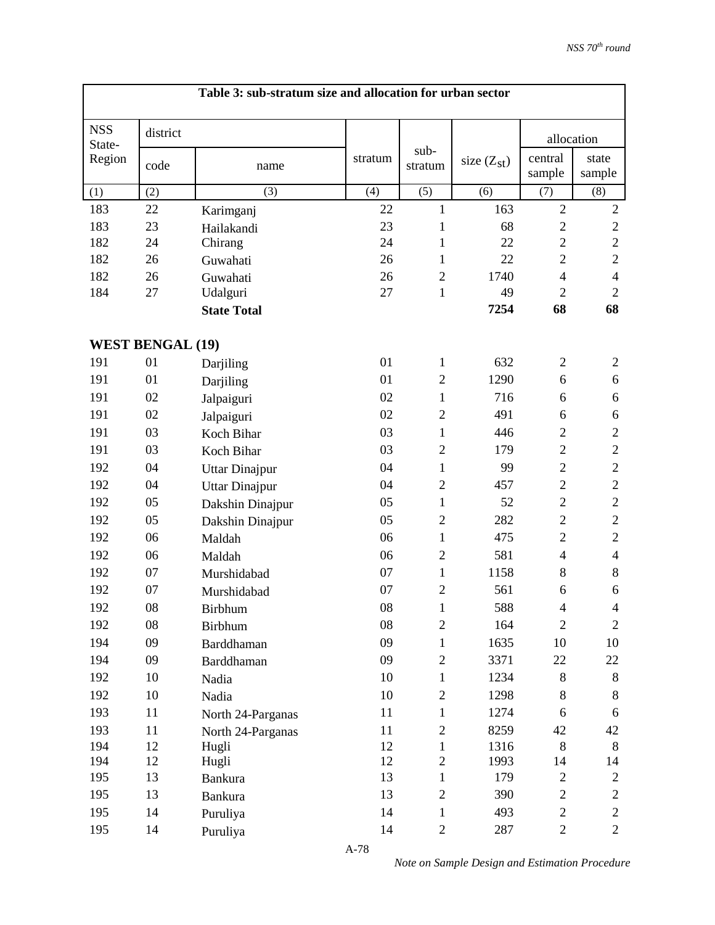|                      |                         | Table 3: sub-stratum size and allocation for urban sector |            |                   |                 |                          |                 |
|----------------------|-------------------------|-----------------------------------------------------------|------------|-------------------|-----------------|--------------------------|-----------------|
| <b>NSS</b><br>State- | district                |                                                           |            |                   |                 | allocation               |                 |
| Region               | code                    | name                                                      | stratum    | $sub-$<br>stratum | size $(Z_{st})$ | central<br>sample        | state<br>sample |
| (1)                  | (2)                     | (3)                                                       | (4)        | (5)               | (6)             | (7)                      | (8)             |
| 183                  | 22                      | Karimganj                                                 | 22         | 1                 | 163             | $\overline{2}$           | $\sqrt{2}$      |
| 183                  | 23                      | Hailakandi                                                | 23         | 1                 | 68              | $\overline{2}$           | $\sqrt{2}$      |
| 182                  | 24                      | Chirang                                                   | 24         | 1                 | 22              | $\overline{2}$           | $\sqrt{2}$      |
| 182                  | 26                      | Guwahati                                                  | 26         | 1                 | 22              | $\overline{2}$           | $\mathbf{2}$    |
| 182                  | 26                      | Guwahati                                                  | 26         | $\overline{2}$    | 1740            | $\overline{4}$           | $\overline{4}$  |
| 184                  | 27                      | Udalguri                                                  | 27         | $\mathbf{1}$      | 49              | $\overline{2}$           | $\overline{2}$  |
|                      |                         | <b>State Total</b>                                        |            |                   | 7254            | 68                       | 68              |
|                      | <b>WEST BENGAL (19)</b> |                                                           |            |                   |                 |                          |                 |
| 191                  | 01                      | Darjiling                                                 | 01         | $\mathbf{1}$      | 632             | $\overline{2}$           | $\mathbf{2}$    |
| 191                  | 01                      | Darjiling                                                 | 01         | $\mathfrak{2}$    | 1290            | 6                        | 6               |
| 191                  | 02                      | Jalpaiguri                                                | 02         | $\mathbf{1}$      | 716             | 6                        | 6               |
| 191                  | 02                      | Jalpaiguri                                                | 02         | $\overline{2}$    | 491             | 6                        | 6               |
| 191                  | 03                      | Koch Bihar                                                | 03         | $\mathbf{1}$      | 446             | $\overline{2}$           | $\mathfrak{2}$  |
| 191                  | 03                      | Koch Bihar                                                | 03         | $\overline{2}$    | 179             | $\mathbf{2}$             | $\sqrt{2}$      |
| 192                  | 04                      | <b>Uttar Dinajpur</b>                                     | 04         | $\mathbf{1}$      | 99              | $\overline{2}$           | $\sqrt{2}$      |
| 192                  | 04                      | <b>Uttar Dinajpur</b>                                     | 04         | $\mathfrak{2}$    | 457             | $\overline{2}$           | $\mathbf{2}$    |
| 192                  | 05                      | Dakshin Dinajpur                                          | 05         | $\mathbf{1}$      | 52              | $\mathbf{2}$             | $\sqrt{2}$      |
| 192                  | 05                      | Dakshin Dinajpur                                          | 05         | $\mathfrak{2}$    | 282             | $\overline{2}$           | $\sqrt{2}$      |
| 192                  | 06                      | Maldah                                                    | 06         | $\mathbf{1}$      | 475             | $\overline{2}$           | $\mathbf{2}$    |
| 192                  | 06                      | Maldah                                                    | 06         | $\mathfrak{2}$    | 581             | $\overline{4}$           | $\overline{4}$  |
| 192                  | 07                      | Murshidabad                                               | 07         | $\mathbf{1}$      | 1158            | $8\,$                    | $8\,$           |
| 192                  | 07                      | Murshidabad                                               | 07         | $\overline{2}$    | 561             | 6                        | 6               |
| 192                  | 08                      | Birbhum                                                   | ${\bf 08}$ | $\mathbf{1}$      | 588             | $\overline{\mathcal{A}}$ | $\overline{4}$  |
| 192                  | 08                      | <b>Birbhum</b>                                            | 08         | $\mathbf{2}$      | 164             | $\overline{2}$           | $\mathfrak{2}$  |
| 194                  | 09                      | Barddhaman                                                | 09         | $\mathbf{1}$      | 1635            | 10                       | 10              |
| 194                  | 09                      | Barddhaman                                                | 09         | $\overline{2}$    | 3371            | 22                       | 22              |
| 192                  | 10                      | Nadia                                                     | 10         | $\mathbf{1}$      | 1234            | $8\,$                    | $\, 8$          |
| 192                  | 10                      | Nadia                                                     | 10         | $\overline{c}$    | 1298            | $8\,$                    | 8               |
| 193                  | 11                      | North 24-Parganas                                         | 11         | $\mathbf{1}$      | 1274            | 6                        | 6               |
| 193                  | 11                      | North 24-Parganas                                         | 11         | $\overline{c}$    | 8259            | 42                       | 42              |
| 194                  | 12                      | Hugli                                                     | 12         | 1                 | 1316            | $\,8\,$                  | 8               |
| 194                  | 12                      | Hugli                                                     | 12         | $\overline{2}$    | 1993            | 14                       | 14              |
| 195                  | 13                      | <b>Bankura</b>                                            | 13         | $\mathbf{1}$      | 179             | $\mathbf{2}$             | $\overline{c}$  |
| 195                  | 13                      | <b>Bankura</b>                                            | 13         | $\overline{c}$    | 390             | $\overline{c}$           | $\mathbf{2}$    |
| 195                  | 14                      | Puruliya                                                  | 14         | $\mathbf{1}$      | 493             | $\overline{c}$           | $\mathbf{2}$    |
| 195                  | 14                      | Puruliya                                                  | 14         | $\overline{2}$    | 287             | $\overline{2}$           | $\overline{2}$  |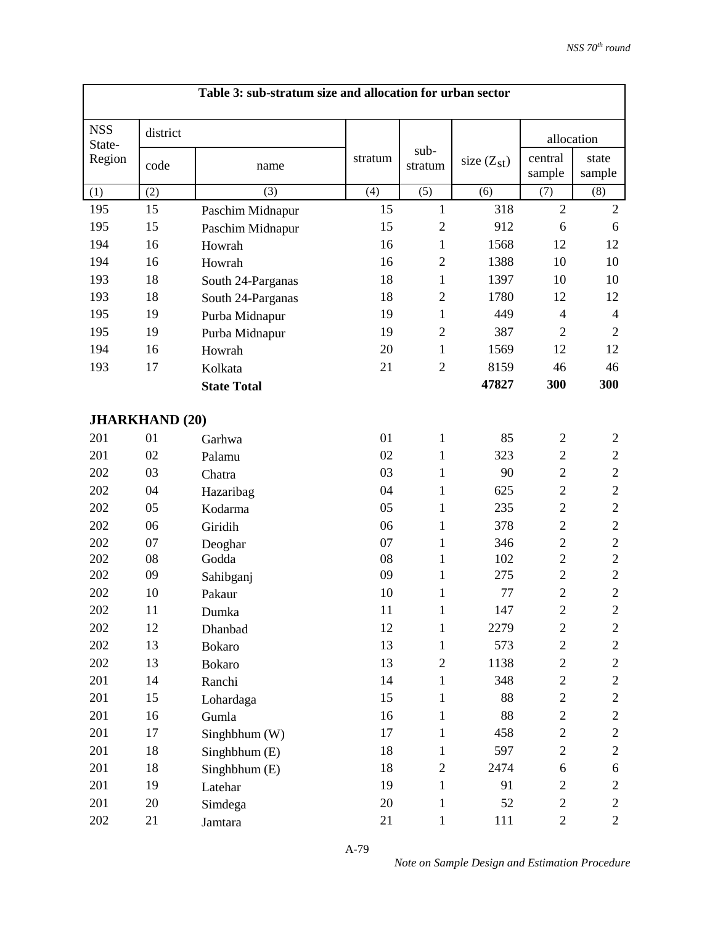| Table 3: sub-stratum size and allocation for urban sector |                       |                    |         |                 |                 |                   |                 |  |  |
|-----------------------------------------------------------|-----------------------|--------------------|---------|-----------------|-----------------|-------------------|-----------------|--|--|
| <b>NSS</b><br>State-                                      | district              |                    |         |                 |                 | allocation        |                 |  |  |
| Region                                                    | code                  | name               | stratum | sub-<br>stratum | size $(Z_{st})$ | central<br>sample | state<br>sample |  |  |
| (1)                                                       | (2)                   | (3)                | (4)     | (5)             | (6)             | (7)               | (8)             |  |  |
| 195                                                       | 15                    | Paschim Midnapur   | 15      | $\mathbf{1}$    | 318             | $\overline{2}$    | $\sqrt{2}$      |  |  |
| 195                                                       | 15                    | Paschim Midnapur   | 15      | $\overline{2}$  | 912             | 6                 | 6               |  |  |
| 194                                                       | 16                    | Howrah             | 16      | $\mathbf{1}$    | 1568            | 12                | 12              |  |  |
| 194                                                       | 16                    | Howrah             | 16      | $\overline{2}$  | 1388            | 10                | 10              |  |  |
| 193                                                       | 18                    | South 24-Parganas  | 18      | $\mathbf{1}$    | 1397            | 10                | 10              |  |  |
| 193                                                       | 18                    | South 24-Parganas  | 18      | $\overline{2}$  | 1780            | 12                | 12              |  |  |
| 195                                                       | 19                    | Purba Midnapur     | 19      | $\mathbf{1}$    | 449             | $\overline{4}$    | $\overline{4}$  |  |  |
| 195                                                       | 19                    | Purba Midnapur     | 19      | $\mathbf{2}$    | 387             | $\overline{2}$    | $\overline{2}$  |  |  |
| 194                                                       | 16                    | Howrah             | 20      | $\mathbf{1}$    | 1569            | 12                | 12              |  |  |
| 193                                                       | 17                    | Kolkata            | 21      | $\overline{2}$  | 8159            | 46                | 46              |  |  |
|                                                           |                       | <b>State Total</b> |         |                 | 47827           | 300               | 300             |  |  |
|                                                           | <b>JHARKHAND (20)</b> |                    |         |                 |                 |                   |                 |  |  |
| 201                                                       | 01                    | Garhwa             | 01      | 1               | 85              | $\overline{2}$    | $\overline{c}$  |  |  |
| 201                                                       | 02                    | Palamu             | 02      | 1               | 323             | $\mathfrak{2}$    | $\mathfrak{2}$  |  |  |
| 202                                                       | 03                    | Chatra             | 03      | 1               | 90              | $\overline{2}$    | $\sqrt{2}$      |  |  |
| 202                                                       | 04                    | Hazaribag          | 04      | 1               | 625             | $\overline{2}$    | $\sqrt{2}$      |  |  |
| 202                                                       | 05                    | Kodarma            | 05      | 1               | 235             | $\overline{2}$    | $\sqrt{2}$      |  |  |
| 202                                                       | 06                    | Giridih            | 06      | 1               | 378             | $\overline{2}$    | $\sqrt{2}$      |  |  |
| 202                                                       | 07                    | Deoghar            | 07      | 1               | 346             | $\overline{2}$    | $\overline{c}$  |  |  |
| 202                                                       | 08                    | Godda              | 08      | 1               | 102             | $\overline{2}$    | $\sqrt{2}$      |  |  |
| 202                                                       | 09                    | Sahibganj          | 09      | $\mathbf{1}$    | 275             | $\mathbf{2}$      | $\sqrt{2}$      |  |  |
| 202                                                       | 10                    | Pakaur             | 10      | $\mathbf{1}$    | 77              | $\overline{2}$    | $\overline{2}$  |  |  |
| 202                                                       | 11                    | Dumka              | 11      | 1               | 147             | 2                 | 2               |  |  |
| 202                                                       | 12                    | Dhanbad            | 12      | $\mathbf{1}$    | 2279            | $\boldsymbol{2}$  | $\overline{c}$  |  |  |
| 202                                                       | 13                    | <b>Bokaro</b>      | 13      | 1               | 573             | $\overline{c}$    | $\overline{c}$  |  |  |
| 202                                                       | 13                    | <b>Bokaro</b>      | 13      | $\overline{c}$  | 1138            | $\overline{c}$    | $\overline{c}$  |  |  |
| 201                                                       | 14                    | Ranchi             | 14      | $\mathbf{1}$    | 348             | $\mathbf{2}$      | $\overline{c}$  |  |  |
| 201                                                       | 15                    | Lohardaga          | 15      | $\mathbf{1}$    | 88              | $\overline{c}$    | $\overline{c}$  |  |  |
| 201                                                       | 16                    | Gumla              | 16      | 1               | 88              | $\mathbf{2}$      | $\overline{c}$  |  |  |
| 201                                                       | 17                    | Singhbhum (W)      | 17      | $\mathbf{1}$    | 458             | $\overline{c}$    | $\overline{c}$  |  |  |
| 201                                                       | 18                    | Singhbhum (E)      | 18      | 1               | 597             | $\overline{c}$    | $\mathbf{2}$    |  |  |
| 201                                                       | 18                    | Singhbhum (E)      | 18      | $\overline{2}$  | 2474            | $\sqrt{6}$        | 6               |  |  |
| 201                                                       | 19                    | Latehar            | 19      | $\mathbf{1}$    | 91              | $\mathbf{2}$      | $\overline{c}$  |  |  |
| 201                                                       | 20                    | Simdega            | 20      | $\mathbf{1}$    | 52              | $\mathbf{2}$      | $\overline{c}$  |  |  |
| 202                                                       | 21                    | Jamtara            | 21      | $\mathbf{1}$    | 111             | $\overline{2}$    | $\overline{2}$  |  |  |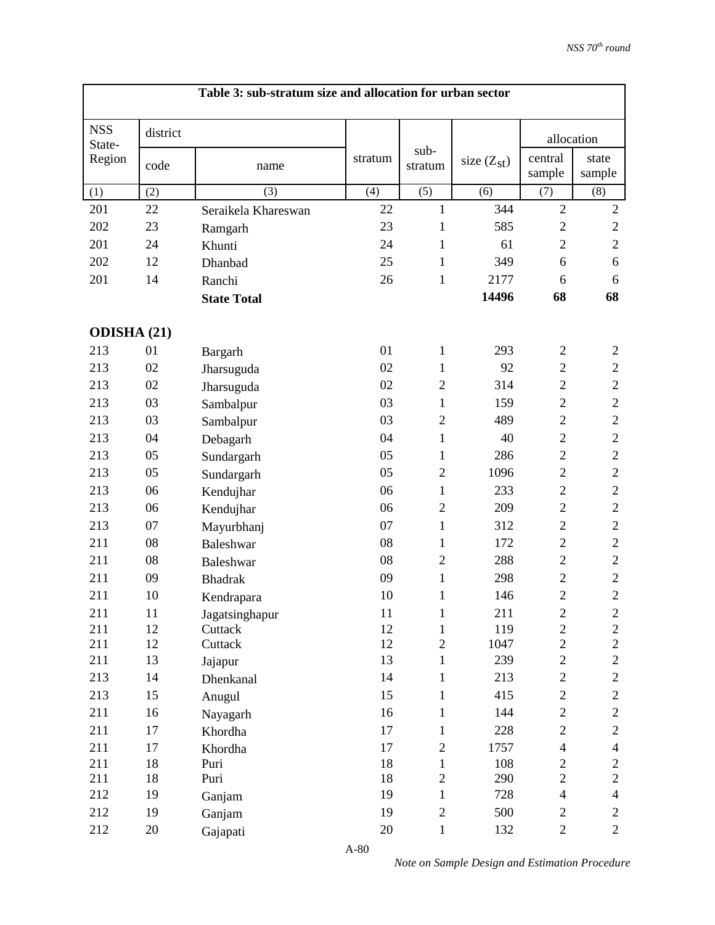| <b>NSS</b><br>district<br>allocation<br>State-<br>sub-<br>central<br>state<br>Region<br>stratum<br>size $(Z_{st})$<br>code<br>stratum<br>name<br>sample<br>sample<br>(5)<br>(3)<br>(4)<br>(6)<br>(7)<br>(8)<br>(1)<br>(2)<br>$\overline{2}$<br>22<br>344<br>$\mathbf{2}$<br>201<br>22<br>$\mathbf{1}$<br>Seraikela Khareswan<br>$\overline{2}$<br>202<br>23<br>23<br>585<br>$\mathfrak{2}$<br>1<br>Ramgarh<br>$\overline{c}$<br>$\overline{2}$<br>201<br>24<br>24<br>1<br>61<br>Khunti<br>202<br>25<br>349<br>12<br>1<br>6<br>6<br>Dhanbad<br>$\mathbf{1}$<br>201<br>14<br>26<br>2177<br>6<br>6<br>Ranchi<br>68<br>68<br>14496<br><b>State Total</b><br><b>ODISHA (21)</b><br>01<br>$\mathbf{1}$<br>293<br>213<br>01<br>$\overline{c}$<br>$\overline{2}$<br>Bargarh<br>02<br>92<br>$\overline{2}$<br>$\mathbf{2}$<br>213<br>02<br>1<br>Jharsuguda<br>$\overline{2}$<br>02<br>02<br>$\overline{2}$<br>314<br>$\overline{c}$<br>213<br>Jharsuguda<br>$\overline{c}$<br>$\overline{c}$<br>213<br>03<br>03<br>159<br>1<br>Sambalpur<br>$\overline{2}$<br>$\overline{2}$<br>$\mathbf{2}$<br>213<br>03<br>03<br>489<br>Sambalpur<br>$\overline{c}$<br>04<br>40<br>$\overline{c}$<br>213<br>04<br>$\mathbf{1}$<br>Debagarh<br>$\overline{2}$<br>$\overline{c}$<br>05<br>05<br>1<br>286<br>213<br>Sundargarh<br>$\overline{c}$<br>$\sqrt{2}$<br>213<br>05<br>05<br>$\overline{2}$<br>1096<br>Sundargarh<br>$\overline{c}$<br>$\mathbf{2}$<br>213<br>06<br>$\mathbf{1}$<br>233<br>06<br>Kendujhar<br>$\overline{2}$<br>$\mathbf{2}$<br>213<br>06<br>06<br>$\overline{2}$<br>209<br>Kendujhar<br>$\overline{c}$<br>$\overline{c}$<br>07<br>07<br>1<br>312<br>213<br>Mayurbhanj<br>$\overline{c}$<br>211<br>08<br>08<br>172<br>$\mathbf{2}$<br>1<br><b>Baleshwar</b><br>$\overline{c}$<br>08<br>$\overline{2}$<br>288<br>$\sqrt{2}$<br>211<br>08<br><b>Baleshwar</b><br>$\overline{c}$<br>211<br>09<br>09<br>$\mathbf{1}$<br>298<br>$\mathbf{2}$<br><b>Bhadrak</b><br>$\overline{2}$<br>$\overline{2}$<br>10<br>10<br>$\mathbf{1}$<br>146<br>211<br>Kendrapara<br>211<br>11<br>11<br>211<br>$\boldsymbol{2}$<br>$\overline{c}$<br>1<br>Jagatsinghapur<br>12<br>12<br>$\overline{c}$<br>$\overline{c}$<br>211<br>$\mathbf{1}$<br>119<br>Cuttack<br>$\overline{c}$<br>12<br>12<br>$\overline{2}$<br>$\overline{2}$<br>211<br>Cuttack<br>1047<br>$\overline{c}$<br>$\overline{c}$<br>13<br>239<br>211<br>13<br>$\mathbf{1}$<br>Jajapur<br>14<br>$\overline{c}$<br>213<br>14<br>213<br>$\overline{c}$<br>$\mathbf{1}$<br>Dhenkanal<br>15<br>415<br>$\sqrt{2}$<br>$\overline{c}$<br>213<br>15<br>$\mathbf{1}$<br>Anugul<br>$\overline{c}$<br>$\overline{2}$<br>211<br>16<br>144<br>16<br>$\mathbf{1}$<br>Nayagarh<br>17<br>228<br>$\sqrt{2}$<br>$\overline{c}$<br>211<br>17<br>$\mathbf{1}$<br>Khordha |  | Table 3: sub-stratum size and allocation for urban sector |  |  |  |
|----------------------------------------------------------------------------------------------------------------------------------------------------------------------------------------------------------------------------------------------------------------------------------------------------------------------------------------------------------------------------------------------------------------------------------------------------------------------------------------------------------------------------------------------------------------------------------------------------------------------------------------------------------------------------------------------------------------------------------------------------------------------------------------------------------------------------------------------------------------------------------------------------------------------------------------------------------------------------------------------------------------------------------------------------------------------------------------------------------------------------------------------------------------------------------------------------------------------------------------------------------------------------------------------------------------------------------------------------------------------------------------------------------------------------------------------------------------------------------------------------------------------------------------------------------------------------------------------------------------------------------------------------------------------------------------------------------------------------------------------------------------------------------------------------------------------------------------------------------------------------------------------------------------------------------------------------------------------------------------------------------------------------------------------------------------------------------------------------------------------------------------------------------------------------------------------------------------------------------------------------------------------------------------------------------------------------------------------------------------------------------------------------------------------------------------------------------------------------------------------------------------------------------------------------------------------------------------------------------------------------------------------------------------------------------------------------------------------------------------------------------------------------------------|--|-----------------------------------------------------------|--|--|--|
|                                                                                                                                                                                                                                                                                                                                                                                                                                                                                                                                                                                                                                                                                                                                                                                                                                                                                                                                                                                                                                                                                                                                                                                                                                                                                                                                                                                                                                                                                                                                                                                                                                                                                                                                                                                                                                                                                                                                                                                                                                                                                                                                                                                                                                                                                                                                                                                                                                                                                                                                                                                                                                                                                                                                                                                        |  |                                                           |  |  |  |
|                                                                                                                                                                                                                                                                                                                                                                                                                                                                                                                                                                                                                                                                                                                                                                                                                                                                                                                                                                                                                                                                                                                                                                                                                                                                                                                                                                                                                                                                                                                                                                                                                                                                                                                                                                                                                                                                                                                                                                                                                                                                                                                                                                                                                                                                                                                                                                                                                                                                                                                                                                                                                                                                                                                                                                                        |  |                                                           |  |  |  |
|                                                                                                                                                                                                                                                                                                                                                                                                                                                                                                                                                                                                                                                                                                                                                                                                                                                                                                                                                                                                                                                                                                                                                                                                                                                                                                                                                                                                                                                                                                                                                                                                                                                                                                                                                                                                                                                                                                                                                                                                                                                                                                                                                                                                                                                                                                                                                                                                                                                                                                                                                                                                                                                                                                                                                                                        |  |                                                           |  |  |  |
|                                                                                                                                                                                                                                                                                                                                                                                                                                                                                                                                                                                                                                                                                                                                                                                                                                                                                                                                                                                                                                                                                                                                                                                                                                                                                                                                                                                                                                                                                                                                                                                                                                                                                                                                                                                                                                                                                                                                                                                                                                                                                                                                                                                                                                                                                                                                                                                                                                                                                                                                                                                                                                                                                                                                                                                        |  |                                                           |  |  |  |
|                                                                                                                                                                                                                                                                                                                                                                                                                                                                                                                                                                                                                                                                                                                                                                                                                                                                                                                                                                                                                                                                                                                                                                                                                                                                                                                                                                                                                                                                                                                                                                                                                                                                                                                                                                                                                                                                                                                                                                                                                                                                                                                                                                                                                                                                                                                                                                                                                                                                                                                                                                                                                                                                                                                                                                                        |  |                                                           |  |  |  |
|                                                                                                                                                                                                                                                                                                                                                                                                                                                                                                                                                                                                                                                                                                                                                                                                                                                                                                                                                                                                                                                                                                                                                                                                                                                                                                                                                                                                                                                                                                                                                                                                                                                                                                                                                                                                                                                                                                                                                                                                                                                                                                                                                                                                                                                                                                                                                                                                                                                                                                                                                                                                                                                                                                                                                                                        |  |                                                           |  |  |  |
|                                                                                                                                                                                                                                                                                                                                                                                                                                                                                                                                                                                                                                                                                                                                                                                                                                                                                                                                                                                                                                                                                                                                                                                                                                                                                                                                                                                                                                                                                                                                                                                                                                                                                                                                                                                                                                                                                                                                                                                                                                                                                                                                                                                                                                                                                                                                                                                                                                                                                                                                                                                                                                                                                                                                                                                        |  |                                                           |  |  |  |
|                                                                                                                                                                                                                                                                                                                                                                                                                                                                                                                                                                                                                                                                                                                                                                                                                                                                                                                                                                                                                                                                                                                                                                                                                                                                                                                                                                                                                                                                                                                                                                                                                                                                                                                                                                                                                                                                                                                                                                                                                                                                                                                                                                                                                                                                                                                                                                                                                                                                                                                                                                                                                                                                                                                                                                                        |  |                                                           |  |  |  |
|                                                                                                                                                                                                                                                                                                                                                                                                                                                                                                                                                                                                                                                                                                                                                                                                                                                                                                                                                                                                                                                                                                                                                                                                                                                                                                                                                                                                                                                                                                                                                                                                                                                                                                                                                                                                                                                                                                                                                                                                                                                                                                                                                                                                                                                                                                                                                                                                                                                                                                                                                                                                                                                                                                                                                                                        |  |                                                           |  |  |  |
|                                                                                                                                                                                                                                                                                                                                                                                                                                                                                                                                                                                                                                                                                                                                                                                                                                                                                                                                                                                                                                                                                                                                                                                                                                                                                                                                                                                                                                                                                                                                                                                                                                                                                                                                                                                                                                                                                                                                                                                                                                                                                                                                                                                                                                                                                                                                                                                                                                                                                                                                                                                                                                                                                                                                                                                        |  |                                                           |  |  |  |
|                                                                                                                                                                                                                                                                                                                                                                                                                                                                                                                                                                                                                                                                                                                                                                                                                                                                                                                                                                                                                                                                                                                                                                                                                                                                                                                                                                                                                                                                                                                                                                                                                                                                                                                                                                                                                                                                                                                                                                                                                                                                                                                                                                                                                                                                                                                                                                                                                                                                                                                                                                                                                                                                                                                                                                                        |  |                                                           |  |  |  |
|                                                                                                                                                                                                                                                                                                                                                                                                                                                                                                                                                                                                                                                                                                                                                                                                                                                                                                                                                                                                                                                                                                                                                                                                                                                                                                                                                                                                                                                                                                                                                                                                                                                                                                                                                                                                                                                                                                                                                                                                                                                                                                                                                                                                                                                                                                                                                                                                                                                                                                                                                                                                                                                                                                                                                                                        |  |                                                           |  |  |  |
|                                                                                                                                                                                                                                                                                                                                                                                                                                                                                                                                                                                                                                                                                                                                                                                                                                                                                                                                                                                                                                                                                                                                                                                                                                                                                                                                                                                                                                                                                                                                                                                                                                                                                                                                                                                                                                                                                                                                                                                                                                                                                                                                                                                                                                                                                                                                                                                                                                                                                                                                                                                                                                                                                                                                                                                        |  |                                                           |  |  |  |
|                                                                                                                                                                                                                                                                                                                                                                                                                                                                                                                                                                                                                                                                                                                                                                                                                                                                                                                                                                                                                                                                                                                                                                                                                                                                                                                                                                                                                                                                                                                                                                                                                                                                                                                                                                                                                                                                                                                                                                                                                                                                                                                                                                                                                                                                                                                                                                                                                                                                                                                                                                                                                                                                                                                                                                                        |  |                                                           |  |  |  |
|                                                                                                                                                                                                                                                                                                                                                                                                                                                                                                                                                                                                                                                                                                                                                                                                                                                                                                                                                                                                                                                                                                                                                                                                                                                                                                                                                                                                                                                                                                                                                                                                                                                                                                                                                                                                                                                                                                                                                                                                                                                                                                                                                                                                                                                                                                                                                                                                                                                                                                                                                                                                                                                                                                                                                                                        |  |                                                           |  |  |  |
|                                                                                                                                                                                                                                                                                                                                                                                                                                                                                                                                                                                                                                                                                                                                                                                                                                                                                                                                                                                                                                                                                                                                                                                                                                                                                                                                                                                                                                                                                                                                                                                                                                                                                                                                                                                                                                                                                                                                                                                                                                                                                                                                                                                                                                                                                                                                                                                                                                                                                                                                                                                                                                                                                                                                                                                        |  |                                                           |  |  |  |
|                                                                                                                                                                                                                                                                                                                                                                                                                                                                                                                                                                                                                                                                                                                                                                                                                                                                                                                                                                                                                                                                                                                                                                                                                                                                                                                                                                                                                                                                                                                                                                                                                                                                                                                                                                                                                                                                                                                                                                                                                                                                                                                                                                                                                                                                                                                                                                                                                                                                                                                                                                                                                                                                                                                                                                                        |  |                                                           |  |  |  |
|                                                                                                                                                                                                                                                                                                                                                                                                                                                                                                                                                                                                                                                                                                                                                                                                                                                                                                                                                                                                                                                                                                                                                                                                                                                                                                                                                                                                                                                                                                                                                                                                                                                                                                                                                                                                                                                                                                                                                                                                                                                                                                                                                                                                                                                                                                                                                                                                                                                                                                                                                                                                                                                                                                                                                                                        |  |                                                           |  |  |  |
|                                                                                                                                                                                                                                                                                                                                                                                                                                                                                                                                                                                                                                                                                                                                                                                                                                                                                                                                                                                                                                                                                                                                                                                                                                                                                                                                                                                                                                                                                                                                                                                                                                                                                                                                                                                                                                                                                                                                                                                                                                                                                                                                                                                                                                                                                                                                                                                                                                                                                                                                                                                                                                                                                                                                                                                        |  |                                                           |  |  |  |
|                                                                                                                                                                                                                                                                                                                                                                                                                                                                                                                                                                                                                                                                                                                                                                                                                                                                                                                                                                                                                                                                                                                                                                                                                                                                                                                                                                                                                                                                                                                                                                                                                                                                                                                                                                                                                                                                                                                                                                                                                                                                                                                                                                                                                                                                                                                                                                                                                                                                                                                                                                                                                                                                                                                                                                                        |  |                                                           |  |  |  |
|                                                                                                                                                                                                                                                                                                                                                                                                                                                                                                                                                                                                                                                                                                                                                                                                                                                                                                                                                                                                                                                                                                                                                                                                                                                                                                                                                                                                                                                                                                                                                                                                                                                                                                                                                                                                                                                                                                                                                                                                                                                                                                                                                                                                                                                                                                                                                                                                                                                                                                                                                                                                                                                                                                                                                                                        |  |                                                           |  |  |  |
|                                                                                                                                                                                                                                                                                                                                                                                                                                                                                                                                                                                                                                                                                                                                                                                                                                                                                                                                                                                                                                                                                                                                                                                                                                                                                                                                                                                                                                                                                                                                                                                                                                                                                                                                                                                                                                                                                                                                                                                                                                                                                                                                                                                                                                                                                                                                                                                                                                                                                                                                                                                                                                                                                                                                                                                        |  |                                                           |  |  |  |
|                                                                                                                                                                                                                                                                                                                                                                                                                                                                                                                                                                                                                                                                                                                                                                                                                                                                                                                                                                                                                                                                                                                                                                                                                                                                                                                                                                                                                                                                                                                                                                                                                                                                                                                                                                                                                                                                                                                                                                                                                                                                                                                                                                                                                                                                                                                                                                                                                                                                                                                                                                                                                                                                                                                                                                                        |  |                                                           |  |  |  |
|                                                                                                                                                                                                                                                                                                                                                                                                                                                                                                                                                                                                                                                                                                                                                                                                                                                                                                                                                                                                                                                                                                                                                                                                                                                                                                                                                                                                                                                                                                                                                                                                                                                                                                                                                                                                                                                                                                                                                                                                                                                                                                                                                                                                                                                                                                                                                                                                                                                                                                                                                                                                                                                                                                                                                                                        |  |                                                           |  |  |  |
|                                                                                                                                                                                                                                                                                                                                                                                                                                                                                                                                                                                                                                                                                                                                                                                                                                                                                                                                                                                                                                                                                                                                                                                                                                                                                                                                                                                                                                                                                                                                                                                                                                                                                                                                                                                                                                                                                                                                                                                                                                                                                                                                                                                                                                                                                                                                                                                                                                                                                                                                                                                                                                                                                                                                                                                        |  |                                                           |  |  |  |
|                                                                                                                                                                                                                                                                                                                                                                                                                                                                                                                                                                                                                                                                                                                                                                                                                                                                                                                                                                                                                                                                                                                                                                                                                                                                                                                                                                                                                                                                                                                                                                                                                                                                                                                                                                                                                                                                                                                                                                                                                                                                                                                                                                                                                                                                                                                                                                                                                                                                                                                                                                                                                                                                                                                                                                                        |  |                                                           |  |  |  |
|                                                                                                                                                                                                                                                                                                                                                                                                                                                                                                                                                                                                                                                                                                                                                                                                                                                                                                                                                                                                                                                                                                                                                                                                                                                                                                                                                                                                                                                                                                                                                                                                                                                                                                                                                                                                                                                                                                                                                                                                                                                                                                                                                                                                                                                                                                                                                                                                                                                                                                                                                                                                                                                                                                                                                                                        |  |                                                           |  |  |  |
|                                                                                                                                                                                                                                                                                                                                                                                                                                                                                                                                                                                                                                                                                                                                                                                                                                                                                                                                                                                                                                                                                                                                                                                                                                                                                                                                                                                                                                                                                                                                                                                                                                                                                                                                                                                                                                                                                                                                                                                                                                                                                                                                                                                                                                                                                                                                                                                                                                                                                                                                                                                                                                                                                                                                                                                        |  |                                                           |  |  |  |
|                                                                                                                                                                                                                                                                                                                                                                                                                                                                                                                                                                                                                                                                                                                                                                                                                                                                                                                                                                                                                                                                                                                                                                                                                                                                                                                                                                                                                                                                                                                                                                                                                                                                                                                                                                                                                                                                                                                                                                                                                                                                                                                                                                                                                                                                                                                                                                                                                                                                                                                                                                                                                                                                                                                                                                                        |  |                                                           |  |  |  |
|                                                                                                                                                                                                                                                                                                                                                                                                                                                                                                                                                                                                                                                                                                                                                                                                                                                                                                                                                                                                                                                                                                                                                                                                                                                                                                                                                                                                                                                                                                                                                                                                                                                                                                                                                                                                                                                                                                                                                                                                                                                                                                                                                                                                                                                                                                                                                                                                                                                                                                                                                                                                                                                                                                                                                                                        |  |                                                           |  |  |  |
|                                                                                                                                                                                                                                                                                                                                                                                                                                                                                                                                                                                                                                                                                                                                                                                                                                                                                                                                                                                                                                                                                                                                                                                                                                                                                                                                                                                                                                                                                                                                                                                                                                                                                                                                                                                                                                                                                                                                                                                                                                                                                                                                                                                                                                                                                                                                                                                                                                                                                                                                                                                                                                                                                                                                                                                        |  |                                                           |  |  |  |
|                                                                                                                                                                                                                                                                                                                                                                                                                                                                                                                                                                                                                                                                                                                                                                                                                                                                                                                                                                                                                                                                                                                                                                                                                                                                                                                                                                                                                                                                                                                                                                                                                                                                                                                                                                                                                                                                                                                                                                                                                                                                                                                                                                                                                                                                                                                                                                                                                                                                                                                                                                                                                                                                                                                                                                                        |  |                                                           |  |  |  |
|                                                                                                                                                                                                                                                                                                                                                                                                                                                                                                                                                                                                                                                                                                                                                                                                                                                                                                                                                                                                                                                                                                                                                                                                                                                                                                                                                                                                                                                                                                                                                                                                                                                                                                                                                                                                                                                                                                                                                                                                                                                                                                                                                                                                                                                                                                                                                                                                                                                                                                                                                                                                                                                                                                                                                                                        |  |                                                           |  |  |  |
| 17<br>211<br>17<br>$\overline{c}$<br>1757<br>$\overline{\mathbf{4}}$<br>$\overline{4}$<br>Khordha                                                                                                                                                                                                                                                                                                                                                                                                                                                                                                                                                                                                                                                                                                                                                                                                                                                                                                                                                                                                                                                                                                                                                                                                                                                                                                                                                                                                                                                                                                                                                                                                                                                                                                                                                                                                                                                                                                                                                                                                                                                                                                                                                                                                                                                                                                                                                                                                                                                                                                                                                                                                                                                                                      |  |                                                           |  |  |  |
| $\overline{c}$<br>211<br>18<br>18<br>108<br>Puri<br>$\mathbf{1}$<br>$\overline{c}$<br>$\overline{2}$<br>$\overline{2}$<br>18<br>$\overline{c}$<br>18<br>290<br>211<br>Puri                                                                                                                                                                                                                                                                                                                                                                                                                                                                                                                                                                                                                                                                                                                                                                                                                                                                                                                                                                                                                                                                                                                                                                                                                                                                                                                                                                                                                                                                                                                                                                                                                                                                                                                                                                                                                                                                                                                                                                                                                                                                                                                                                                                                                                                                                                                                                                                                                                                                                                                                                                                                             |  |                                                           |  |  |  |
| 212<br>19<br>728<br>$\overline{4}$<br>19<br>$\mathbf{1}$<br>$\overline{\mathcal{L}}$<br>Ganjam                                                                                                                                                                                                                                                                                                                                                                                                                                                                                                                                                                                                                                                                                                                                                                                                                                                                                                                                                                                                                                                                                                                                                                                                                                                                                                                                                                                                                                                                                                                                                                                                                                                                                                                                                                                                                                                                                                                                                                                                                                                                                                                                                                                                                                                                                                                                                                                                                                                                                                                                                                                                                                                                                         |  |                                                           |  |  |  |
| $\overline{2}$<br>$\overline{2}$<br>19<br>19<br>500<br>212<br>$\overline{c}$<br>Ganjam                                                                                                                                                                                                                                                                                                                                                                                                                                                                                                                                                                                                                                                                                                                                                                                                                                                                                                                                                                                                                                                                                                                                                                                                                                                                                                                                                                                                                                                                                                                                                                                                                                                                                                                                                                                                                                                                                                                                                                                                                                                                                                                                                                                                                                                                                                                                                                                                                                                                                                                                                                                                                                                                                                 |  |                                                           |  |  |  |
| 212<br>20<br>$\overline{2}$<br>20<br>$\mathbf{1}$<br>132<br>$\overline{2}$<br>Gajapati                                                                                                                                                                                                                                                                                                                                                                                                                                                                                                                                                                                                                                                                                                                                                                                                                                                                                                                                                                                                                                                                                                                                                                                                                                                                                                                                                                                                                                                                                                                                                                                                                                                                                                                                                                                                                                                                                                                                                                                                                                                                                                                                                                                                                                                                                                                                                                                                                                                                                                                                                                                                                                                                                                 |  |                                                           |  |  |  |

*Note on Sample Design and Estimation Procedure*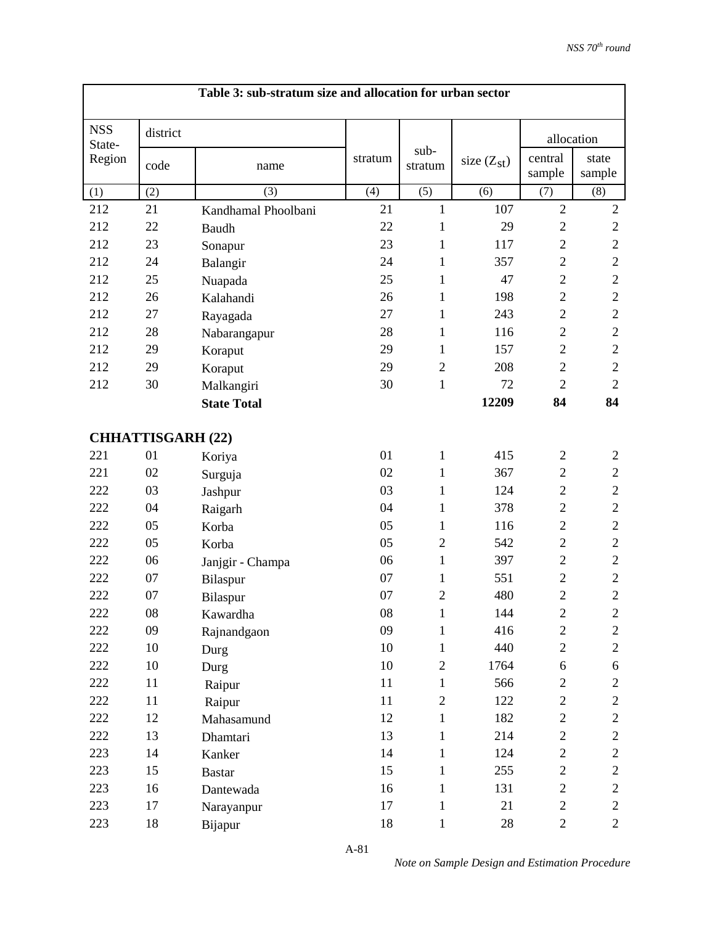|                      |                          | Table 3: sub-stratum size and allocation for urban sector |         |                 |                 |                   |                 |
|----------------------|--------------------------|-----------------------------------------------------------|---------|-----------------|-----------------|-------------------|-----------------|
| <b>NSS</b><br>State- | district                 |                                                           |         |                 |                 |                   | allocation      |
| Region               | code                     | name                                                      | stratum | sub-<br>stratum | size $(Z_{st})$ | central<br>sample | state<br>sample |
| (1)                  | (2)                      | (3)                                                       | (4)     | (5)             | (6)             | (7)               | (8)             |
| 212                  | 21                       | Kandhamal Phoolbani                                       | 21      | $\mathbf{1}$    | 107             | $\overline{2}$    | $\overline{2}$  |
| 212                  | 22                       | Baudh                                                     | 22      | 1               | 29              | $\mathbf{2}$      | $\mathbf{2}$    |
| 212                  | 23                       | Sonapur                                                   | 23      | $\mathbf{1}$    | 117             | $\overline{2}$    | $\overline{2}$  |
| 212                  | 24                       | Balangir                                                  | 24      | 1               | 357             | $\overline{2}$    | $\overline{2}$  |
| 212                  | 25                       | Nuapada                                                   | 25      | $\mathbf{1}$    | 47              | $\overline{2}$    | $\sqrt{2}$      |
| 212                  | 26                       | Kalahandi                                                 | 26      | 1               | 198             | $\overline{2}$    | $\overline{2}$  |
| 212                  | 27                       | Rayagada                                                  | 27      | $\mathbf{1}$    | 243             | $\overline{2}$    | $\sqrt{2}$      |
| 212                  | 28                       | Nabarangapur                                              | 28      | 1               | 116             | $\overline{2}$    | $\overline{2}$  |
| 212                  | 29                       | Koraput                                                   | 29      | $\mathbf{1}$    | 157             | $\overline{2}$    | $\mathfrak{2}$  |
| 212                  | 29                       | Koraput                                                   | 29      | $\overline{2}$  | 208             | $\overline{2}$    | $\mathbf{2}$    |
| 212                  | 30                       | Malkangiri                                                | 30      | $\mathbf{1}$    | 72              | $\overline{2}$    | $\overline{2}$  |
|                      |                          | <b>State Total</b>                                        |         |                 | 12209           | 84                | 84              |
|                      | <b>CHHATTISGARH (22)</b> |                                                           |         |                 |                 |                   |                 |
| 221                  | 01                       | Koriya                                                    | 01      | 1               | 415             | $\mathfrak{2}$    | $\mathbf{2}$    |
| 221                  | 02                       | Surguja                                                   | 02      | 1               | 367             | $\overline{2}$    | $\mathbf{2}$    |
| 222                  | 03                       | Jashpur                                                   | 03      | 1               | 124             | $\mathbf{2}$      | $\mathbf{2}$    |
| 222                  | 04                       | Raigarh                                                   | 04      | 1               | 378             | $\overline{2}$    | $\sqrt{2}$      |
| 222                  | 05                       | Korba                                                     | 05      | $\mathbf{1}$    | 116             | $\overline{2}$    | $\mathbf{2}$    |
| 222                  | 05                       | Korba                                                     | 05      | $\overline{2}$  | 542             | $\mathbf{2}$      | $\sqrt{2}$      |
| 222                  | 06                       | Janjgir - Champa                                          | 06      | $\mathbf{1}$    | 397             | $\overline{2}$    | $\mathbf{2}$    |
| 222                  | 07                       | Bilaspur                                                  | 07      | 1               | 551             | $\overline{2}$    | $\sqrt{2}$      |
| 222                  | 07                       | Bilaspur                                                  | 07      | $\overline{2}$  | 480             | $\overline{2}$    | $\sqrt{2}$      |
| 222                  | ${\bf 08}$               | Kawardha                                                  | 08      | 1               | 144             | $\overline{c}$    | $\sqrt{2}$      |
| 222                  | 09                       | Rajnandgaon                                               | 09      | $\mathbf{1}$    | 416             | $\boldsymbol{2}$  | $\mathbf{2}$    |
| 222                  | 10                       | Durg                                                      | 10      | $\mathbf{1}$    | 440             | $\overline{c}$    | $\overline{2}$  |
| 222                  | 10                       | Durg                                                      | 10      | $\mathbf{2}$    | 1764            | 6                 | 6               |
| 222                  | 11                       | Raipur                                                    | 11      | $\mathbf{1}$    | 566             | $\overline{c}$    | $\overline{c}$  |
| 222                  | 11                       | Raipur                                                    | 11      | $\overline{2}$  | 122             | $\overline{c}$    | $\overline{c}$  |
| 222                  | 12                       | Mahasamund                                                | 12      | $\mathbf{1}$    | 182             | $\overline{c}$    | $\mathbf{2}$    |
| 222                  | 13                       | Dhamtari                                                  | 13      | $\mathbf{1}$    | 214             | $\mathbf{2}$      | $\overline{c}$  |
| 223                  | 14                       | Kanker                                                    | 14      | $\mathbf{1}$    | 124             | $\overline{c}$    | $\mathbf{2}$    |
| 223                  | 15                       | <b>Bastar</b>                                             | 15      | $\mathbf{1}$    | 255             | $\overline{c}$    | $\mathbf{2}$    |
| 223                  | 16                       | Dantewada                                                 | 16      | $\mathbf{1}$    | 131             | $\overline{c}$    | $\overline{c}$  |
| 223                  | 17                       | Narayanpur                                                | 17      | $\mathbf{1}$    | 21              | $\overline{c}$    | $\mathbf{2}$    |
| 223                  | 18                       | Bijapur                                                   | 18      | $\mathbf{1}$    | 28              | $\overline{2}$    | $\overline{2}$  |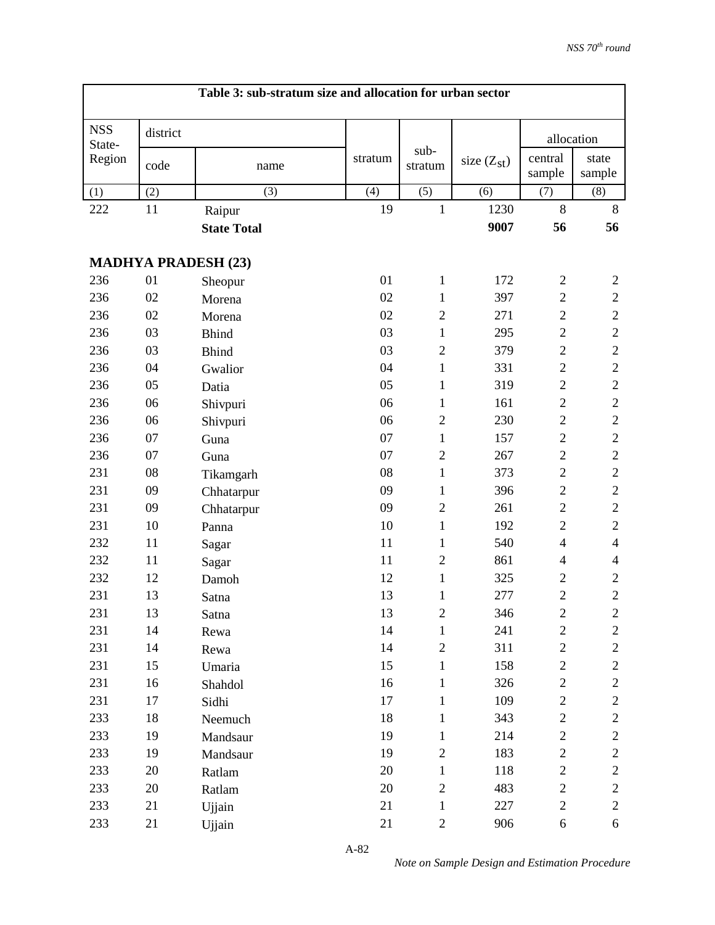|                      |          | Table 3: sub-stratum size and allocation for urban sector |         |                 |                 |                   |                  |
|----------------------|----------|-----------------------------------------------------------|---------|-----------------|-----------------|-------------------|------------------|
| <b>NSS</b><br>State- | district |                                                           |         |                 |                 | allocation        |                  |
| Region               | code     | name                                                      | stratum | sub-<br>stratum | size $(Z_{st})$ | central<br>sample | state<br>sample  |
| (1)                  | (2)      | (3)                                                       | (4)     | (5)             | (6)             | (7)               | (8)              |
| 222                  | 11       | Raipur                                                    | 19      | $\mathbf{1}$    | 1230            | 8                 | 8                |
|                      |          | <b>State Total</b>                                        |         |                 | 9007            | 56                | 56               |
|                      |          | <b>MADHYA PRADESH (23)</b>                                |         |                 |                 |                   |                  |
| 236                  | 01       | Sheopur                                                   | 01      | $\mathbf{1}$    | 172             | $\mathfrak{2}$    | $\overline{c}$   |
| 236                  | 02       | Morena                                                    | 02      | 1               | 397             | $\overline{2}$    | $\mathbf{2}$     |
| 236                  | 02       | Morena                                                    | 02      | $\mathfrak{2}$  | 271             | $\overline{2}$    | $\boldsymbol{2}$ |
| 236                  | 03       | <b>Bhind</b>                                              | 03      | $\mathbf{1}$    | 295             | $\overline{2}$    | $\sqrt{2}$       |
| 236                  | 03       | <b>Bhind</b>                                              | 03      | $\mathfrak{2}$  | 379             | $\overline{2}$    | $\sqrt{2}$       |
| 236                  | 04       | Gwalior                                                   | 04      | $\mathbf{1}$    | 331             | $\overline{2}$    | $\sqrt{2}$       |
| 236                  | 05       | Datia                                                     | 05      | 1               | 319             | $\overline{2}$    | $\mathbf{2}$     |
| 236                  | 06       | Shivpuri                                                  | 06      | 1               | 161             | $\overline{2}$    | $\overline{c}$   |
| 236                  | 06       | Shivpuri                                                  | 06      | $\overline{2}$  | 230             | $\overline{c}$    | $\sqrt{2}$       |
| 236                  | 07       | Guna                                                      | 07      | 1               | 157             | $\overline{2}$    | $\sqrt{2}$       |
| 236                  | 07       | Guna                                                      | 07      | $\overline{2}$  | 267             | $\overline{c}$    | $\boldsymbol{2}$ |
| 231                  | 08       | Tikamgarh                                                 | 08      | $\mathbf{1}$    | 373             | $\overline{2}$    | $\overline{c}$   |
| 231                  | 09       | Chhatarpur                                                | 09      | $\mathbf{1}$    | 396             | $\overline{2}$    | $\sqrt{2}$       |
| 231                  | 09       | Chhatarpur                                                | 09      | $\mathbf{2}$    | 261             | $\overline{2}$    | $\sqrt{2}$       |
| 231                  | 10       | Panna                                                     | 10      | 1               | 192             | $\overline{2}$    | $\mathbf{2}$     |
| 232                  | 11       | Sagar                                                     | 11      | $\mathbf{1}$    | 540             | $\overline{4}$    | $\overline{4}$   |
| 232                  | 11       | Sagar                                                     | 11      | $\mathbf{2}$    | 861             | $\overline{4}$    | $\overline{4}$   |
| 232                  | 12       | Damoh                                                     | 12      | 1               | 325             | $\overline{c}$    | $\boldsymbol{2}$ |
| 231                  | 13       | Satna                                                     | 13      | 1               | 277             | $\overline{2}$    | $\sqrt{2}$       |
| 231                  | 13       | Satna                                                     | 13      | $\sqrt{2}$      | 346             | $\mathbf{2}$      | $\sqrt{2}$       |
| 231                  | 14       | Rewa                                                      | 14      | $\mathbf{1}$    | 241             | $\boldsymbol{2}$  | $\overline{c}$   |
| 231                  | 14       | Rewa                                                      | 14      | $\overline{2}$  | 311             | $\boldsymbol{2}$  | $\mathbf{2}$     |
| 231                  | 15       | Umaria                                                    | 15      | $\mathbf{1}$    | 158             | $\overline{c}$    | $\mathbf{2}$     |
| 231                  | 16       | Shahdol                                                   | 16      | $\mathbf{1}$    | 326             | $\overline{c}$    | $\overline{c}$   |
| 231                  | 17       | Sidhi                                                     | 17      | $\mathbf{1}$    | 109             | $\sqrt{2}$        | $\overline{c}$   |
| 233                  | 18       | Neemuch                                                   | 18      | $\mathbf{1}$    | 343             | $\boldsymbol{2}$  | $\boldsymbol{2}$ |
| 233                  | 19       | Mandsaur                                                  | 19      | $\mathbf{1}$    | 214             | $\sqrt{2}$        | $\mathbf{2}$     |
| 233                  | 19       | Mandsaur                                                  | 19      | $\mathbf{2}$    | 183             | $\overline{c}$    | $\overline{c}$   |
| 233                  | 20       | Ratlam                                                    | 20      | $\mathbf{1}$    | 118             | $\sqrt{2}$        | $\mathbf{2}$     |
| 233                  | 20       | Ratlam                                                    | 20      | $\mathbf{2}$    | 483             | $\overline{c}$    | $\mathbf{2}$     |
| 233                  | 21       | Ujjain                                                    | 21      | $\mathbf{1}$    | 227             | $\overline{c}$    | $\mathbf{2}$     |
| 233                  | 21       | Ujjain                                                    | 21      | $\mathbf{2}$    | 906             | 6                 | 6                |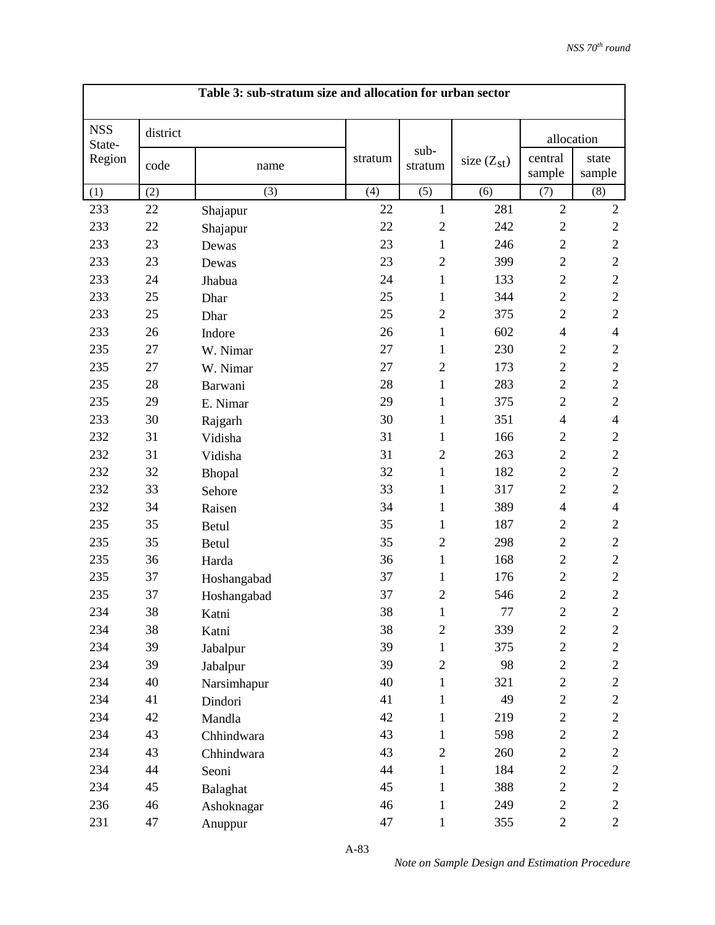|                      |          | Table 3: sub-stratum size and allocation for urban sector |         |                 |                 |                   |                 |
|----------------------|----------|-----------------------------------------------------------|---------|-----------------|-----------------|-------------------|-----------------|
| <b>NSS</b><br>State- | district |                                                           |         |                 |                 | allocation        |                 |
| Region               | code     | name                                                      | stratum | sub-<br>stratum | size $(Z_{st})$ | central<br>sample | state<br>sample |
| (1)                  | (2)      | (3)                                                       | (4)     | (5)             | (6)             | (7)               | (8)             |
| 233                  | 22       | Shajapur                                                  | 22      | $\mathbf{1}$    | 281             | $\sqrt{2}$        | $\mathbf{2}$    |
| 233                  | 22       | Shajapur                                                  | 22      | $\mathfrak{2}$  | 242             | $\overline{c}$    | $\mathbf{2}$    |
| 233                  | 23       | Dewas                                                     | 23      | $\mathbf{1}$    | 246             | $\overline{2}$    | $\sqrt{2}$      |
| 233                  | 23       | Dewas                                                     | 23      | $\mathfrak{2}$  | 399             | $\mathbf{2}$      | $\mathbf{2}$    |
| 233                  | 24       | Jhabua                                                    | 24      | $\mathbf{1}$    | 133             | $\overline{c}$    | $\sqrt{2}$      |
| 233                  | 25       | Dhar                                                      | 25      | 1               | 344             | $\mathbf{2}$      | $\sqrt{2}$      |
| 233                  | 25       | Dhar                                                      | 25      | $\overline{2}$  | 375             | $\mathbf{2}$      | $\sqrt{2}$      |
| 233                  | 26       | Indore                                                    | 26      | $\mathbf{1}$    | 602             | $\overline{4}$    | $\overline{4}$  |
| 235                  | 27       | W. Nimar                                                  | 27      | $\mathbf{1}$    | 230             | $\mathbf{2}$      | $\mathbf{2}$    |
| 235                  | 27       | W. Nimar                                                  | 27      | $\overline{2}$  | 173             | $\mathbf{2}$      | $\sqrt{2}$      |
| 235                  | 28       | Barwani                                                   | 28      | $\mathbf{1}$    | 283             | $\mathbf{2}$      | $\sqrt{2}$      |
| 235                  | 29       | E. Nimar                                                  | 29      | 1               | 375             | $\overline{c}$    | $\sqrt{2}$      |
| 233                  | 30       | Rajgarh                                                   | 30      | $\mathbf{1}$    | 351             | $\overline{4}$    | $\overline{4}$  |
| 232                  | 31       | Vidisha                                                   | 31      | 1               | 166             | $\mathbf{2}$      | $\mathbf{2}$    |
| 232                  | 31       | Vidisha                                                   | 31      | $\overline{2}$  | 263             | $\overline{c}$    | $\sqrt{2}$      |
| 232                  | 32       | Bhopal                                                    | 32      | 1               | 182             | $\mathbf{2}$      | $\sqrt{2}$      |
| 232                  | 33       | Sehore                                                    | 33      | $\mathbf{1}$    | 317             | $\mathbf{2}$      | $\sqrt{2}$      |
| 232                  | 34       | Raisen                                                    | 34      | 1               | 389             | $\overline{4}$    | $\overline{4}$  |
| 235                  | 35       | Betul                                                     | 35      | $\mathbf{1}$    | 187             | $\mathbf{2}$      | $\mathbf{2}$    |
| 235                  | 35       | <b>Betul</b>                                              | 35      | $\overline{c}$  | 298             | $\overline{c}$    | $\sqrt{2}$      |
| 235                  | 36       | Harda                                                     | 36      | $\mathbf{1}$    | 168             | $\overline{2}$    | $\sqrt{2}$      |
| 235                  | 37       | Hoshangabad                                               | 37      | $\mathbf{1}$    | 176             | $\overline{c}$    | $\sqrt{2}$      |
| 235                  | 37       | Hoshangabad                                               | 37      | $\overline{2}$  | 546             | $\overline{c}$    | $\overline{2}$  |
| 234                  | 38       | Katni                                                     | 38      | 1               | $77 \,$         | $\boldsymbol{2}$  | $\sqrt{2}$      |
| 234                  | 38       | Katni                                                     | 38      | $\mathbf{2}$    | 339             | $\boldsymbol{2}$  | $\overline{c}$  |
| 234                  | 39       | Jabalpur                                                  | 39      | $\mathbf{1}$    | 375             | $\overline{c}$    | $\overline{c}$  |
| 234                  | 39       | Jabalpur                                                  | 39      | $\mathbf{2}$    | 98              | $\overline{c}$    | $\overline{c}$  |
| 234                  | 40       | Narsimhapur                                               | 40      | $\mathbf{1}$    | 321             | $\overline{2}$    | $\overline{c}$  |
| 234                  | 41       | Dindori                                                   | 41      | $\mathbf{1}$    | 49              | $\overline{c}$    | $\mathbf{2}$    |
| 234                  | 42       | Mandla                                                    | 42      | 1               | 219             | $\overline{c}$    | $\overline{c}$  |
| 234                  | 43       | Chhindwara                                                | 43      | $\mathbf{1}$    | 598             | $\overline{2}$    | $\overline{c}$  |
| 234                  | 43       | Chhindwara                                                | 43      | $\mathbf{2}$    | 260             | $\overline{c}$    | $\overline{c}$  |
| 234                  | 44       | Seoni                                                     | 44      | $\mathbf{1}$    | 184             | $\overline{c}$    | $\overline{c}$  |
| 234                  | 45       | Balaghat                                                  | 45      | $\mathbf{1}$    | 388             | $\overline{c}$    | $\mathbf{2}$    |
| 236                  | 46       | Ashoknagar                                                | 46      | $\mathbf{1}$    | 249             | $\overline{c}$    | $\overline{c}$  |
| 231                  | 47       | Anuppur                                                   | 47      | $\mathbf{1}$    | 355             | $\overline{2}$    | $\overline{2}$  |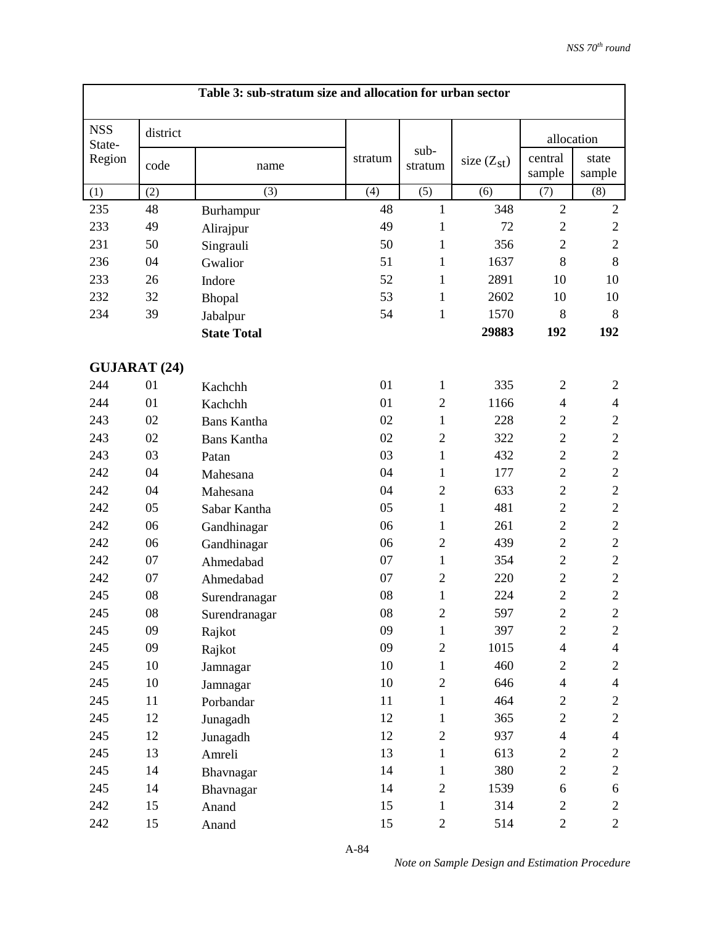|                      |          | Table 3: sub-stratum size and allocation for urban sector |         |                 |                 |                          |                 |
|----------------------|----------|-----------------------------------------------------------|---------|-----------------|-----------------|--------------------------|-----------------|
| <b>NSS</b><br>State- | district |                                                           |         |                 |                 | allocation               |                 |
| Region               | code     | name                                                      | stratum | sub-<br>stratum | size $(Z_{st})$ | central<br>sample        | state<br>sample |
| (1)                  | (2)      | (3)                                                       | (4)     | (5)             | (6)             | (7)                      | (8)             |
| 235                  | 48       | Burhampur                                                 | 48      | $\mathbf{1}$    | 348             | $\overline{2}$           | $\sqrt{2}$      |
| 233                  | 49       | Alirajpur                                                 | 49      | $\mathbf{1}$    | 72              | $\overline{2}$           | $\sqrt{2}$      |
| 231                  | 50       | Singrauli                                                 | 50      | $\mathbf{1}$    | 356             | $\overline{2}$           | $\overline{2}$  |
| 236                  | 04       | Gwalior                                                   | 51      | 1               | 1637            | 8                        | 8               |
| 233                  | 26       | Indore                                                    | 52      | $\mathbf{1}$    | 2891            | 10                       | 10              |
| 232                  | 32       | Bhopal                                                    | 53      | 1               | 2602            | 10                       | 10              |
| 234                  | 39       | Jabalpur                                                  | 54      | $\mathbf{1}$    | 1570            | 8                        | 8               |
|                      |          | <b>State Total</b>                                        |         |                 | 29883           | 192                      | 192             |
| <b>GUJARAT (24)</b>  |          |                                                           |         |                 |                 |                          |                 |
| 244                  | 01       | Kachchh                                                   | 01      | $\mathbf{1}$    | 335             | $\mathfrak{2}$           | $\mathfrak{2}$  |
| 244                  | 01       | Kachchh                                                   | 01      | $\overline{2}$  | 1166            | $\overline{\mathcal{A}}$ | $\overline{4}$  |
| 243                  | 02       | <b>Bans Kantha</b>                                        | 02      | $\mathbf{1}$    | 228             | $\overline{2}$           | $\mathbf{2}$    |
| 243                  | 02       | <b>Bans Kantha</b>                                        | 02      | $\overline{2}$  | 322             | $\overline{2}$           | $\sqrt{2}$      |
| 243                  | 03       | Patan                                                     | 03      | $\mathbf{1}$    | 432             | $\overline{2}$           | $\sqrt{2}$      |
| 242                  | 04       | Mahesana                                                  | 04      | 1               | 177             | $\overline{2}$           | $\sqrt{2}$      |
| 242                  | 04       | Mahesana                                                  | 04      | $\overline{2}$  | 633             | $\overline{2}$           | $\sqrt{2}$      |
| 242                  | 05       | Sabar Kantha                                              | 05      | 1               | 481             | $\overline{2}$           | $\sqrt{2}$      |
| 242                  | 06       | Gandhinagar                                               | 06      | 1               | 261             | $\overline{2}$           | $\sqrt{2}$      |
| 242                  | 06       | Gandhinagar                                               | 06      | $\overline{2}$  | 439             | $\overline{2}$           | $\sqrt{2}$      |
| 242                  | 07       | Ahmedabad                                                 | 07      | $\mathbf{1}$    | 354             | $\overline{2}$           | $\sqrt{2}$      |
| 242                  | 07       | Ahmedabad                                                 | 07      | $\overline{2}$  | 220             | $\overline{2}$           | $\sqrt{2}$      |
| 245                  | 08       | Surendranagar                                             | 08      | $\mathbf{1}$    | 224             | $\overline{2}$           | $\sqrt{2}$      |
| 245                  | $08\,$   | Surendranagar                                             | 08      | $\sqrt{2}$      | 597             | $\overline{c}$           | $\mathbf{2}$    |
| 245                  | 09       | Rajkot                                                    | 09      | $\mathbf{1}$    | 397             | $\overline{c}$           | $\overline{c}$  |
| 245                  | 09       | Rajkot                                                    | 09      | $\overline{2}$  | 1015            | $\overline{\mathcal{L}}$ | $\overline{4}$  |
| 245                  | 10       | Jamnagar                                                  | 10      | $\mathbf{1}$    | 460             | $\overline{c}$           | $\overline{c}$  |
| 245                  | 10       | Jamnagar                                                  | 10      | $\overline{2}$  | 646             | $\overline{\mathbf{4}}$  | $\overline{4}$  |
| 245                  | 11       | Porbandar                                                 | 11      | $\mathbf{1}$    | 464             | $\overline{c}$           | $\overline{c}$  |
| 245                  | 12       | Junagadh                                                  | 12      | $\mathbf{1}$    | 365             | $\overline{2}$           | $\overline{c}$  |
| 245                  | 12       | Junagadh                                                  | 12      | $\mathbf{2}$    | 937             | $\overline{4}$           | $\overline{4}$  |
| 245                  | 13       | Amreli                                                    | 13      | $\mathbf{1}$    | 613             | $\overline{c}$           | $\overline{c}$  |
| 245                  | 14       | Bhavnagar                                                 | 14      | $\mathbf{1}$    | 380             | $\overline{c}$           | $\overline{2}$  |
| 245                  | 14       | Bhavnagar                                                 | 14      | $\mathbf{2}$    | 1539            | 6                        | 6               |
| 242                  | 15       | Anand                                                     | 15      | $\mathbf{1}$    | 314             | $\overline{c}$           | $\overline{2}$  |
| 242                  | 15       | Anand                                                     | 15      | $\overline{2}$  | 514             | $\overline{2}$           | $\overline{2}$  |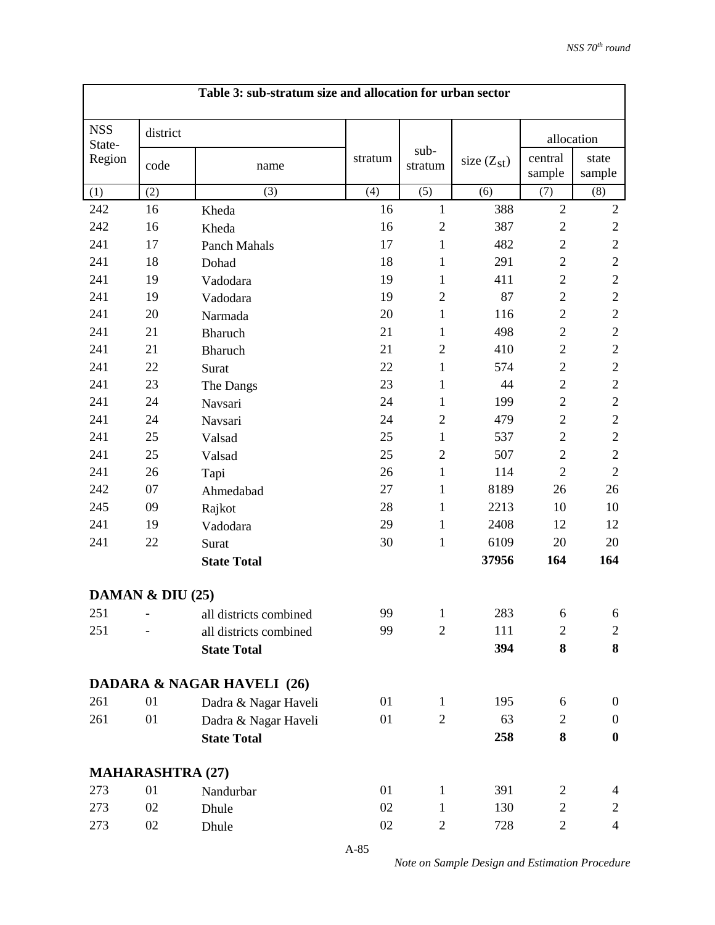| Table 3: sub-stratum size and allocation for urban sector |                         |                                       |         |                 |                 |                   |                  |  |  |
|-----------------------------------------------------------|-------------------------|---------------------------------------|---------|-----------------|-----------------|-------------------|------------------|--|--|
| <b>NSS</b><br>State-                                      | district                |                                       |         |                 |                 | allocation        |                  |  |  |
| Region                                                    | code                    | name                                  | stratum | sub-<br>stratum | size $(Z_{st})$ | central<br>sample | state<br>sample  |  |  |
| (1)                                                       | (2)                     | (3)                                   | (4)     | (5)             | (6)             | (7)               | (8)              |  |  |
| 242                                                       | 16                      | Kheda                                 | 16      | 1               | 388             | $\overline{2}$    | $\overline{2}$   |  |  |
| 242                                                       | 16                      | Kheda                                 | 16      | $\overline{2}$  | 387             | $\mathbf{2}$      | $\mathbf{2}$     |  |  |
| 241                                                       | 17                      | Panch Mahals                          | 17      | $\mathbf{1}$    | 482             | $\mathbf{2}$      | $\sqrt{2}$       |  |  |
| 241                                                       | 18                      | Dohad                                 | 18      | $\mathbf{1}$    | 291             | $\overline{2}$    | $\mathfrak{2}$   |  |  |
| 241                                                       | 19                      | Vadodara                              | 19      | $\mathbf{1}$    | 411             | $\overline{2}$    | $\sqrt{2}$       |  |  |
| 241                                                       | 19                      | Vadodara                              | 19      | $\overline{2}$  | 87              | $\overline{2}$    | $\sqrt{2}$       |  |  |
| 241                                                       | 20                      | Narmada                               | 20      | $\mathbf{1}$    | 116             | $\overline{2}$    | $\mathfrak{2}$   |  |  |
| 241                                                       | 21                      | Bharuch                               | 21      | $\mathbf{1}$    | 498             | $\mathbf{2}$      | $\sqrt{2}$       |  |  |
| 241                                                       | 21                      | <b>Bharuch</b>                        | 21      | $\overline{2}$  | 410             | $\overline{2}$    | $\sqrt{2}$       |  |  |
| 241                                                       | 22                      | Surat                                 | 22      | $\mathbf{1}$    | 574             | $\mathbf{2}$      | $\sqrt{2}$       |  |  |
| 241                                                       | 23                      | The Dangs                             | 23      | 1               | 44              | $\overline{2}$    | $\overline{2}$   |  |  |
| 241                                                       | 24                      | Navsari                               | 24      | $\mathbf{1}$    | 199             | $\mathbf{2}$      | $\mathfrak{2}$   |  |  |
| 241                                                       | 24                      | Navsari                               | 24      | $\overline{2}$  | 479             | $\overline{2}$    | $\sqrt{2}$       |  |  |
| 241                                                       | 25                      | Valsad                                | 25      | $\mathbf{1}$    | 537             | $\overline{2}$    | $\overline{2}$   |  |  |
| 241                                                       | 25                      | Valsad                                | 25      | $\overline{2}$  | 507             | $\overline{2}$    | $\sqrt{2}$       |  |  |
| 241                                                       | 26                      | Tapi                                  | 26      | $\mathbf{1}$    | 114             | $\overline{2}$    | $\overline{2}$   |  |  |
| 242                                                       | 07                      | Ahmedabad                             | 27      | $\mathbf{1}$    | 8189            | 26                | 26               |  |  |
| 245                                                       | 09                      | Rajkot                                | 28      | $\mathbf{1}$    | 2213            | 10                | 10               |  |  |
| 241                                                       | 19                      | Vadodara                              | 29      | 1               | 2408            | 12                | 12               |  |  |
| 241                                                       | 22                      | Surat                                 | 30      | $\mathbf{1}$    | 6109            | 20                | 20               |  |  |
|                                                           |                         | <b>State Total</b>                    |         |                 | 37956           | 164               | 164              |  |  |
|                                                           | DAMAN $&$ DIU (25)      |                                       |         |                 |                 |                   |                  |  |  |
| 251                                                       |                         | all districts combined                | 99      | $\mathbf{1}$    | 283             | 6                 | 6                |  |  |
| 251                                                       |                         | all districts combined                | 99      | $\overline{2}$  | 111             | $\overline{c}$    | 2                |  |  |
|                                                           |                         | <b>State Total</b>                    |         |                 | 394             | 8                 | 8                |  |  |
|                                                           |                         | <b>DADARA &amp; NAGAR HAVELI (26)</b> |         |                 |                 |                   |                  |  |  |
| 261                                                       | 01                      | Dadra & Nagar Haveli                  | 01      | 1               | 195             | 6                 | $\boldsymbol{0}$ |  |  |
| 261                                                       | 01                      | Dadra & Nagar Haveli                  | 01      | $\overline{2}$  | 63              | $\overline{c}$    | $\mathbf{0}$     |  |  |
|                                                           |                         | <b>State Total</b>                    |         |                 | 258             | 8                 | $\boldsymbol{0}$ |  |  |
|                                                           | <b>MAHARASHTRA (27)</b> |                                       |         |                 |                 |                   |                  |  |  |
| 273                                                       | 01                      | Nandurbar                             | 01      | $\mathbf{1}$    | 391             | $\overline{c}$    | 4                |  |  |
| 273                                                       | 02                      | Dhule                                 | 02      | $\mathbf{1}$    | 130             | $\mathbf{2}$      | $\overline{c}$   |  |  |
| 273                                                       | 02                      | Dhule                                 | 02      | $\overline{c}$  | 728             | $\overline{c}$    | $\overline{4}$   |  |  |

*Note on Sample Design and Estimation Procedure*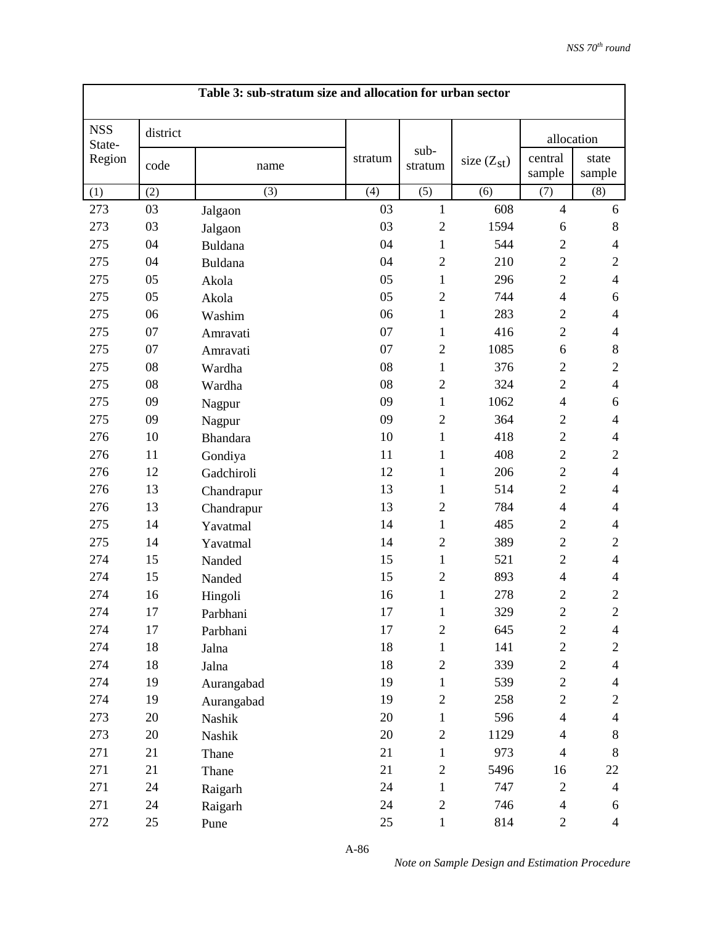|                      |          | Table 3: sub-stratum size and allocation for urban sector |         |                 |                 |                   |                 |
|----------------------|----------|-----------------------------------------------------------|---------|-----------------|-----------------|-------------------|-----------------|
| <b>NSS</b><br>State- | district |                                                           |         |                 |                 | allocation        |                 |
| Region               | code     | name                                                      | stratum | sub-<br>stratum | size $(Z_{st})$ | central<br>sample | state<br>sample |
| (1)                  | (2)      | (3)                                                       | (4)     | (5)             | (6)             | (7)               | (8)             |
| 273                  | 03       | Jalgaon                                                   | 03      | $\mathbf{1}$    | 608             | $\overline{4}$    | 6               |
| 273                  | 03       | Jalgaon                                                   | 03      | $\overline{2}$  | 1594            | 6                 | $8\,$           |
| 275                  | 04       | <b>Buldana</b>                                            | 04      | $\mathbf{1}$    | 544             | $\overline{2}$    | $\overline{4}$  |
| 275                  | 04       | Buldana                                                   | 04      | $\overline{2}$  | 210             | $\overline{2}$    | $\mathbf{2}$    |
| 275                  | 05       | Akola                                                     | 05      | 1               | 296             | $\overline{2}$    | $\overline{4}$  |
| 275                  | 05       | Akola                                                     | 05      | $\overline{2}$  | 744             | $\overline{4}$    | 6               |
| 275                  | 06       | Washim                                                    | 06      | 1               | 283             | $\overline{2}$    | $\overline{4}$  |
| 275                  | 07       | Amravati                                                  | 07      | 1               | 416             | $\overline{2}$    | $\overline{4}$  |
| 275                  | 07       | Amravati                                                  | 07      | $\overline{c}$  | 1085            | 6                 | $8\,$           |
| 275                  | 08       | Wardha                                                    | 08      | 1               | 376             | $\overline{2}$    | $\overline{2}$  |
| 275                  | 08       | Wardha                                                    | 08      | $\overline{2}$  | 324             | $\overline{2}$    | $\overline{4}$  |
| 275                  | 09       | Nagpur                                                    | 09      | 1               | 1062            | $\overline{4}$    | 6               |
| 275                  | 09       | Nagpur                                                    | 09      | $\overline{2}$  | 364             | $\overline{2}$    | $\overline{4}$  |
| 276                  | 10       | <b>Bhandara</b>                                           | 10      | 1               | 418             | $\overline{2}$    | $\overline{4}$  |
| 276                  | 11       | Gondiya                                                   | 11      | 1               | 408             | $\overline{2}$    | $\overline{2}$  |
| 276                  | 12       | Gadchiroli                                                | 12      | 1               | 206             | $\overline{2}$    | $\overline{4}$  |
| 276                  | 13       | Chandrapur                                                | 13      | 1               | 514             | $\mathbf{2}$      | $\overline{4}$  |
| 276                  | 13       | Chandrapur                                                | 13      | $\overline{2}$  | 784             | 4                 | $\overline{4}$  |
| 275                  | 14       | Yavatmal                                                  | 14      | 1               | 485             | $\overline{2}$    | $\overline{4}$  |
| 275                  | 14       | Yavatmal                                                  | 14      | $\overline{2}$  | 389             | $\overline{2}$    | $\mathbf{2}$    |
| 274                  | 15       | Nanded                                                    | 15      | $\mathbf{1}$    | 521             | $\overline{2}$    | $\overline{4}$  |
| 274                  | 15       | Nanded                                                    | 15      | $\overline{c}$  | 893             | $\overline{4}$    | $\overline{4}$  |
| 274                  | 16       | Hingoli                                                   | 16      | $\mathbf{1}$    | 278             | $\overline{2}$    | $\overline{2}$  |
| 274                  | 17       | Parbhani                                                  | 17      | 1               | 329             | $\mathbf{2}$      | $\sqrt{2}$      |
| 274                  | 17       | Parbhani                                                  | 17      | $\overline{2}$  | 645             | $\sqrt{2}$        | $\overline{4}$  |
| 274                  | 18       | Jalna                                                     | 18      | 1               | 141             | $\overline{c}$    | $\overline{c}$  |
| 274                  | 18       | Jalna                                                     | 18      | $\overline{c}$  | 339             | $\mathbf{2}$      | $\overline{4}$  |
| 274                  | 19       | Aurangabad                                                | 19      | $\mathbf{1}$    | 539             | $\overline{c}$    | $\overline{4}$  |
| 274                  | 19       | Aurangabad                                                | 19      | $\overline{2}$  | 258             | $\mathbf{2}$      | $\overline{c}$  |
| 273                  | 20       | Nashik                                                    | 20      | $\mathbf{1}$    | 596             | $\overline{4}$    | $\overline{4}$  |
| 273                  | 20       | Nashik                                                    | 20      | $\overline{c}$  | 1129            | $\overline{4}$    | 8               |
| 271                  | 21       | Thane                                                     | 21      | $\mathbf{1}$    | 973             | $\overline{4}$    | 8               |
| 271                  | 21       | Thane                                                     | 21      | $\overline{c}$  | 5496            | 16                | 22              |
| 271                  | 24       | Raigarh                                                   | 24      | $\mathbf{1}$    | 747             | $\mathbf{2}$      | $\overline{4}$  |
| 271                  | 24       | Raigarh                                                   | 24      | $\mathbf{2}$    | 746             | $\overline{4}$    | 6               |
| 272                  | 25       | Pune                                                      | 25      | $\mathbf{1}$    | 814             | $\overline{c}$    | $\overline{4}$  |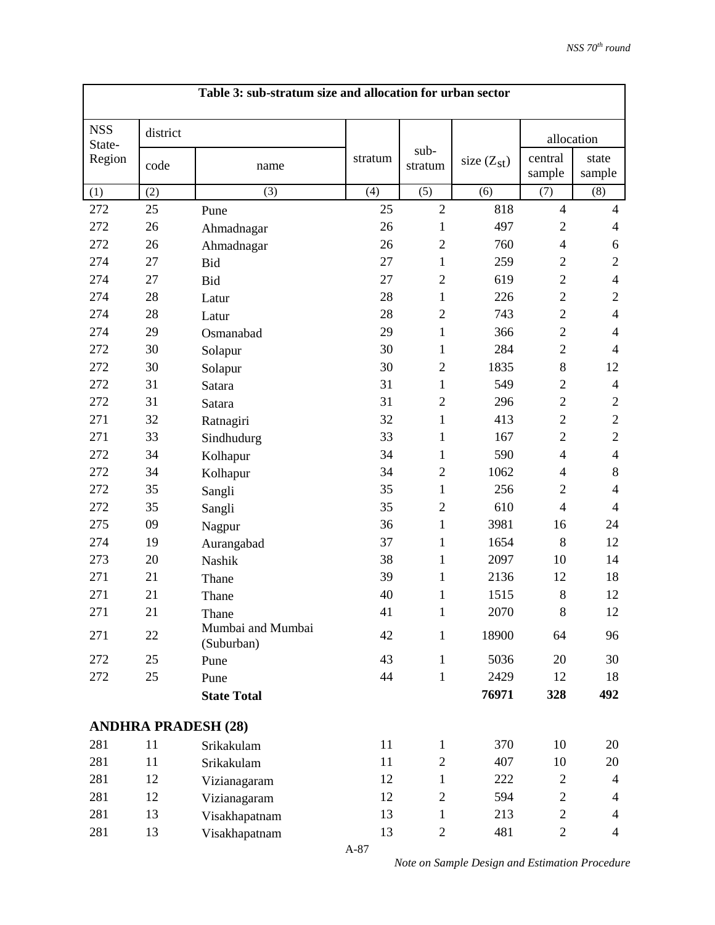|                      |          | Table 3: sub-stratum size and allocation for urban sector |         |                 |                 |                          |                 |
|----------------------|----------|-----------------------------------------------------------|---------|-----------------|-----------------|--------------------------|-----------------|
| <b>NSS</b><br>State- | district |                                                           |         |                 |                 | allocation               |                 |
| Region               | code     | name                                                      | stratum | sub-<br>stratum | size $(Z_{st})$ | central<br>sample        | state<br>sample |
| (1)                  | (2)      | (3)                                                       | (4)     | (5)             | (6)             | (7)                      | (8)             |
| 272                  | 25       | Pune                                                      | 25      | $\overline{2}$  | 818             | $\overline{4}$           | $\overline{4}$  |
| 272                  | 26       | Ahmadnagar                                                | 26      | $\mathbf{1}$    | 497             | $\mathbf{2}$             | $\overline{4}$  |
| 272                  | 26       | Ahmadnagar                                                | 26      | $\overline{2}$  | 760             | $\overline{4}$           | 6               |
| 274                  | 27       | <b>Bid</b>                                                | 27      | 1               | 259             | $\mathfrak{2}$           | $\mathbf{2}$    |
| 274                  | 27       | <b>Bid</b>                                                | 27      | $\overline{2}$  | 619             | $\overline{2}$           | $\overline{4}$  |
| 274                  | 28       | Latur                                                     | 28      | $\mathbf{1}$    | 226             | $\overline{2}$           | $\mathfrak{2}$  |
| 274                  | 28       | Latur                                                     | 28      | $\overline{2}$  | 743             | $\mathbf{2}$             | $\overline{4}$  |
| 274                  | 29       | Osmanabad                                                 | 29      | $\mathbf{1}$    | 366             | $\overline{2}$           | $\overline{4}$  |
| 272                  | 30       | Solapur                                                   | 30      | 1               | 284             | $\overline{2}$           | $\overline{4}$  |
| 272                  | 30       | Solapur                                                   | 30      | $\overline{2}$  | 1835            | 8                        | 12              |
| 272                  | 31       | Satara                                                    | 31      | $\mathbf{1}$    | 549             | $\overline{2}$           | $\overline{4}$  |
| 272                  | 31       | Satara                                                    | 31      | $\overline{2}$  | 296             | $\overline{2}$           | $\mathbf{2}$    |
| 271                  | 32       | Ratnagiri                                                 | 32      | $\mathbf{1}$    | 413             | $\overline{2}$           | $\sqrt{2}$      |
| 271                  | 33       | Sindhudurg                                                | 33      | 1               | 167             | $\overline{2}$           | $\sqrt{2}$      |
| 272                  | 34       | Kolhapur                                                  | 34      | $\mathbf{1}$    | 590             | $\overline{4}$           | $\overline{4}$  |
| 272                  | 34       | Kolhapur                                                  | 34      | $\overline{2}$  | 1062            | $\overline{\mathcal{A}}$ | $8\,$           |
| 272                  | 35       | Sangli                                                    | 35      | $\mathbf{1}$    | 256             | $\overline{2}$           | $\overline{4}$  |
| 272                  | 35       | Sangli                                                    | 35      | $\overline{2}$  | 610             | $\overline{4}$           | $\overline{4}$  |
| 275                  | 09       | Nagpur                                                    | 36      | $\mathbf{1}$    | 3981            | 16                       | 24              |
| 274                  | 19       | Aurangabad                                                | 37      | 1               | 1654            | 8                        | 12              |
| 273                  | 20       | Nashik                                                    | 38      | 1               | 2097            | 10                       | 14              |
| 271                  | 21       | Thane                                                     | 39      | 1               | 2136            | 12                       | 18              |
| 271                  | 21       | Thane                                                     | 40      | $\mathbf{1}$    | 1515            | 8                        | 12              |
| 271                  | 21       | Thane                                                     | 41      | $\mathbf{1}$    | 2070            | $8\,$                    | 12              |
| 271                  | 22       | Mumbai and Mumbai<br>(Suburban)                           | 42      | $\mathbf{1}$    | 18900           | 64                       | 96              |
| 272                  | 25       | Pune                                                      | 43      | $\mathbf{1}$    | 5036            | 20                       | 30              |
| 272                  | 25       | Pune                                                      | 44      | $\mathbf{1}$    | 2429            | 12                       | 18              |
|                      |          | <b>State Total</b>                                        |         |                 | 76971           | 328                      | 492             |
|                      |          | <b>ANDHRA PRADESH (28)</b>                                |         |                 |                 |                          |                 |
| 281                  | 11       | Srikakulam                                                | 11      | $\mathbf{1}$    | 370             | 10                       | 20              |
| 281                  | 11       | Srikakulam                                                | 11      | $\overline{2}$  | 407             | 10                       | 20              |
| 281                  | 12       | Vizianagaram                                              | 12      | $\mathbf{1}$    | 222             | $\overline{2}$           | 4               |
| 281                  | 12       | Vizianagaram                                              | 12      | $\overline{2}$  | 594             | $\overline{c}$           | $\overline{4}$  |
| 281                  | 13       | Visakhapatnam                                             | 13      | 1               | 213             | $\overline{2}$           | 4               |
| 281                  | 13       | Visakhapatnam                                             | 13      | $\overline{c}$  | 481             | $\overline{c}$           | $\overline{4}$  |

*Note on Sample Design and Estimation Procedure*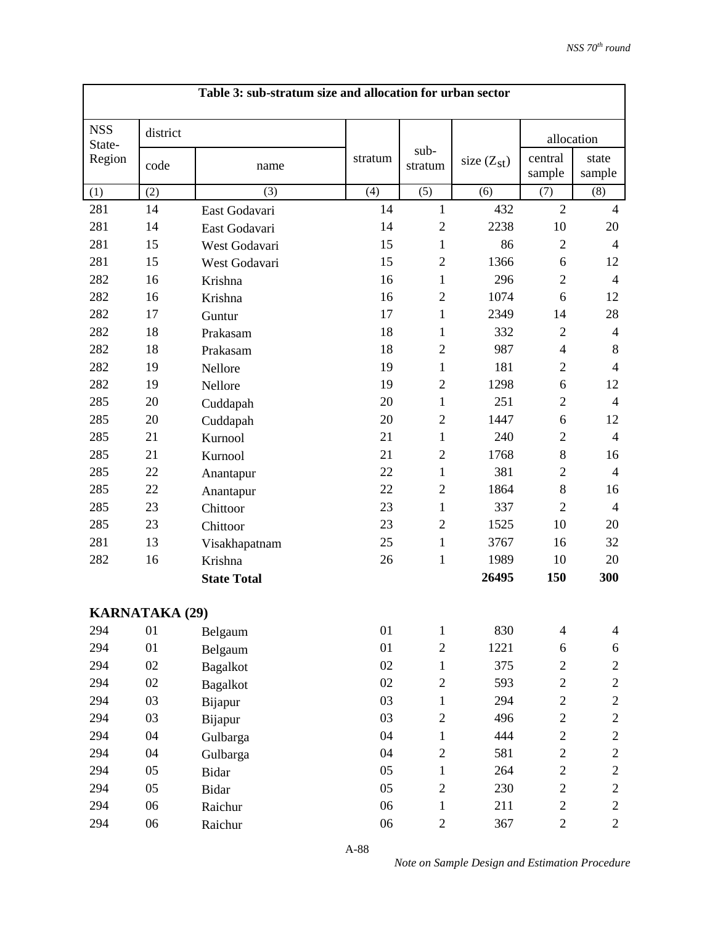| Table 3: sub-stratum size and allocation for urban sector |                       |                    |         |                 |              |                   |                 |  |  |
|-----------------------------------------------------------|-----------------------|--------------------|---------|-----------------|--------------|-------------------|-----------------|--|--|
| <b>NSS</b><br>State-                                      | district              |                    |         |                 |              | allocation        |                 |  |  |
| Region                                                    | code                  | name               | stratum | sub-<br>stratum | size $(Zst)$ | central<br>sample | state<br>sample |  |  |
| (1)                                                       | (2)                   | (3)                | (4)     | (5)             | (6)          | (7)               | (8)             |  |  |
| 281                                                       | 14                    | East Godavari      | 14      | $\mathbf{1}$    | 432          | $\overline{2}$    | $\overline{4}$  |  |  |
| 281                                                       | 14                    | East Godavari      | 14      | $\overline{2}$  | 2238         | 10                | 20              |  |  |
| 281                                                       | 15                    | West Godavari      | 15      | $\mathbf{1}$    | 86           | $\overline{2}$    | $\overline{4}$  |  |  |
| 281                                                       | 15                    | West Godavari      | 15      | $\overline{2}$  | 1366         | 6                 | 12              |  |  |
| 282                                                       | 16                    | Krishna            | 16      | $\mathbf{1}$    | 296          | $\mathbf{2}$      | $\overline{4}$  |  |  |
| 282                                                       | 16                    | Krishna            | 16      | $\overline{2}$  | 1074         | 6                 | 12              |  |  |
| 282                                                       | 17                    | Guntur             | 17      | 1               | 2349         | 14                | 28              |  |  |
| 282                                                       | 18                    | Prakasam           | 18      | $\mathbf{1}$    | 332          | $\mathfrak{2}$    | $\overline{4}$  |  |  |
| 282                                                       | 18                    | Prakasam           | 18      | $\overline{2}$  | 987          | $\overline{4}$    | 8               |  |  |
| 282                                                       | 19                    | Nellore            | 19      | $\mathbf{1}$    | 181          | $\overline{2}$    | $\overline{4}$  |  |  |
| 282                                                       | 19                    | Nellore            | 19      | $\overline{2}$  | 1298         | 6                 | 12              |  |  |
| 285                                                       | 20                    | Cuddapah           | 20      | $\mathbf{1}$    | 251          | $\mathbf{2}$      | $\overline{4}$  |  |  |
| 285                                                       | 20                    | Cuddapah           | 20      | $\overline{2}$  | 1447         | 6                 | 12              |  |  |
| 285                                                       | 21                    | Kurnool            | 21      | $\mathbf{1}$    | 240          | $\overline{2}$    | $\overline{4}$  |  |  |
| 285                                                       | 21                    | Kurnool            | 21      | $\overline{2}$  | 1768         | 8                 | 16              |  |  |
| 285                                                       | 22                    | Anantapur          | 22      | $\mathbf{1}$    | 381          | $\mathbf{2}$      | $\overline{4}$  |  |  |
| 285                                                       | 22                    | Anantapur          | 22      | $\overline{2}$  | 1864         | 8                 | 16              |  |  |
| 285                                                       | 23                    | Chittoor           | 23      | $\mathbf{1}$    | 337          | $\mathfrak{2}$    | $\overline{4}$  |  |  |
| 285                                                       | 23                    | Chittoor           | 23      | $\overline{2}$  | 1525         | 10                | 20              |  |  |
| 281                                                       | 13                    | Visakhapatnam      | 25      | $\mathbf{1}$    | 3767         | 16                | 32              |  |  |
| 282                                                       | 16                    | Krishna            | 26      | $\mathbf{1}$    | 1989         | 10                | 20              |  |  |
|                                                           |                       | <b>State Total</b> |         |                 | 26495        | 150               | 300             |  |  |
|                                                           | <b>KARNATAKA (29)</b> |                    |         |                 |              |                   |                 |  |  |
| 294                                                       | 01                    | Belgaum            | 01      | $\mathbf{1}$    | 830          | $\overline{4}$    | $\overline{4}$  |  |  |
| 294                                                       | 01                    | Belgaum            | 01      | $\overline{2}$  | 1221         | 6                 | 6               |  |  |
| 294                                                       | 02                    | <b>Bagalkot</b>    | 02      | $\mathbf{1}$    | 375          | $\overline{c}$    | $\overline{c}$  |  |  |
| 294                                                       | $02\,$                | <b>Bagalkot</b>    | 02      | $\overline{c}$  | 593          | $\overline{c}$    | $\mathbf{2}$    |  |  |
| 294                                                       | 03                    | Bijapur            | 03      | $\mathbf{1}$    | 294          | $\overline{c}$    | $\overline{c}$  |  |  |
| 294                                                       | 03                    | Bijapur            | 03      | $\overline{2}$  | 496          | $\overline{c}$    | $\overline{c}$  |  |  |
| 294                                                       | 04                    | Gulbarga           | 04      | $\mathbf{1}$    | 444          | $\overline{c}$    | $\mathbf{2}$    |  |  |
| 294                                                       | 04                    | Gulbarga           | 04      | $\overline{2}$  | 581          | $\overline{2}$    | $\overline{c}$  |  |  |
| 294                                                       | 05                    | Bidar              | 05      | $\mathbf{1}$    | 264          | $\overline{c}$    | $\mathbf{2}$    |  |  |
| 294                                                       | 05                    | Bidar              | 05      | $\overline{2}$  | 230          | $\overline{c}$    | $\overline{c}$  |  |  |
| 294                                                       | 06                    | Raichur            | 06      | $\mathbf{1}$    | 211          | $\overline{c}$    | $\mathbf{2}$    |  |  |
| 294                                                       | 06                    | Raichur            | 06      | $\overline{c}$  | 367          | $\overline{c}$    | $\overline{c}$  |  |  |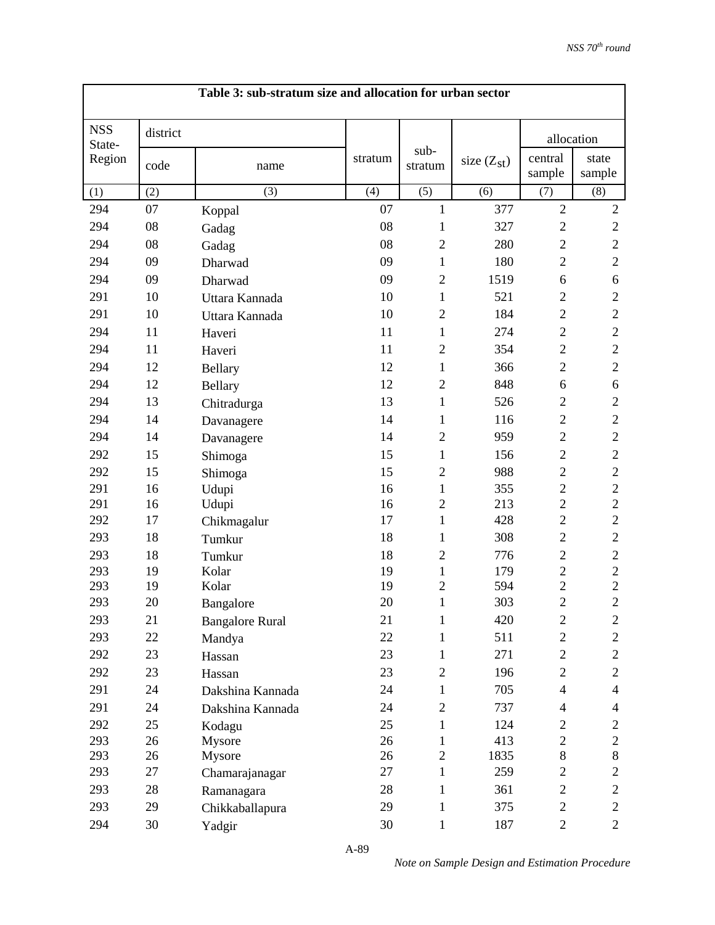| Table 3: sub-stratum size and allocation for urban sector |          |                        |         |                 |                 |                          |                 |
|-----------------------------------------------------------|----------|------------------------|---------|-----------------|-----------------|--------------------------|-----------------|
| <b>NSS</b><br>State-<br>Region                            | district |                        |         |                 |                 | allocation               |                 |
|                                                           | code     | name                   | stratum | sub-<br>stratum | size $(Z_{st})$ | central<br>sample        | state<br>sample |
| (1)                                                       | (2)      | (3)                    | (4)     | (5)             | (6)             | (7)                      | (8)             |
| 294                                                       | 07       | Koppal                 | 07      | $\mathbf{1}$    | 377             | $\overline{2}$           | $\overline{c}$  |
| 294                                                       | 08       | Gadag                  | 08      | 1               | 327             | $\mathbf{2}$             | $\mathbf{2}$    |
| 294                                                       | 08       | Gadag                  | 08      | $\overline{2}$  | 280             | $\overline{2}$           | $\sqrt{2}$      |
| 294                                                       | 09       | Dharwad                | 09      | 1               | 180             | $\overline{2}$           | $\mathbf{2}$    |
| 294                                                       | 09       | Dharwad                | 09      | $\overline{2}$  | 1519            | 6                        | 6               |
| 291                                                       | 10       | Uttara Kannada         | 10      | $\mathbf{1}$    | 521             | $\overline{2}$           | $\mathfrak{2}$  |
| 291                                                       | 10       | Uttara Kannada         | 10      | $\overline{2}$  | 184             | $\mathbf{2}$             | $\sqrt{2}$      |
| 294                                                       | 11       | Haveri                 | 11      | 1               | 274             | $\mathbf{2}$             | $\sqrt{2}$      |
| 294                                                       | 11       | Haveri                 | 11      | $\mathfrak{2}$  | 354             | $\mathbf{2}$             | $\sqrt{2}$      |
| 294                                                       | 12       | Bellary                | 12      | $\mathbf{1}$    | 366             | $\mathbf{2}$             | $\overline{2}$  |
| 294                                                       | 12       | Bellary                | 12      | $\mathfrak{2}$  | 848             | 6                        | 6               |
| 294                                                       | 13       | Chitradurga            | 13      | 1               | 526             | $\mathbf{2}$             | $\mathbf{2}$    |
| 294                                                       | 14       | Davanagere             | 14      | $\mathbf{1}$    | 116             | $\mathbf{2}$             | $\sqrt{2}$      |
| 294                                                       | 14       | Davanagere             | 14      | $\mathfrak{2}$  | 959             | $\overline{2}$           | $\sqrt{2}$      |
| 292                                                       | 15       | Shimoga                | 15      | $\mathbf{1}$    | 156             | $\overline{2}$           | $\sqrt{2}$      |
| 292                                                       | 15       | Shimoga                | 15      | $\mathfrak{2}$  | 988             | $\mathbf{2}$             | $\sqrt{2}$      |
| 291                                                       | 16       | Udupi                  | 16      | $\mathbf{1}$    | 355             | $\overline{2}$           | $\sqrt{2}$      |
| 291                                                       | 16       | Udupi                  | 16      | $\overline{2}$  | 213             | $\overline{2}$           | $\overline{2}$  |
| 292                                                       | 17       | Chikmagalur            | 17      | $\mathbf{1}$    | 428             | $\overline{2}$           | $\overline{2}$  |
| 293                                                       | 18       | Tumkur                 | 18      | $\mathbf{1}$    | 308             | $\overline{2}$           | $\overline{2}$  |
| 293                                                       | 18       | Tumkur                 | 18      | $\mathfrak{2}$  | 776             | $\mathbf{2}$             | $\mathbf{2}$    |
| 293                                                       | 19       | Kolar                  | 19      | $\mathbf{1}$    | 179             | $\boldsymbol{2}$         | $\overline{c}$  |
| 293                                                       | 19       | Kolar                  | 19      | $\overline{c}$  | 594             | $\overline{c}$           | $\overline{c}$  |
| 293                                                       | 20       | Bangalore              | 20      | $\mathbf{1}$    | 303             | $\overline{2}$           | $\overline{c}$  |
| 293                                                       | 21       | <b>Bangalore Rural</b> | 21      | $\mathbf{1}$    | 420             | $\mathbf{2}$             | $\mathbf{2}$    |
| 293                                                       | 22       | Mandya                 | 22      | $\mathbf{1}$    | 511             | $\mathbf{2}$             | $\overline{2}$  |
| 292                                                       | 23       | Hassan                 | 23      | $\mathbf{1}$    | 271             | $\overline{c}$           | $\mathbf{2}$    |
| 292                                                       | 23       | Hassan                 | 23      | $\mathbf{2}$    | 196             | $\mathbf{2}$             | $\overline{c}$  |
| 291                                                       | 24       | Dakshina Kannada       | 24      | $\mathbf{1}$    | 705             | $\overline{4}$           | $\overline{4}$  |
| 291                                                       | 24       | Dakshina Kannada       | 24      | $\mathbf{2}$    | 737             | $\overline{\mathcal{A}}$ | $\overline{4}$  |
| 292                                                       | 25       | Kodagu                 | 25      | 1               | 124             | $\mathbf{2}$             | $\overline{c}$  |
| 293                                                       | 26       | Mysore                 | 26      | $\mathbf{1}$    | 413             | $\overline{c}$           | $\mathbf{2}$    |
| 293                                                       | 26       | Mysore                 | 26      | $\overline{2}$  | 1835            | 8                        | $8\,$           |
| 293                                                       | 27       | Chamarajanagar         | 27      | $\mathbf{1}$    | 259             | $\overline{2}$           | $\mathbf{2}$    |
| 293                                                       | 28       | Ramanagara             | 28      | 1               | 361             | $\overline{c}$           | $\overline{c}$  |
| 293                                                       | 29       | Chikkaballapura        | 29      | 1               | 375             | $\mathbf{2}$             | $\overline{c}$  |
| 294                                                       | 30       | Yadgir                 | 30      | $\mathbf{1}$    | 187             | $\overline{c}$           | $\overline{c}$  |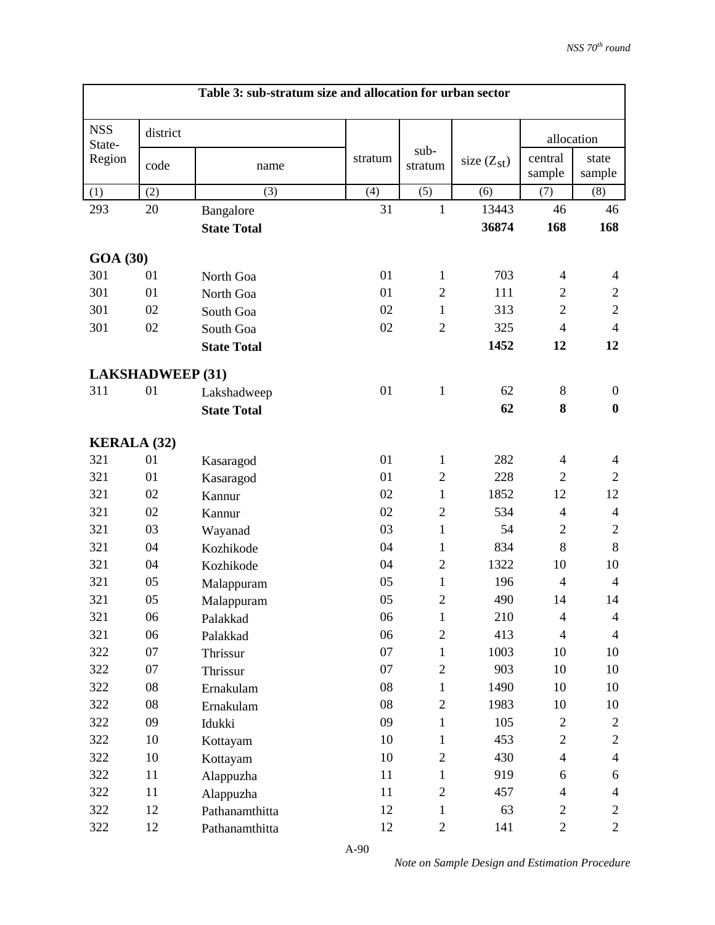| Table 3: sub-stratum size and allocation for urban sector |            |                    |         |                 |                 |                   |                  |
|-----------------------------------------------------------|------------|--------------------|---------|-----------------|-----------------|-------------------|------------------|
| <b>NSS</b><br>State-                                      | district   |                    |         |                 |                 | allocation        |                  |
| Region                                                    | code       | name               | stratum | sub-<br>stratum | size $(Z_{st})$ | central<br>sample | state<br>sample  |
| (1)                                                       | (2)        | (3)                | (4)     | (5)             | (6)             | (7)               | (8)              |
| 293                                                       | 20         | Bangalore          | 31      | $\mathbf{1}$    | 13443           | 46                | 46               |
|                                                           |            | <b>State Total</b> |         |                 | 36874           | 168               | 168              |
| <b>GOA (30)</b>                                           |            |                    |         |                 |                 |                   |                  |
| 301                                                       | 01         | North Goa          | 01      | 1               | 703             | $\overline{4}$    | $\overline{4}$   |
| 301                                                       | 01         | North Goa          | 01      | $\overline{2}$  | 111             | $\overline{2}$    | $\mathfrak{2}$   |
| 301                                                       | 02         | South Goa          | 02      | $\mathbf{1}$    | 313             | $\overline{2}$    | $\overline{2}$   |
| 301                                                       | 02         | South Goa          | 02      | $\overline{2}$  | 325             | $\overline{4}$    | $\overline{4}$   |
|                                                           |            | <b>State Total</b> |         |                 | 1452            | 12                | 12               |
| <b>LAKSHADWEEP (31)</b>                                   |            |                    |         |                 |                 |                   |                  |
| 311                                                       | 01         | Lakshadweep        | 01      | $\mathbf{1}$    | 62              | 8                 | $\boldsymbol{0}$ |
|                                                           |            | <b>State Total</b> |         |                 | 62              | 8                 | $\boldsymbol{0}$ |
| <b>KERALA (32)</b>                                        |            |                    |         |                 |                 |                   |                  |
| 321                                                       | 01         | Kasaragod          | 01      | $\mathbf{1}$    | 282             | $\overline{4}$    | 4                |
| 321                                                       | 01         | Kasaragod          | 01      | $\overline{2}$  | 228             | $\overline{2}$    | $\overline{2}$   |
| 321                                                       | 02         | Kannur             | 02      | $\mathbf{1}$    | 1852            | 12                | 12               |
| 321                                                       | 02         | Kannur             | 02      | $\overline{2}$  | 534             | $\overline{4}$    | $\overline{4}$   |
| 321                                                       | 03         | Wayanad            | 03      | $\mathbf{1}$    | 54              | $\mathfrak{2}$    | $\mathfrak{2}$   |
| 321                                                       | 04         | Kozhikode          | 04      | $\mathbf{1}$    | 834             | 8                 | $8\,$            |
| 321                                                       | 04         | Kozhikode          | 04      | $\overline{2}$  | 1322            | 10                | 10               |
| 321                                                       | 05         | Malappuram         | 05      | $\mathbf{1}$    | 196             | $\overline{4}$    | $\overline{4}$   |
| 321                                                       | 05         | Malappuram         | 05      | $\overline{2}$  | 490             | 14                | 14               |
| 321                                                       | 06         | Palakkad           | 06      | $\mathbf{1}$    | 210             | $\overline{4}$    | $\overline{4}$   |
| 321                                                       | 06         | Palakkad           | 06      | $\mathbf{2}$    | 413             | $\overline{4}$    | $\overline{4}$   |
| 322                                                       | 07         | Thrissur           | 07      | $\mathbf{1}$    | 1003            | 10                | 10               |
| 322                                                       | 07         | Thrissur           | 07      | $\mathbf{2}$    | 903             | 10                | 10               |
| 322                                                       | $08\,$     | Ernakulam          | 08      | $\mathbf{1}$    | 1490            | 10                | 10               |
| 322                                                       | ${\bf 08}$ | Ernakulam          | 08      | $\mathbf{2}$    | 1983            | 10                | 10               |
| 322                                                       | 09         | Idukki             | 09      | $\mathbf{1}$    | 105             | $\overline{2}$    | $\overline{c}$   |
| 322                                                       | 10         | Kottayam           | 10      | $\mathbf{1}$    | 453             | $\overline{c}$    | $\overline{c}$   |
| 322                                                       | 10         | Kottayam           | 10      | $\mathbf{2}$    | 430             | $\overline{4}$    | $\overline{4}$   |
| 322                                                       | 11         | Alappuzha          | 11      | $\mathbf{1}$    | 919             | 6                 | 6                |
| 322                                                       | 11         | Alappuzha          | 11      | $\mathfrak{2}$  | 457             | $\overline{4}$    | $\overline{4}$   |
| 322                                                       | 12         | Pathanamthitta     | 12      | $\mathbf{1}$    | 63              | $\overline{c}$    | $\overline{c}$   |
| 322                                                       | 12         | Pathanamthitta     | 12      | $\overline{2}$  | 141             | $\overline{c}$    | $\overline{2}$   |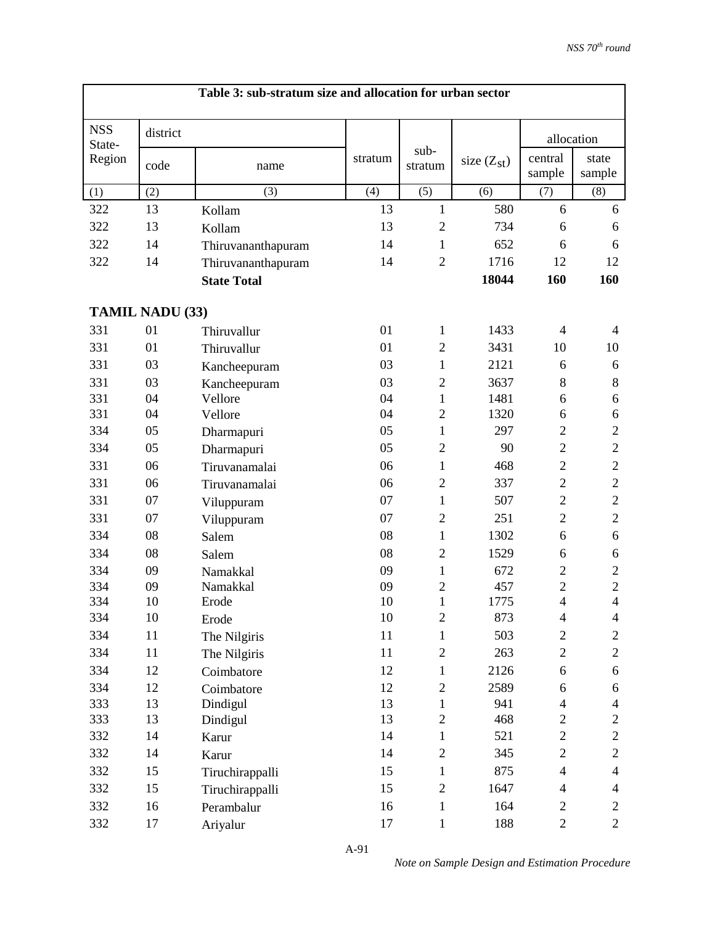| Table 3: sub-stratum size and allocation for urban sector |                        |                    |         |                 |                 |                                  |                                  |  |  |  |
|-----------------------------------------------------------|------------------------|--------------------|---------|-----------------|-----------------|----------------------------------|----------------------------------|--|--|--|
| <b>NSS</b><br>State-                                      | district               |                    |         |                 |                 | allocation                       |                                  |  |  |  |
| Region                                                    | code                   | name               | stratum | sub-<br>stratum | size $(Z_{st})$ | central<br>sample                | state<br>sample                  |  |  |  |
| (1)                                                       | (2)                    | (3)                | (4)     | (5)             | (6)             | (7)                              | (8)                              |  |  |  |
| 322                                                       | 13                     | Kollam             | 13      | $\mathbf{1}$    | 580             | 6                                | 6                                |  |  |  |
| 322                                                       | 13                     | Kollam             | 13      | $\mathfrak{2}$  | 734             | 6                                | 6                                |  |  |  |
| 322                                                       | 14                     | Thiruvananthapuram | 14      | $\mathbf{1}$    | 652             | 6                                | 6                                |  |  |  |
| 322                                                       | 14                     | Thiruvananthapuram | 14      | $\overline{2}$  | 1716            | 12                               | 12                               |  |  |  |
|                                                           |                        | <b>State Total</b> |         |                 | 18044           | 160                              | 160                              |  |  |  |
|                                                           | <b>TAMIL NADU (33)</b> |                    |         |                 |                 |                                  |                                  |  |  |  |
| 331                                                       | 01                     | Thiruvallur        | 01      | 1               | 1433            | $\overline{4}$                   | $\overline{4}$                   |  |  |  |
| 331                                                       | 01                     | Thiruvallur        | 01      | $\mathfrak{2}$  | 3431            | 10                               | 10                               |  |  |  |
| 331                                                       | 03                     | Kancheepuram       | 03      | $\mathbf{1}$    | 2121            | 6                                | 6                                |  |  |  |
| 331                                                       | 03                     | Kancheepuram       | 03      | $\mathfrak{2}$  | 3637            | 8                                | 8                                |  |  |  |
| 331                                                       | 04                     | Vellore            | 04      | $\mathbf{1}$    | 1481            | 6                                | 6                                |  |  |  |
| 331                                                       | 04                     | Vellore            | 04      | $\overline{2}$  | 1320            | 6                                | 6                                |  |  |  |
| 334                                                       | 05                     | Dharmapuri         | 05      | $\mathbf{1}$    | 297             | $\overline{2}$                   | $\overline{2}$                   |  |  |  |
| 334                                                       | 05                     | Dharmapuri         | 05      | $\overline{2}$  | 90              | $\overline{2}$                   | $\overline{2}$                   |  |  |  |
| 331                                                       | 06                     | Tiruvanamalai      | 06      | $\mathbf{1}$    | 468             | $\overline{2}$                   | $\overline{2}$                   |  |  |  |
| 331                                                       | 06                     | Tiruvanamalai      | 06      | $\overline{2}$  | 337             | $\overline{2}$                   | $\overline{2}$                   |  |  |  |
| 331                                                       | 07                     | Viluppuram         | 07      | 1               | 507             | $\overline{2}$                   | $\overline{2}$                   |  |  |  |
| 331                                                       | 07                     | Viluppuram         | 07      | $\overline{2}$  | 251             | $\overline{2}$                   | $\overline{2}$                   |  |  |  |
| 334                                                       | 08                     | Salem              | 08      | $\mathbf{1}$    | 1302            | 6                                | 6                                |  |  |  |
| 334                                                       | 08                     | Salem              | 08      | $\overline{2}$  | 1529            | 6                                | 6                                |  |  |  |
| 334                                                       | 09                     | Namakkal           | 09      | $\mathbf{1}$    | 672             | $\overline{2}$                   | $\overline{2}$                   |  |  |  |
| 334                                                       | 09                     | Namakkal           | 09      | $\overline{2}$  | 457             | $\overline{2}$                   | $\overline{c}$                   |  |  |  |
| 334                                                       | 10                     | Erode              | 10      | $\mathbf{1}$    | 1775            | $\overline{\mathbf{4}}$          | $\overline{4}$                   |  |  |  |
| 334                                                       | 10                     | Erode              | 10      | $\overline{2}$  | 873             | $\overline{4}$                   | $\overline{4}$                   |  |  |  |
| 334                                                       | 11                     | The Nilgiris       | 11      | 1               | 503             | $\mathfrak{2}$                   | $\overline{c}$                   |  |  |  |
| 334                                                       | 11                     | The Nilgiris       | 11      | $\sqrt{2}$      | 263             | $\overline{c}$                   | $\mathbf{2}$                     |  |  |  |
| 334                                                       | 12                     | Coimbatore         | 12      | $\mathbf{1}$    | 2126            | 6                                | 6                                |  |  |  |
| 334                                                       | 12                     | Coimbatore         | 12      | $\sqrt{2}$      | 2589            | 6                                | 6                                |  |  |  |
| 333                                                       | 13                     | Dindigul           | 13      | $\mathbf{1}$    | 941             | $\overline{4}$                   | $\overline{4}$                   |  |  |  |
| 333                                                       | 13                     | Dindigul           | 13      | $\overline{c}$  | 468             | $\overline{c}$<br>$\overline{2}$ | $\boldsymbol{2}$<br>$\mathbf{2}$ |  |  |  |
| 332                                                       | 14                     | Karur              | 14      | $\mathbf{1}$    | 521             |                                  |                                  |  |  |  |
| 332                                                       | 14                     | Karur              | 14      | $\mathbf{2}$    | 345             | $\overline{c}$                   | $\mathbf{2}$                     |  |  |  |
| 332                                                       | 15                     | Tiruchirappalli    | 15      | $\mathbf{1}$    | 875             | $\overline{4}$                   | $\overline{4}$                   |  |  |  |
| 332                                                       | 15                     | Tiruchirappalli    | 15      | $\overline{2}$  | 1647            | $\overline{4}$                   | $\overline{4}$                   |  |  |  |
| 332                                                       | 16                     | Perambalur         | 16      | $\mathbf{1}$    | 164             | $\overline{c}$                   | $\mathfrak{2}$                   |  |  |  |
| 332                                                       | 17                     | Ariyalur           | 17      | $\mathbf{1}$    | 188             | $\overline{2}$                   | $\overline{2}$                   |  |  |  |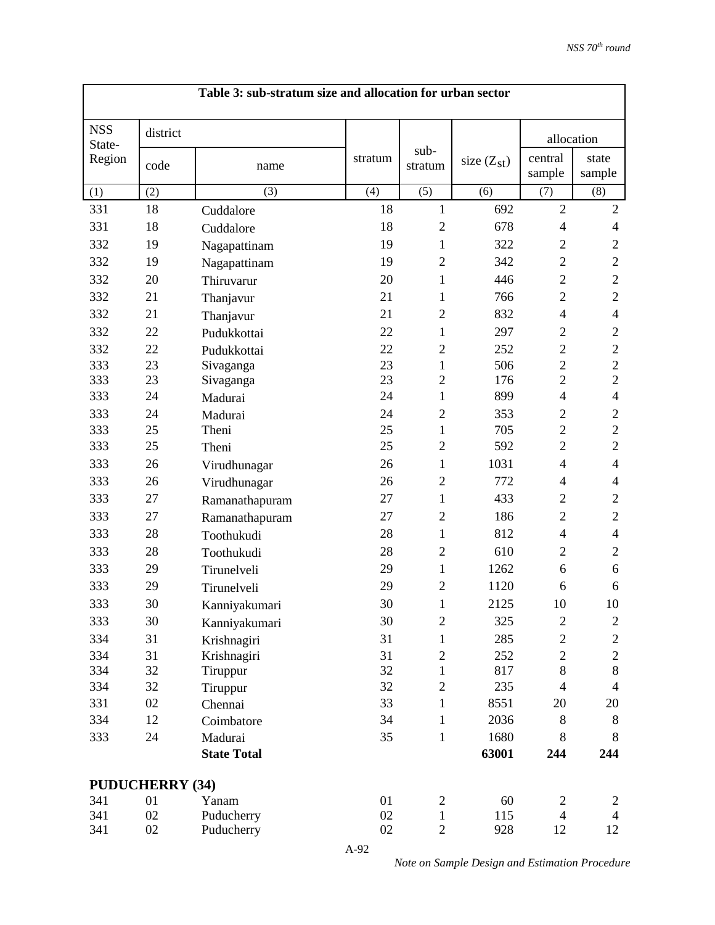| Table 3: sub-stratum size and allocation for urban sector |          |                    |         |                 |                 |                          |                 |  |
|-----------------------------------------------------------|----------|--------------------|---------|-----------------|-----------------|--------------------------|-----------------|--|
| <b>NSS</b><br>State-<br>Region                            | district |                    |         |                 |                 | allocation               |                 |  |
|                                                           | code     | name               | stratum | sub-<br>stratum | size $(Z_{st})$ | central<br>sample        | state<br>sample |  |
| (1)                                                       | (2)      | (3)                | (4)     | (5)             | (6)             | (7)                      | (8)             |  |
| 331                                                       | 18       | Cuddalore          | 18      | $\mathbf{1}$    | 692             | $\overline{2}$           | $\sqrt{2}$      |  |
| 331                                                       | 18       | Cuddalore          | 18      | $\overline{2}$  | 678             | $\overline{\mathcal{L}}$ | $\overline{4}$  |  |
| 332                                                       | 19       | Nagapattinam       | 19      | 1               | 322             | $\mathbf{2}$             | $\mathfrak{2}$  |  |
| 332                                                       | 19       | Nagapattinam       | 19      | $\overline{2}$  | 342             | $\overline{2}$           | $\sqrt{2}$      |  |
| 332                                                       | 20       | Thiruvarur         | 20      | $\mathbf{1}$    | 446             | $\overline{2}$           | $\mathbf{2}$    |  |
| 332                                                       | 21       | Thanjavur          | 21      | 1               | 766             | $\overline{2}$           | $\overline{c}$  |  |
| 332                                                       | 21       | Thanjavur          | 21      | $\overline{2}$  | 832             | $\overline{4}$           | $\overline{4}$  |  |
| 332                                                       | 22       | Pudukkottai        | 22      | 1               | 297             | $\mathbf{2}$             | $\mathfrak{2}$  |  |
| 332                                                       | 22       | Pudukkottai        | 22      | $\overline{2}$  | 252             | $\overline{c}$           | $\sqrt{2}$      |  |
| 333                                                       | 23       | Sivaganga          | 23      | $\mathbf{1}$    | 506             | $\overline{2}$           | $\overline{2}$  |  |
| 333                                                       | 23       | Sivaganga          | 23      | $\overline{2}$  | 176             | $\overline{2}$           | $\overline{2}$  |  |
| 333                                                       | 24       | Madurai            | 24      | 1               | 899             | $\overline{4}$           | $\overline{4}$  |  |
| 333                                                       | 24       | Madurai            | 24      | $\overline{2}$  | 353             | $\mathfrak{2}$           | $\mathfrak{2}$  |  |
| 333                                                       | 25       | Theni              | 25      | 1               | 705             | $\overline{2}$           | $\sqrt{2}$      |  |
| 333                                                       | 25       | Theni              | 25      | $\overline{2}$  | 592             | $\overline{2}$           | $\overline{2}$  |  |
| 333                                                       | 26       | Virudhunagar       | 26      | 1               | 1031            | $\overline{4}$           | $\overline{4}$  |  |
| 333                                                       | 26       | Virudhunagar       | 26      | $\overline{2}$  | 772             | $\overline{4}$           | $\overline{4}$  |  |
| 333                                                       | 27       | Ramanathapuram     | 27      | 1               | 433             | $\overline{2}$           | $\overline{2}$  |  |
| 333                                                       | 27       | Ramanathapuram     | 27      | $\overline{2}$  | 186             | $\overline{2}$           | $\overline{2}$  |  |
| 333                                                       | 28       | Toothukudi         | 28      | $\mathbf{1}$    | 812             | $\overline{4}$           | $\overline{4}$  |  |
| 333                                                       | 28       | Toothukudi         | 28      | $\overline{2}$  | 610             | $\overline{2}$           | $\overline{2}$  |  |
| 333                                                       | 29       | Tirunelveli        | 29      | 1               | 1262            | 6                        | 6               |  |
| 333                                                       | 29       | Tirunelveli        | 29      | $\overline{2}$  | 1120            | 6                        | 6               |  |
| 333                                                       | 30       | Kanniyakumari      | 30      | 1               | 2125            | 10                       | 10              |  |
| 333                                                       | 30       | Kanniyakumari      | 30      | $\overline{2}$  | 325             | $\mathbf{2}$             | $\overline{c}$  |  |
| 334                                                       | 31       | Krishnagiri        | 31      | $\mathbf{1}$    | 285             | $\mathbf{2}$             | $\overline{c}$  |  |
| 334                                                       | 31       | Krishnagiri        | 31      | $\mathbf{2}$    | 252             | $\overline{c}$           | $\mathbf{2}$    |  |
| 334                                                       | 32       | Tiruppur           | 32      | $\mathbf{1}$    | 817             | $8\,$                    | $8\,$           |  |
| 334                                                       | 32       | Tiruppur           | 32      | $\overline{2}$  | 235             | $\overline{4}$           | $\overline{4}$  |  |
| 331                                                       | 02       | Chennai            | 33      | 1               | 8551            | 20                       | 20              |  |
| 334                                                       | 12       | Coimbatore         | 34      | $\mathbf{1}$    | 2036            | 8                        | 8               |  |
| 333                                                       | 24       | Madurai            | 35      | $\mathbf{1}$    | 1680            | $8\,$                    | 8               |  |
|                                                           |          | <b>State Total</b> |         |                 | 63001           | 244                      | 244             |  |
| <b>PUDUCHERRY (34)</b>                                    |          |                    |         |                 |                 |                          |                 |  |
| 341                                                       | 01       | Yanam              | 01      | $\overline{c}$  | 60              | $\overline{c}$           | $\overline{c}$  |  |
| 341                                                       | 02       | Puducherry         | 02      | 1               | 115             | $\overline{4}$           | $\overline{4}$  |  |
| 341                                                       | 02       | Puducherry         | 02      | $\overline{c}$  | 928             | 12                       | 12              |  |